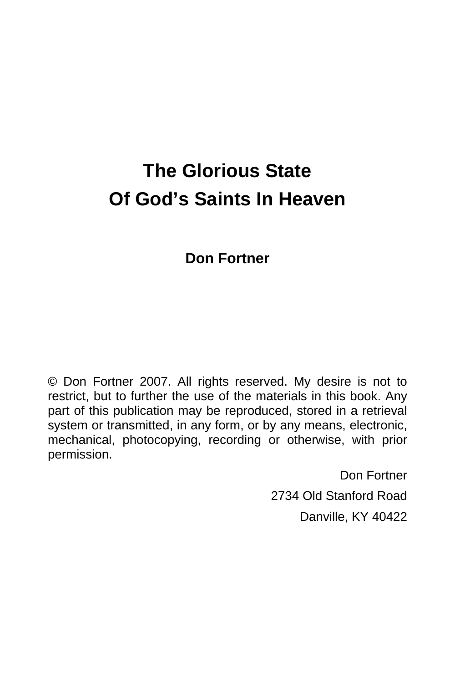# **The Glorious State Of God's Saints In Heaven**

## **Don Fortner**

© Don Fortner 2007. All rights reserved. My desire is not to restrict, but to further the use of the materials in this book. Any part of this publication may be reproduced, stored in a retrieval system or transmitted, in any form, or by any means, electronic, mechanical, photocopying, recording or otherwise, with prior permission.

> Don Fortner 2734 Old Stanford Road Danville, KY 40422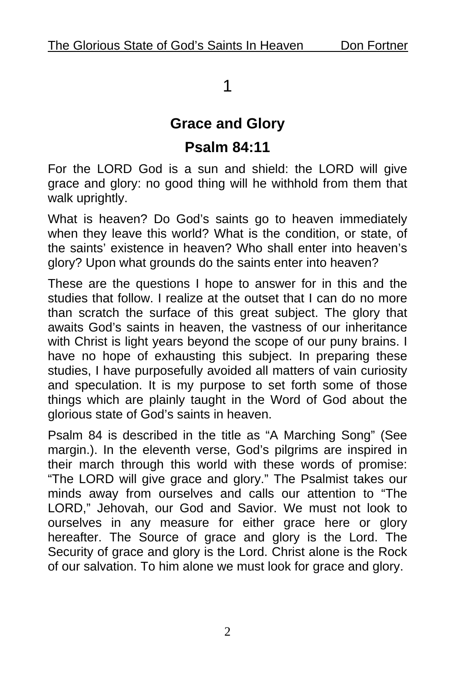## 1

## **Grace and Glory Psalm 84:11**

For the LORD God is a sun and shield: the LORD will give grace and glory: no good thing will he withhold from them that walk uprightly.

What is heaven? Do God's saints go to heaven immediately when they leave this world? What is the condition, or state, of the saints' existence in heaven? Who shall enter into heaven's glory? Upon what grounds do the saints enter into heaven?

These are the questions I hope to answer for in this and the studies that follow. I realize at the outset that I can do no more than scratch the surface of this great subject. The glory that awaits God's saints in heaven, the vastness of our inheritance with Christ is light years beyond the scope of our puny brains. I have no hope of exhausting this subject. In preparing these studies, I have purposefully avoided all matters of vain curiosity and speculation. It is my purpose to set forth some of those things which are plainly taught in the Word of God about the glorious state of God's saints in heaven.

Psalm 84 is described in the title as "A Marching Song" (See margin.). In the eleventh verse, God's pilgrims are inspired in their march through this world with these words of promise: "The LORD will give grace and glory." The Psalmist takes our minds away from ourselves and calls our attention to "The LORD," Jehovah, our God and Savior. We must not look to ourselves in any measure for either grace here or glory hereafter. The Source of grace and glory is the Lord. The Security of grace and glory is the Lord. Christ alone is the Rock of our salvation. To him alone we must look for grace and glory.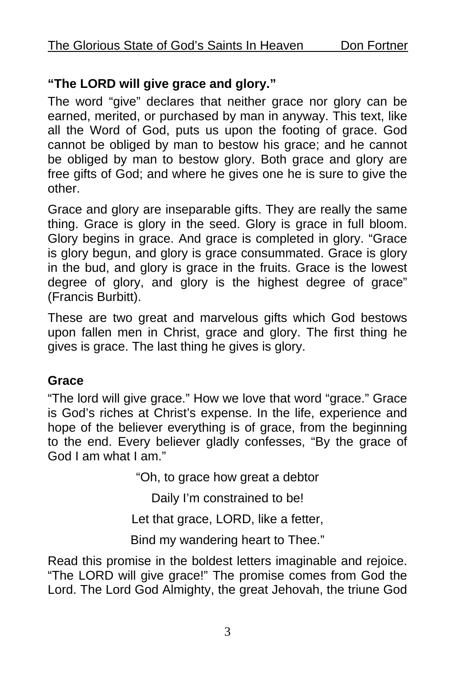#### **"The LORD will give grace and glory."**

The word "give" declares that neither grace nor glory can be earned, merited, or purchased by man in anyway. This text, like all the Word of God, puts us upon the footing of grace. God cannot be obliged by man to bestow his grace; and he cannot be obliged by man to bestow glory. Both grace and glory are free gifts of God; and where he gives one he is sure to give the other.

Grace and glory are inseparable gifts. They are really the same thing. Grace is glory in the seed. Glory is grace in full bloom. Glory begins in grace. And grace is completed in glory. "Grace is glory begun, and glory is grace consummated. Grace is glory in the bud, and glory is grace in the fruits. Grace is the lowest degree of glory, and glory is the highest degree of grace" (Francis Burbitt).

These are two great and marvelous gifts which God bestows upon fallen men in Christ, grace and glory. The first thing he gives is grace. The last thing he gives is glory.

#### **Grace**

"The lord will give grace." How we love that word "grace." Grace is God's riches at Christ's expense. In the life, experience and hope of the believer everything is of grace, from the beginning to the end. Every believer gladly confesses, "By the grace of God I am what I am."

"Oh, to grace how great a debtor

Daily I'm constrained to be!

Let that grace, LORD, like a fetter,

Bind my wandering heart to Thee."

Read this promise in the boldest letters imaginable and rejoice. "The LORD will give grace!" The promise comes from God the Lord. The Lord God Almighty, the great Jehovah, the triune God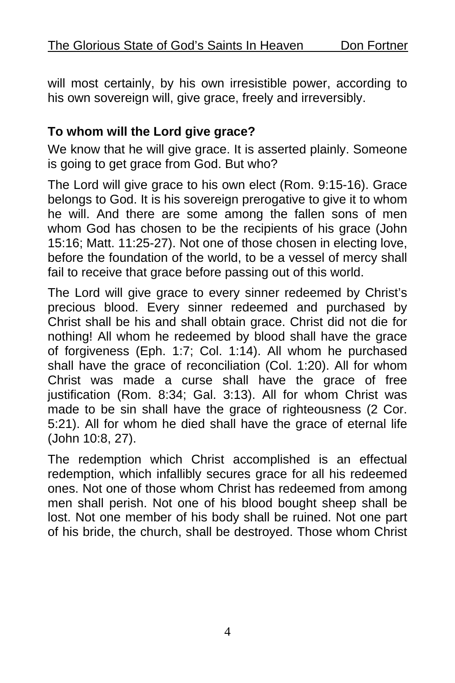will most certainly, by his own irresistible power, according to his own sovereign will, give grace, freely and irreversibly.

#### **To whom will the Lord give grace?**

We know that he will give grace. It is asserted plainly. Someone is going to get grace from God. But who?

The Lord will give grace to his own elect (Rom. 9:15-16). Grace belongs to God. It is his sovereign prerogative to give it to whom he will. And there are some among the fallen sons of men whom God has chosen to be the recipients of his grace (John 15:16; Matt. 11:25-27). Not one of those chosen in electing love, before the foundation of the world, to be a vessel of mercy shall fail to receive that grace before passing out of this world.

The Lord will give grace to every sinner redeemed by Christ's precious blood. Every sinner redeemed and purchased by Christ shall be his and shall obtain grace. Christ did not die for nothing! All whom he redeemed by blood shall have the grace of forgiveness (Eph. 1:7; Col. 1:14). All whom he purchased shall have the grace of reconciliation (Col. 1:20). All for whom Christ was made a curse shall have the grace of free justification (Rom. 8:34; Gal. 3:13). All for whom Christ was made to be sin shall have the grace of righteousness (2 Cor. 5:21). All for whom he died shall have the grace of eternal life (John 10:8, 27).

The redemption which Christ accomplished is an effectual redemption, which infallibly secures grace for all his redeemed ones. Not one of those whom Christ has redeemed from among men shall perish. Not one of his blood bought sheep shall be lost. Not one member of his body shall be ruined. Not one part of his bride, the church, shall be destroyed. Those whom Christ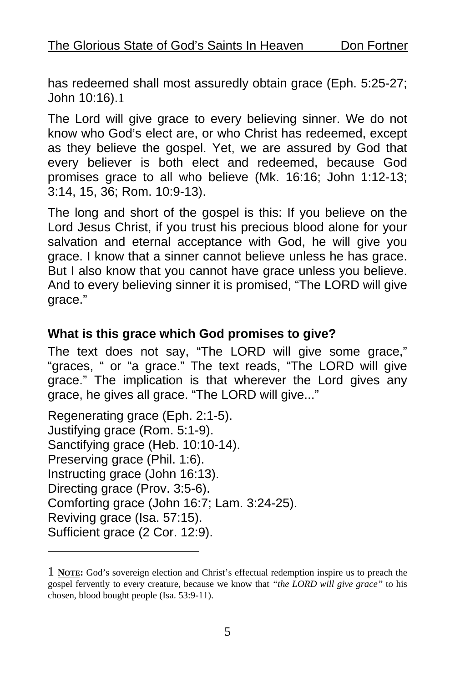has redeemed shall most assuredly obtain grace (Eph. 5:25-27; John 10:16).1

The Lord will give grace to every believing sinner. We do not know who God's elect are, or who Christ has redeemed, except as they believe the gospel. Yet, we are assured by God that every believer is both elect and redeemed, because God promises grace to all who believe (Mk. 16:16; John 1:12-13; 3:14, 15, 36; Rom. 10:9-13).

The long and short of the gospel is this: If you believe on the Lord Jesus Christ, if you trust his precious blood alone for your salvation and eternal acceptance with God, he will give you grace. I know that a sinner cannot believe unless he has grace. But I also know that you cannot have grace unless you believe. And to every believing sinner it is promised, "The LORD will give grace."

#### **What is this grace which God promises to give?**

The text does not say, "The LORD will give some grace," "graces, " or "a grace." The text reads, "The LORD will give grace." The implication is that wherever the Lord gives any grace, he gives all grace. "The LORD will give..."

Regenerating grace (Eph. 2:1-5). Justifying grace (Rom. 5:1-9). Sanctifying grace (Heb. 10:10-14). Preserving grace (Phil. 1:6). Instructing grace (John 16:13). Directing grace (Prov. 3:5-6). Comforting grace (John 16:7; Lam. 3:24-25). Reviving grace (Isa. 57:15). Sufficient grace (2 Cor. 12:9).

1

<sup>1</sup> **NOTE:** God's sovereign election and Christ's effectual redemption inspire us to preach the gospel fervently to every creature, because we know that *"the LORD will give grace"* to his chosen, blood bought people (Isa. 53:9-11).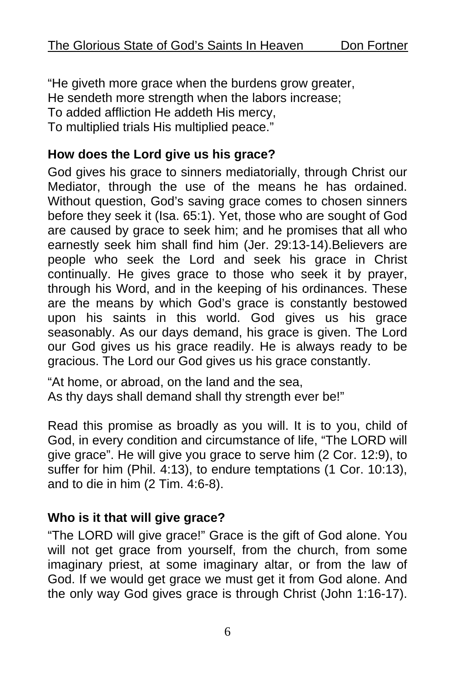"He giveth more grace when the burdens grow greater, He sendeth more strength when the labors increase; To added affliction He addeth His mercy, To multiplied trials His multiplied peace."

#### **How does the Lord give us his grace?**

God gives his grace to sinners mediatorially, through Christ our Mediator, through the use of the means he has ordained. Without question, God's saving grace comes to chosen sinners before they seek it (Isa. 65:1). Yet, those who are sought of God are caused by grace to seek him; and he promises that all who earnestly seek him shall find him (Jer. 29:13-14).Believers are people who seek the Lord and seek his grace in Christ continually. He gives grace to those who seek it by prayer, through his Word, and in the keeping of his ordinances. These are the means by which God's grace is constantly bestowed upon his saints in this world. God gives us his grace seasonably. As our days demand, his grace is given. The Lord our God gives us his grace readily. He is always ready to be gracious. The Lord our God gives us his grace constantly.

"At home, or abroad, on the land and the sea, As thy days shall demand shall thy strength ever be!"

Read this promise as broadly as you will. It is to you, child of God, in every condition and circumstance of life, "The LORD will give grace". He will give you grace to serve him (2 Cor. 12:9), to suffer for him (Phil. 4:13), to endure temptations (1 Cor. 10:13), and to die in him (2 Tim. 4:6-8).

#### **Who is it that will give grace?**

"The LORD will give grace!" Grace is the gift of God alone. You will not get grace from yourself, from the church, from some imaginary priest, at some imaginary altar, or from the law of God. If we would get grace we must get it from God alone. And the only way God gives grace is through Christ (John 1:16-17).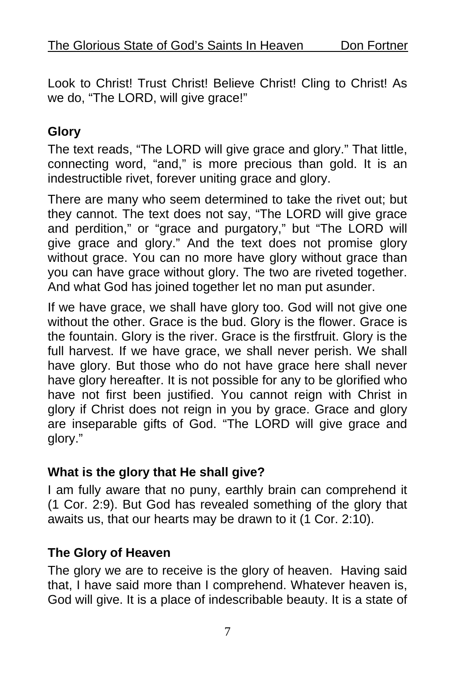Look to Christ! Trust Christ! Believe Christ! Cling to Christ! As we do, "The LORD, will give grace!"

#### **Glory**

The text reads, "The LORD will give grace and glory." That little, connecting word, "and," is more precious than gold. It is an indestructible rivet, forever uniting grace and glory.

There are many who seem determined to take the rivet out; but they cannot. The text does not say, "The LORD will give grace and perdition," or "grace and purgatory," but "The LORD will give grace and glory." And the text does not promise glory without grace. You can no more have glory without grace than you can have grace without glory. The two are riveted together. And what God has joined together let no man put asunder.

If we have grace, we shall have glory too. God will not give one without the other. Grace is the bud. Glory is the flower. Grace is the fountain. Glory is the river. Grace is the firstfruit. Glory is the full harvest. If we have grace, we shall never perish. We shall have glory. But those who do not have grace here shall never have glory hereafter. It is not possible for any to be glorified who have not first been justified. You cannot reign with Christ in glory if Christ does not reign in you by grace. Grace and glory are inseparable gifts of God. "The LORD will give grace and glory."

#### **What is the glory that He shall give?**

I am fully aware that no puny, earthly brain can comprehend it (1 Cor. 2:9). But God has revealed something of the glory that awaits us, that our hearts may be drawn to it (1 Cor. 2:10).

#### **The Glory of Heaven**

The glory we are to receive is the glory of heaven. Having said that, I have said more than I comprehend. Whatever heaven is, God will give. It is a place of indescribable beauty. It is a state of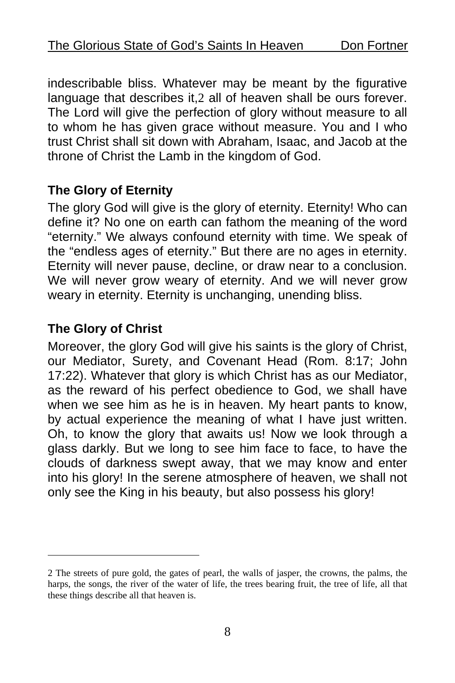indescribable bliss. Whatever may be meant by the figurative language that describes it,2 all of heaven shall be ours forever. The Lord will give the perfection of glory without measure to all to whom he has given grace without measure. You and I who trust Christ shall sit down with Abraham, Isaac, and Jacob at the throne of Christ the Lamb in the kingdom of God.

#### **The Glory of Eternity**

The glory God will give is the glory of eternity. Eternity! Who can define it? No one on earth can fathom the meaning of the word "eternity." We always confound eternity with time. We speak of the "endless ages of eternity." But there are no ages in eternity. Eternity will never pause, decline, or draw near to a conclusion. We will never grow weary of eternity. And we will never grow weary in eternity. Eternity is unchanging, unending bliss.

#### **The Glory of Christ**

1

Moreover, the glory God will give his saints is the glory of Christ, our Mediator, Surety, and Covenant Head (Rom. 8:17; John 17:22). Whatever that glory is which Christ has as our Mediator, as the reward of his perfect obedience to God, we shall have when we see him as he is in heaven. My heart pants to know, by actual experience the meaning of what I have just written. Oh, to know the glory that awaits us! Now we look through a glass darkly. But we long to see him face to face, to have the clouds of darkness swept away, that we may know and enter into his glory! In the serene atmosphere of heaven, we shall not only see the King in his beauty, but also possess his glory!

<sup>2</sup> The streets of pure gold, the gates of pearl, the walls of jasper, the crowns, the palms, the harps, the songs, the river of the water of life, the trees bearing fruit, the tree of life, all that these things describe all that heaven is.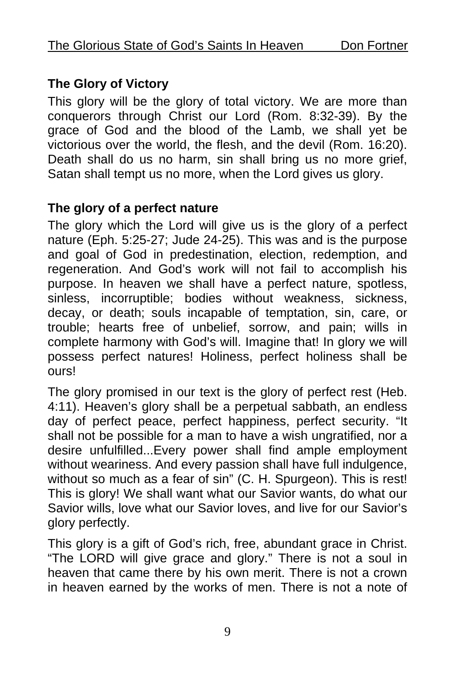### **The Glory of Victory**

This glory will be the glory of total victory. We are more than conquerors through Christ our Lord (Rom. 8:32-39). By the grace of God and the blood of the Lamb, we shall yet be victorious over the world, the flesh, and the devil (Rom. 16:20). Death shall do us no harm, sin shall bring us no more grief, Satan shall tempt us no more, when the Lord gives us glory.

#### **The glory of a perfect nature**

The glory which the Lord will give us is the glory of a perfect nature (Eph. 5:25-27; Jude 24-25). This was and is the purpose and goal of God in predestination, election, redemption, and regeneration. And God's work will not fail to accomplish his purpose. In heaven we shall have a perfect nature, spotless, sinless, incorruptible; bodies without weakness, sickness, decay, or death; souls incapable of temptation, sin, care, or trouble; hearts free of unbelief, sorrow, and pain; wills in complete harmony with God's will. Imagine that! In glory we will possess perfect natures! Holiness, perfect holiness shall be ours!

The glory promised in our text is the glory of perfect rest (Heb. 4:11). Heaven's glory shall be a perpetual sabbath, an endless day of perfect peace, perfect happiness, perfect security. "It shall not be possible for a man to have a wish ungratified, nor a desire unfulfilled...Every power shall find ample employment without weariness. And every passion shall have full indulgence, without so much as a fear of sin" (C. H. Spurgeon). This is rest! This is glory! We shall want what our Savior wants, do what our Savior wills, love what our Savior loves, and live for our Savior's glory perfectly.

This glory is a gift of God's rich, free, abundant grace in Christ. "The LORD will give grace and glory." There is not a soul in heaven that came there by his own merit. There is not a crown in heaven earned by the works of men. There is not a note of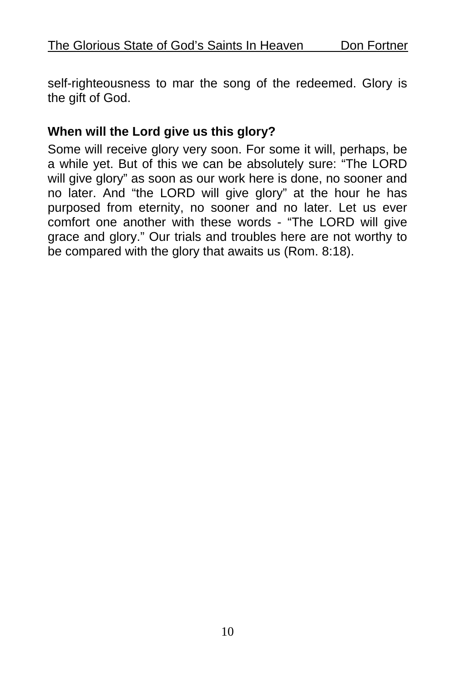self-righteousness to mar the song of the redeemed. Glory is the gift of God.

#### **When will the Lord give us this glory?**

Some will receive glory very soon. For some it will, perhaps, be a while yet. But of this we can be absolutely sure: "The LORD will give glory" as soon as our work here is done, no sooner and no later. And "the LORD will give glory" at the hour he has purposed from eternity, no sooner and no later. Let us ever comfort one another with these words - "The LORD will give grace and glory." Our trials and troubles here are not worthy to be compared with the glory that awaits us (Rom. 8:18).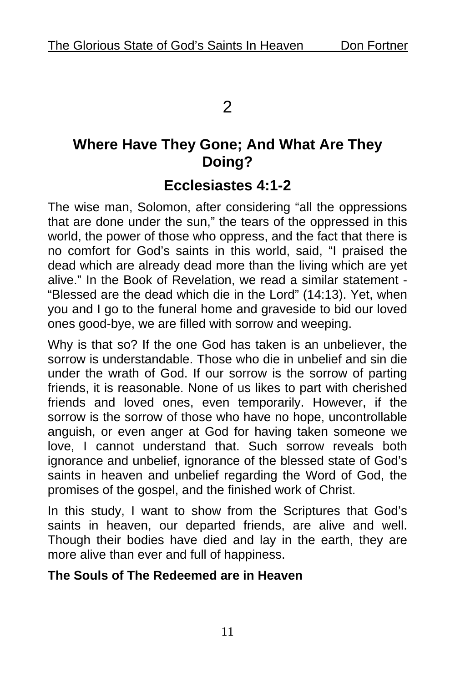2

## **Where Have They Gone; And What Are They Doing?**

## **Ecclesiastes 4:1-2**

The wise man, Solomon, after considering "all the oppressions that are done under the sun," the tears of the oppressed in this world, the power of those who oppress, and the fact that there is no comfort for God's saints in this world, said, "I praised the dead which are already dead more than the living which are yet alive." In the Book of Revelation, we read a similar statement - "Blessed are the dead which die in the Lord" (14:13). Yet, when you and I go to the funeral home and graveside to bid our loved ones good-bye, we are filled with sorrow and weeping.

Why is that so? If the one God has taken is an unbeliever, the sorrow is understandable. Those who die in unbelief and sin die under the wrath of God. If our sorrow is the sorrow of parting friends, it is reasonable. None of us likes to part with cherished friends and loved ones, even temporarily. However, if the sorrow is the sorrow of those who have no hope, uncontrollable anguish, or even anger at God for having taken someone we love, I cannot understand that. Such sorrow reveals both ignorance and unbelief, ignorance of the blessed state of God's saints in heaven and unbelief regarding the Word of God, the promises of the gospel, and the finished work of Christ.

In this study, I want to show from the Scriptures that God's saints in heaven, our departed friends, are alive and well. Though their bodies have died and lay in the earth, they are more alive than ever and full of happiness.

#### **The Souls of The Redeemed are in Heaven**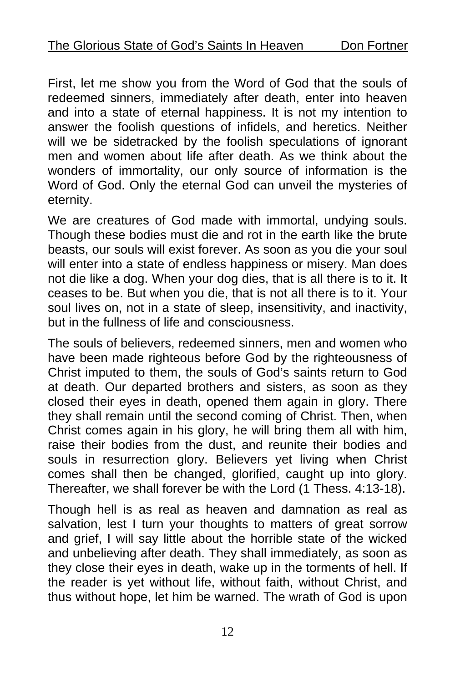First, let me show you from the Word of God that the souls of redeemed sinners, immediately after death, enter into heaven and into a state of eternal happiness. It is not my intention to answer the foolish questions of infidels, and heretics. Neither will we be sidetracked by the foolish speculations of ignorant men and women about life after death. As we think about the wonders of immortality, our only source of information is the Word of God. Only the eternal God can unveil the mysteries of eternity.

We are creatures of God made with immortal, undying souls. Though these bodies must die and rot in the earth like the brute beasts, our souls will exist forever. As soon as you die your soul will enter into a state of endless happiness or misery. Man does not die like a dog. When your dog dies, that is all there is to it. It ceases to be. But when you die, that is not all there is to it. Your soul lives on, not in a state of sleep, insensitivity, and inactivity, but in the fullness of life and consciousness.

The souls of believers, redeemed sinners, men and women who have been made righteous before God by the righteousness of Christ imputed to them, the souls of God's saints return to God at death. Our departed brothers and sisters, as soon as they closed their eyes in death, opened them again in glory. There they shall remain until the second coming of Christ. Then, when Christ comes again in his glory, he will bring them all with him, raise their bodies from the dust, and reunite their bodies and souls in resurrection glory. Believers yet living when Christ comes shall then be changed, glorified, caught up into glory. Thereafter, we shall forever be with the Lord (1 Thess. 4:13-18).

Though hell is as real as heaven and damnation as real as salvation, lest I turn your thoughts to matters of great sorrow and grief, I will say little about the horrible state of the wicked and unbelieving after death. They shall immediately, as soon as they close their eyes in death, wake up in the torments of hell. If the reader is yet without life, without faith, without Christ, and thus without hope, let him be warned. The wrath of God is upon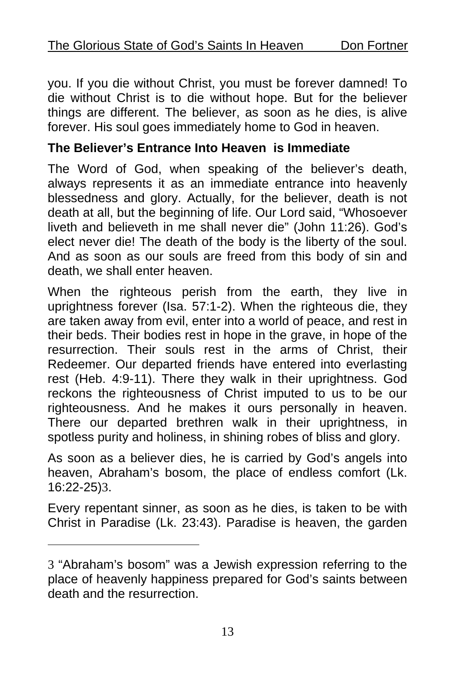you. If you die without Christ, you must be forever damned! To die without Christ is to die without hope. But for the believer things are different. The believer, as soon as he dies, is alive forever. His soul goes immediately home to God in heaven.

#### **The Believer's Entrance Into Heaven is Immediate**

The Word of God, when speaking of the believer's death, always represents it as an immediate entrance into heavenly blessedness and glory. Actually, for the believer, death is not death at all, but the beginning of life. Our Lord said, "Whosoever liveth and believeth in me shall never die" (John 11:26). God's elect never die! The death of the body is the liberty of the soul. And as soon as our souls are freed from this body of sin and death, we shall enter heaven.

When the righteous perish from the earth, they live in uprightness forever (Isa. 57:1-2). When the righteous die, they are taken away from evil, enter into a world of peace, and rest in their beds. Their bodies r[est](#page-12-0) in hope in the grave, in hope of the resurrection. Their souls rest in the arms of Christ, their Redeemer. Our departed friends have entered into everlasting rest (Heb. 4:9-11). There they walk in their uprightness. God reckons the righteousness of Christ imputed to us to be our righteousness. And he makes it ours personally in heaven. There our departed brethren walk in their uprightness, in spotless purity and holiness, in shining robes of bliss and glory.

As soon as a believer dies, he is carried by God's angels into heaven, Abraham's bosom, the place of endless comfort (Lk. 16:22-25)3.

Every repentant sinner, as soon as he dies, is taken to be with Christ in Paradise (Lk. 23:43). Paradise is heaven, the garden

<u>.</u>

<span id="page-12-0"></span><sup>3</sup> "Abraham's bosom" was a Jewish expression referring to the place of heavenly happiness prepared for God's saints between death and the resurrection.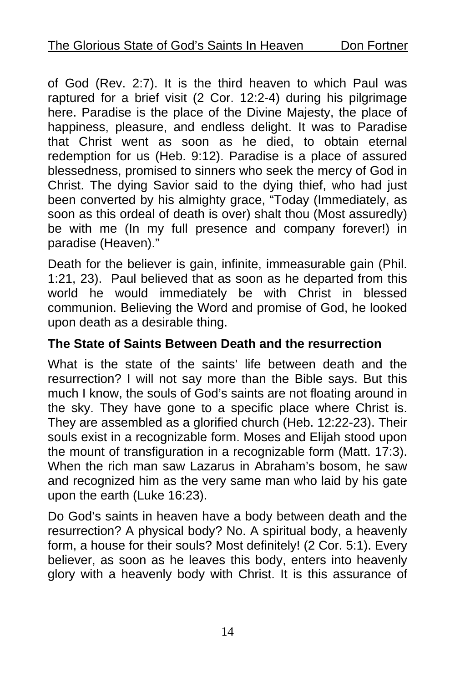of God (Rev. 2:7). It is the third heaven to which Paul was raptured for a brief visit (2 Cor. 12:2-4) during his pilgrimage here. Paradise is the place of the Divine Majesty, the place of happiness, pleasure, and endless delight. It was to Paradise that Christ went as soon as he died, to obtain eternal redemption for us (Heb. 9:12). Paradise is a place of assured blessedness, promised to sinners who seek the mercy of God in Christ. The dying Savior said to the dying thief, who had just been converted by his almighty grace, "Today (Immediately, as soon as this ordeal of death is over) shalt thou (Most assuredly) be with me (In my full presence and company forever!) in paradise (Heaven)."

Death for the believer is gain, infinite, immeasurable gain (Phil. 1:21, 23). Paul believed that as soon as he departed from this world he would immediately be with Christ in blessed communion. Believing the Word and promise of God, he looked upon death as a desirable thing.

#### **The State of Saints Between Death and the resurrection**

What is the state of the saints' life between death and the resurrection? I will not say more than the Bible says. But this much I know, the souls of God's saints are not floating around in the sky. They have gone to a specific place where Christ is. They are assembled as a glorified church (Heb. 12:22-23). Their souls exist in a recognizable form. Moses and Elijah stood upon the mount of transfiguration in a recognizable form (Matt. 17:3). When the rich man saw Lazarus in Abraham's bosom, he saw and recognized him as the very same man who laid by his gate upon the earth (Luke 16:23).

Do God's saints in heaven have a body between death and the resurrection? A physical body? No. A spiritual body, a heavenly form, a house for their souls? Most definitely! (2 Cor. 5:1). Every believer, as soon as he leaves this body, enters into heavenly glory with a heavenly body with Christ. It is this assurance of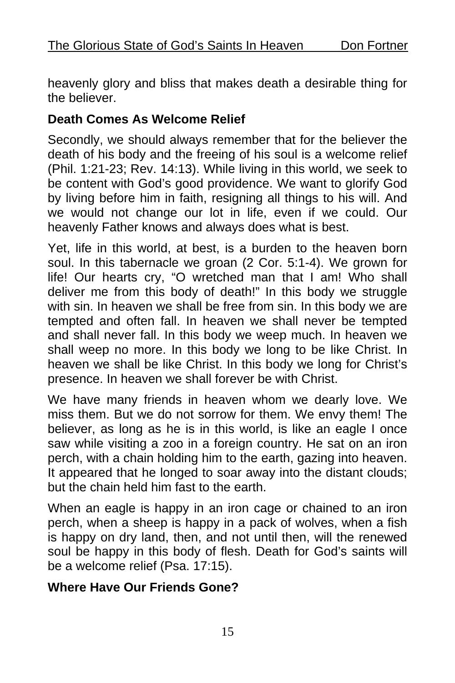heavenly glory and bliss that makes death a desirable thing for the believer.

#### **Death Comes As Welcome Relief**

Secondly, we should always remember that for the believer the death of his body and the freeing of his soul is a welcome relief (Phil. 1:21-23; Rev. 14:13). While living in this world, we seek to be content with God's good providence. We want to glorify God by living before him in faith, resigning all things to his will. And we would not change our lot in life, even if we could. Our heavenly Father knows and always does what is best.

Yet, life in this world, at best, is a burden to the heaven born soul. In this tabernacle we groan (2 Cor. 5:1-4). We grown for life! Our hearts cry, "O wretched man that I am! Who shall deliver me from this body of death!" In this body we struggle with sin. In heaven we shall be free from sin. In this body we are tempted and often fall. In heaven we shall never be tempted and shall never fall. In this body we weep much. In heaven we shall weep no more. In this body we long to be like Christ. In heaven we shall be like Christ. In this body we long for Christ's presence. In heaven we shall forever be with Christ.

We have many friends in heaven whom we dearly love. We miss them. But we do not sorrow for them. We envy them! The believer, as long as he is in this world, is like an eagle I once saw while visiting a zoo in a foreign country. He sat on an iron perch, with a chain holding him to the earth, gazing into heaven. It appeared that he longed to soar away into the distant clouds; but the chain held him fast to the earth.

When an eagle is happy in an iron cage or chained to an iron perch, when a sheep is happy in a pack of wolves, when a fish is happy on dry land, then, and not until then, will the renewed soul be happy in this body of flesh. Death for God's saints will be a welcome relief (Psa. 17:15).

#### **Where Have Our Friends Gone?**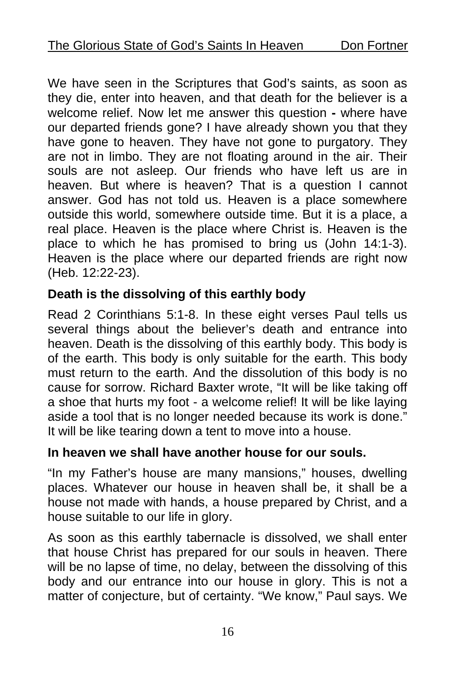We have seen in the Scriptures that God's saints, as soon as they die, enter into heaven, and that death for the believer is a welcome relief. Now let me answer this question **-** where have our departed friends gone? I have already shown you that they have gone to heaven. They have not gone to purgatory. They are not in limbo. They are not floating around in the air. Their souls are not asleep. Our friends who have left us are in heaven. But where is heaven? That is a question I cannot answer. God has not told us. Heaven is a place somewhere outside this world, somewhere outside time. But it is a place, a real place. Heaven is the place where Christ is. Heaven is the place to which he has promised to bring us (John 14:1-3). Heaven is the place where our departed friends are right now (Heb. 12:22-23).

#### **Death is the dissolving of this earthly body**

Read 2 Corinthians 5:1-8. In these eight verses Paul tells us several things about the believer's death and entrance into heaven. Death is the dissolving of this earthly body. This body is of the earth. This body is only suitable for the earth. This body must return to the earth. And the dissolution of this body is no cause for sorrow. Richard Baxter wrote, "It will be like taking off a shoe that hurts my foot - a welcome relief! It will be like laying aside a tool that is no longer needed because its work is done." It will be like tearing down a tent to move into a house.

#### **In heaven we shall have another house for our souls.**

"In my Father's house are many mansions," houses, dwelling places. Whatever our house in heaven shall be, it shall be a house not made with hands, a house prepared by Christ, and a house suitable to our life in glory.

As soon as this earthly tabernacle is dissolved, we shall enter that house Christ has prepared for our souls in heaven. There will be no lapse of time, no delay, between the dissolving of this body and our entrance into our house in glory. This is not a matter of conjecture, but of certainty. "We know," Paul says. We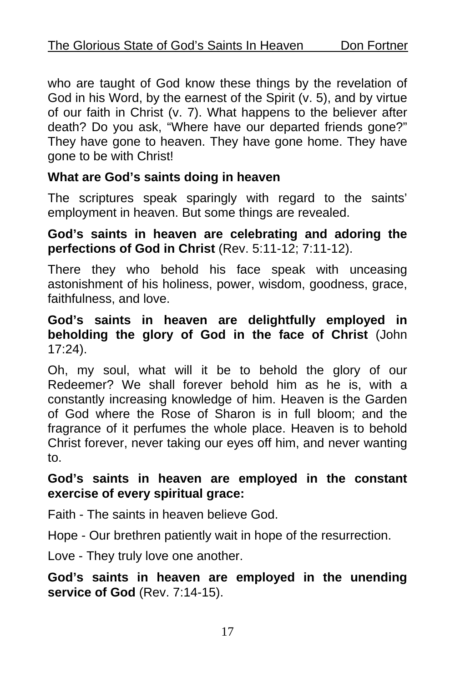who are taught of God know these things by the revelation of God in his Word, by the earnest of the Spirit (v. 5), and by virtue of our faith in Christ (v. 7). What happens to the believer after death? Do you ask, "Where have our departed friends gone?" They have gone to heaven. They have gone home. They have gone to be with Christ!

#### **What are God's saints doing in heaven**

The scriptures speak sparingly with regard to the saints' employment in heaven. But some things are revealed.

#### **God's saints in heaven are celebrating and adoring the perfections of God in Christ** (Rev. 5:11-12; 7:11-12).

There they who behold his face speak with unceasing astonishment of his holiness, power, wisdom, goodness, grace, faithfulness, and love.

#### **God's saints in heaven are delightfully employed in beholding the glory of God in the face of Christ** (John 17:24).

Oh, my soul, what will it be to behold the glory of our Redeemer? We shall forever behold him as he is, with a constantly increasing knowledge of him. Heaven is the Garden of God where the Rose of Sharon is in full bloom; and the fragrance of it perfumes the whole place. Heaven is to behold Christ forever, never taking our eyes off him, and never wanting to.

#### **God's saints in heaven are employed in the constant exercise of every spiritual grace:**

Faith - The saints in heaven believe God.

Hope - Our brethren patiently wait in hope of the resurrection.

Love - They truly love one another.

**God's saints in heaven are employed in the unending service of God** (Rev. 7:14-15).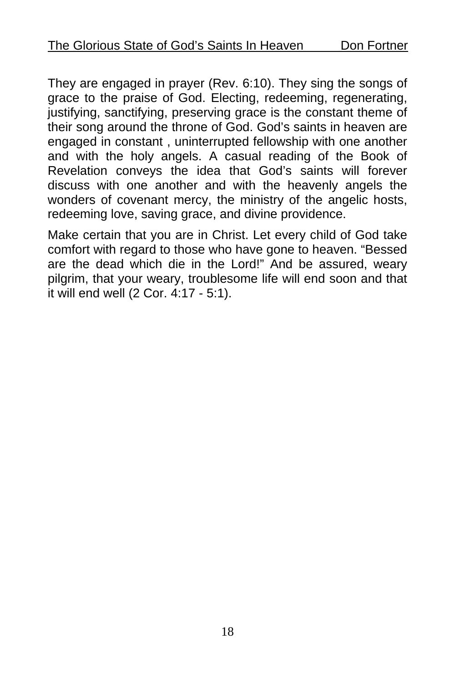They are engaged in prayer (Rev. 6:10). They sing the songs of grace to the praise of God. Electing, redeeming, regenerating, justifying, sanctifying, preserving grace is the constant theme of their song around the throne of God. God's saints in heaven are engaged in constant , uninterrupted fellowship with one another and with the holy angels. A casual reading of the Book of Revelation conveys the idea that God's saints will forever discuss with one another and with the heavenly angels the wonders of covenant mercy, the ministry of the angelic hosts, redeeming love, saving grace, and divine providence.

Make certain that you are in Christ. Let every child of God take comfort with regard to those who have gone to heaven. "Bessed are the dead which die in the Lord!" And be assured, weary pilgrim, that your weary, troublesome life will end soon and that it will end well (2 Cor. 4:17 - 5:1).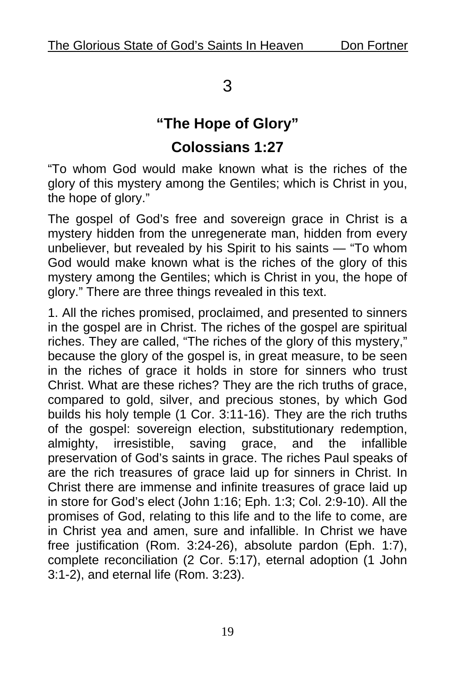## 3

## **"The Hope of Glory" Colossians 1:27**

"To whom God would make known what is the riches of the glory of this mystery among the Gentiles; which is Christ in you, the hope of glory."

The gospel of God's free and sovereign grace in Christ is a mystery hidden from the unregenerate man, hidden from every unbeliever, but revealed by his Spirit to his saints — "To whom God would make known what is the riches of the glory of this mystery among the Gentiles; which is Christ in you, the hope of glory." There are three things revealed in this text.

1. All the riches promised, proclaimed, and presented to sinners in the gospel are in Christ. The riches of the gospel are spiritual riches. They are called, "The riches of the glory of this mystery," because the glory of the gospel is, in great measure, to be seen in the riches of grace it holds in store for sinners who trust Christ. What are these riches? They are the rich truths of grace, compared to gold, silver, and precious stones, by which God builds his holy temple (1 Cor. 3:11-16). They are the rich truths of the gospel: sovereign election, substitutionary redemption, almighty, irresistible, saving grace, and the infallible preservation of God's saints in grace. The riches Paul speaks of are the rich treasures of grace laid up for sinners in Christ. In Christ there are immense and infinite treasures of grace laid up in store for God's elect (John 1:16; Eph. 1:3; Col. 2:9-10). All the promises of God, relating to this life and to the life to come, are in Christ yea and amen, sure and infallible. In Christ we have free justification (Rom. 3:24-26), absolute pardon (Eph. 1:7), complete reconciliation (2 Cor. 5:17), eternal adoption (1 John 3:1-2), and eternal life (Rom. 3:23).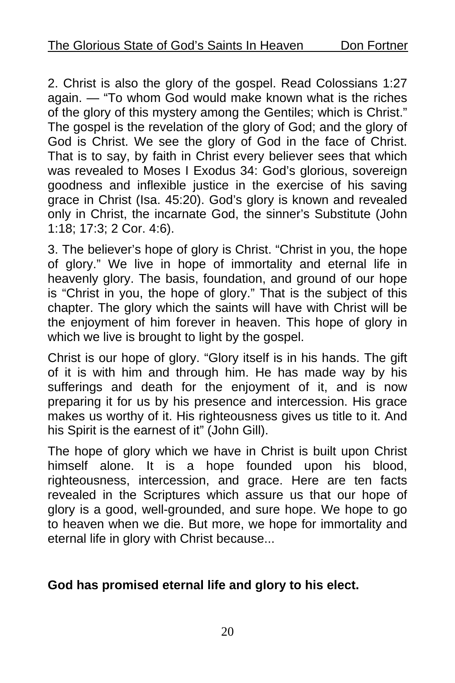2. Christ is also the glory of the gospel. Read Colossians 1:27 again. — "To whom God would make known what is the riches of the glory of this mystery among the Gentiles; which is Christ." The gospel is the revelation of the glory of God; and the glory of God is Christ. We see the glory of God in the face of Christ. That is to say, by faith in Christ every believer sees that which was revealed to Moses I Exodus 34: God's glorious, sovereign goodness and inflexible justice in the exercise of his saving grace in Christ (Isa. 45:20). God's glory is known and revealed only in Christ, the incarnate God, the sinner's Substitute (John 1:18; 17:3; 2 Cor. 4:6).

3. The believer's hope of glory is Christ. "Christ in you, the hope of glory." We live in hope of immortality and eternal life in heavenly glory. The basis, foundation, and ground of our hope is "Christ in you, the hope of glory." That is the subject of this chapter. The glory which the saints will have with Christ will be the enjoyment of him forever in heaven. This hope of glory in which we live is brought to light by the gospel.

Christ is our hope of glory. "Glory itself is in his hands. The gift of it is with him and through him. He has made way by his sufferings and death for the enjoyment of it, and is now preparing it for us by his presence and intercession. His grace makes us worthy of it. His righteousness gives us title to it. And his Spirit is the earnest of it" (John Gill).

The hope of glory which we have in Christ is built upon Christ himself alone. It is a hope founded upon his blood, righteousness, intercession, and grace. Here are ten facts revealed in the Scriptures which assure us that our hope of glory is a good, well-grounded, and sure hope. We hope to go to heaven when we die. But more, we hope for immortality and eternal life in glory with Christ because...

#### **God has promised eternal life and glory to his elect.**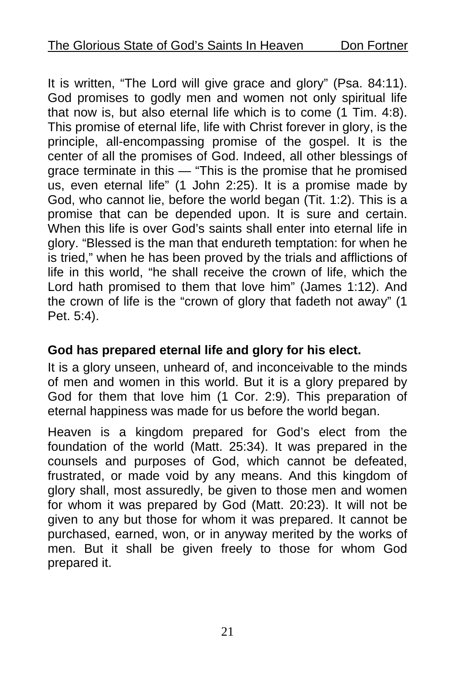It is written, "The Lord will give grace and glory" (Psa. 84:11). God promises to godly men and women not only spiritual life that now is, but also eternal life which is to come (1 Tim. 4:8). This promise of eternal life, life with Christ forever in glory, is the principle, all-encompassing promise of the gospel. It is the center of all the promises of God. Indeed, all other blessings of grace terminate in this — "This is the promise that he promised us, even eternal life" (1 John 2:25). It is a promise made by God, who cannot lie, before the world began (Tit. 1:2). This is a promise that can be depended upon. It is sure and certain. When this life is over God's saints shall enter into eternal life in glory. "Blessed is the man that endureth temptation: for when he is tried," when he has been proved by the trials and afflictions of life in this world, "he shall receive the crown of life, which the Lord hath promised to them that love him" (James 1:12). And the crown of life is the "crown of glory that fadeth not away" (1 Pet. 5:4).

#### **God has prepared eternal life and glory for his elect.**

It is a glory unseen, unheard of, and inconceivable to the minds of men and women in this world. But it is a glory prepared by God for them that love him (1 Cor. 2:9). This preparation of eternal happiness was made for us before the world began.

Heaven is a kingdom prepared for God's elect from the foundation of the world (Matt. 25:34). It was prepared in the counsels and purposes of God, which cannot be defeated, frustrated, or made void by any means. And this kingdom of glory shall, most assuredly, be given to those men and women for whom it was prepared by God (Matt. 20:23). It will not be given to any but those for whom it was prepared. It cannot be purchased, earned, won, or in anyway merited by the works of men. But it shall be given freely to those for whom God prepared it.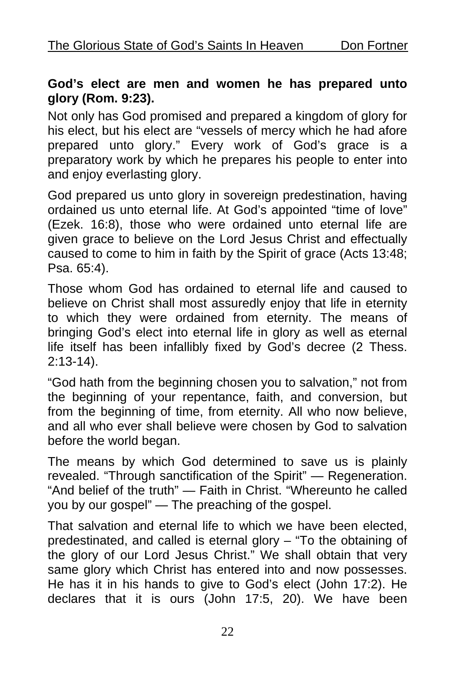#### **God's elect are men and women he has prepared unto glory (Rom. 9:23).**

Not only has God promised and prepared a kingdom of glory for his elect, but his elect are "vessels of mercy which he had afore prepared unto glory." Every work of God's grace is a preparatory work by which he prepares his people to enter into and enjoy everlasting glory.

God prepared us unto glory in sovereign predestination, having ordained us unto eternal life. At God's appointed "time of love" (Ezek. 16:8), those who were ordained unto eternal life are given grace to believe on the Lord Jesus Christ and effectually caused to come to him in faith by the Spirit of grace (Acts 13:48; Psa. 65:4).

Those whom God has ordained to eternal life and caused to believe on Christ shall most assuredly enjoy that life in eternity to which they were ordained from eternity. The means of bringing God's elect into eternal life in glory as well as eternal life itself has been infallibly fixed by God's decree (2 Thess. 2:13-14).

"God hath from the beginning chosen you to salvation," not from the beginning of your repentance, faith, and conversion, but from the beginning of time, from eternity. All who now believe, and all who ever shall believe were chosen by God to salvation before the world began.

The means by which God determined to save us is plainly revealed. "Through sanctification of the Spirit" — Regeneration. "And belief of the truth" — Faith in Christ. "Whereunto he called you by our gospel" — The preaching of the gospel.

That salvation and eternal life to which we have been elected, predestinated, and called is eternal glory – "To the obtaining of the glory of our Lord Jesus Christ." We shall obtain that very same glory which Christ has entered into and now possesses. He has it in his hands to give to God's elect (John 17:2). He declares that it is ours (John 17:5, 20). We have been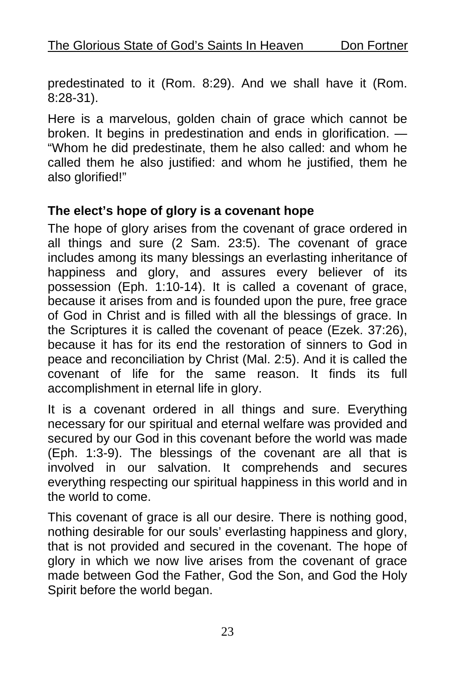predestinated to it (Rom. 8:29). And we shall have it (Rom. 8:28-31).

Here is a marvelous, golden chain of grace which cannot be broken. It begins in predestination and ends in glorification. — "Whom he did predestinate, them he also called: and whom he called them he also justified: and whom he justified, them he also glorified!"

#### **The elect's hope of glory is a covenant hope**

The hope of glory arises from the covenant of grace ordered in all things and sure (2 Sam. 23:5). The covenant of grace includes among its many blessings an everlasting inheritance of happiness and glory, and assures every believer of its possession (Eph. 1:10-14). It is called a covenant of grace, because it arises from and is founded upon the pure, free grace of God in Christ and is filled with all the blessings of grace. In the Scriptures it is called the covenant of peace (Ezek. 37:26), because it has for its end the restoration of sinners to God in peace and reconciliation by Christ (Mal. 2:5). And it is called the covenant of life for the same reason. It finds its full accomplishment in eternal life in glory.

It is a covenant ordered in all things and sure. Everything necessary for our spiritual and eternal welfare was provided and secured by our God in this covenant before the world was made (Eph. 1:3-9). The blessings of the covenant are all that is involved in our salvation. It comprehends and secures everything respecting our spiritual happiness in this world and in the world to come.

This covenant of grace is all our desire. There is nothing good, nothing desirable for our souls' everlasting happiness and glory, that is not provided and secured in the covenant. The hope of glory in which we now live arises from the covenant of grace made between God the Father, God the Son, and God the Holy Spirit before the world began.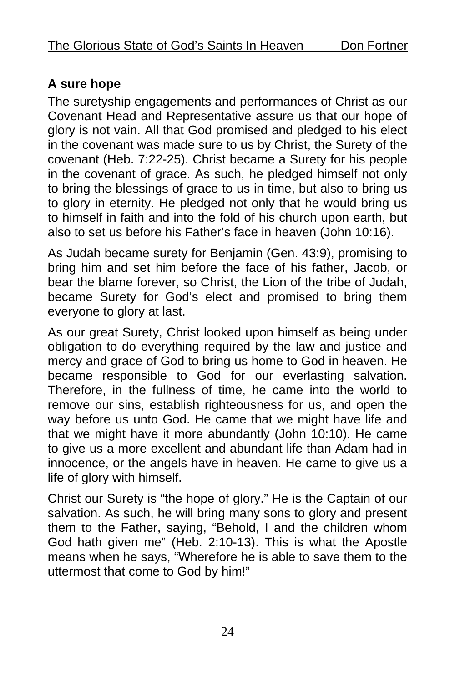## **A sure hope**

The suretyship engagements and performances of Christ as our Covenant Head and Representative assure us that our hope of glory is not vain. All that God promised and pledged to his elect in the covenant was made sure to us by Christ, the Surety of the covenant (Heb. 7:22-25). Christ became a Surety for his people in the covenant of grace. As such, he pledged himself not only to bring the blessings of grace to us in time, but also to bring us to glory in eternity. He pledged not only that he would bring us to himself in faith and into the fold of his church upon earth, but also to set us before his Father's face in heaven (John 10:16).

As Judah became surety for Benjamin (Gen. 43:9), promising to bring him and set him before the face of his father, Jacob, or bear the blame forever, so Christ, the Lion of the tribe of Judah, became Surety for God's elect and promised to bring them everyone to glory at last.

As our great Surety, Christ looked upon himself as being under obligation to do everything required by the law and justice and mercy and grace of God to bring us home to God in heaven. He became responsible to God for our everlasting salvation. Therefore, in the fullness of time, he came into the world to remove our sins, establish righteousness for us, and open the way before us unto God. He came that we might have life and that we might have it more abundantly (John 10:10). He came to give us a more excellent and abundant life than Adam had in innocence, or the angels have in heaven. He came to give us a life of glory with himself.

Christ our Surety is "the hope of glory." He is the Captain of our salvation. As such, he will bring many sons to glory and present them to the Father, saying, "Behold, I and the children whom God hath given me" (Heb. 2:10-13). This is what the Apostle means when he says, "Wherefore he is able to save them to the uttermost that come to God by him!"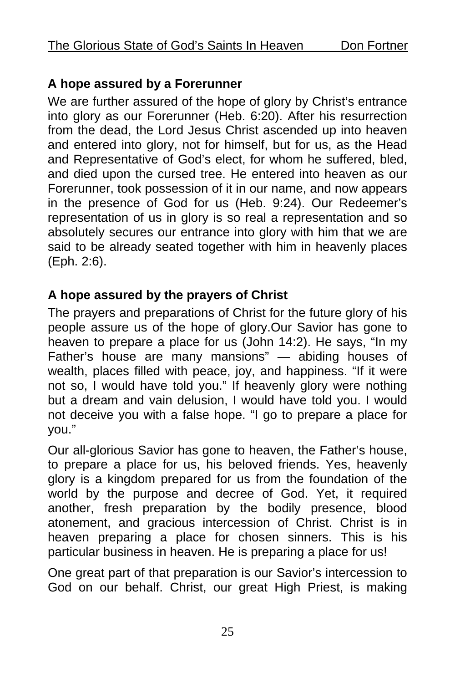#### **A hope assured by a Forerunner**

We are further assured of the hope of glory by Christ's entrance into glory as our Forerunner (Heb. 6:20). After his resurrection from the dead, the Lord Jesus Christ ascended up into heaven and entered into glory, not for himself, but for us, as the Head and Representative of God's elect, for whom he suffered, bled, and died upon the cursed tree. He entered into heaven as our Forerunner, took possession of it in our name, and now appears in the presence of God for us (Heb. 9:24). Our Redeemer's representation of us in glory is so real a representation and so absolutely secures our entrance into glory with him that we are said to be already seated together with him in heavenly places (Eph. 2:6).

#### **A hope assured by the prayers of Christ**

The prayers and preparations of Christ for the future glory of his people assure us of the hope of glory.Our Savior has gone to heaven to prepare a place for us (John 14:2). He says, "In my Father's house are many mansions" — abiding houses of wealth, places filled with peace, joy, and happiness. "If it were not so, I would have told you." If heavenly glory were nothing but a dream and vain delusion, I would have told you. I would not deceive you with a false hope. "I go to prepare a place for you."

Our all-glorious Savior has gone to heaven, the Father's house, to prepare a place for us, his beloved friends. Yes, heavenly glory is a kingdom prepared for us from the foundation of the world by the purpose and decree of God. Yet, it required another, fresh preparation by the bodily presence, blood atonement, and gracious intercession of Christ. Christ is in heaven preparing a place for chosen sinners. This is his particular business in heaven. He is preparing a place for us!

One great part of that preparation is our Savior's intercession to God on our behalf. Christ, our great High Priest, is making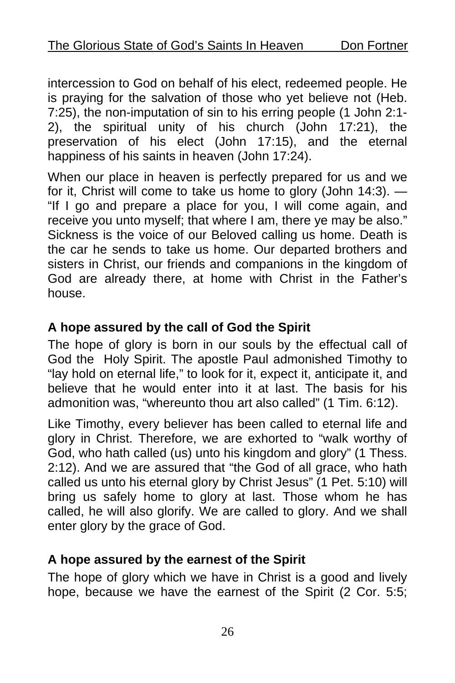intercession to God on behalf of his elect, redeemed people. He is praying for the salvation of those who yet believe not (Heb. 7:25), the non-imputation of sin to his erring people (1 John 2:1- 2), the spiritual unity of his church (John 17:21), the preservation of his elect (John 17:15), and the eternal happiness of his saints in heaven (John 17:24).

When our place in heaven is perfectly prepared for us and we for it, Christ will come to take us home to glory (John 14:3). — "If I go and prepare a place for you, I will come again, and receive you unto myself; that where I am, there ye may be also." Sickness is the voice of our Beloved calling us home. Death is the car he sends to take us home. Our departed brothers and sisters in Christ, our friends and companions in the kingdom of God are already there, at home with Christ in the Father's house.

#### **A hope assured by the call of God the Spirit**

The hope of glory is born in our souls by the effectual call of God the Holy Spirit. The apostle Paul admonished Timothy to "lay hold on eternal life," to look for it, expect it, anticipate it, and believe that he would enter into it at last. The basis for his admonition was, "whereunto thou art also called" (1 Tim. 6:12).

Like Timothy, every believer has been called to eternal life and glory in Christ. Therefore, we are exhorted to "walk worthy of God, who hath called (us) unto his kingdom and glory" (1 Thess. 2:12). And we are assured that "the God of all grace, who hath called us unto his eternal glory by Christ Jesus" (1 Pet. 5:10) will bring us safely home to glory at last. Those whom he has called, he will also glorify. We are called to glory. And we shall enter glory by the grace of God.

#### **A hope assured by the earnest of the Spirit**

The hope of glory which we have in Christ is a good and lively hope, because we have the earnest of the Spirit (2 Cor. 5:5;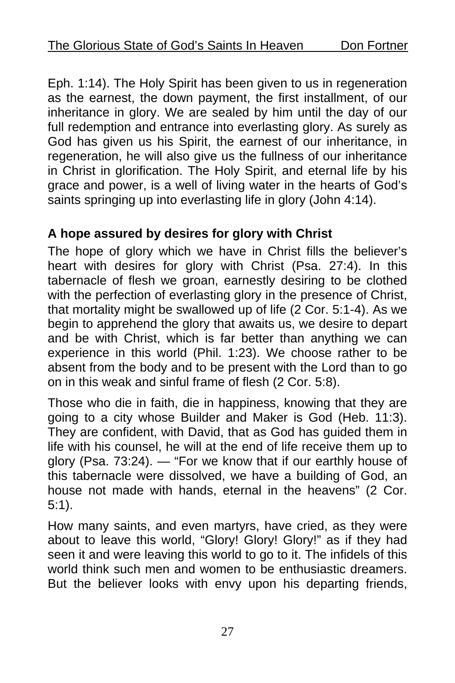Eph. 1:14). The Holy Spirit has been given to us in regeneration as the earnest, the down payment, the first installment, of our inheritance in glory. We are sealed by him until the day of our full redemption and entrance into everlasting glory. As surely as God has given us his Spirit, the earnest of our inheritance, in regeneration, he will also give us the fullness of our inheritance in Christ in glorification. The Holy Spirit, and eternal life by his grace and power, is a well of living water in the hearts of God's saints springing up into everlasting life in glory (John 4:14).

#### **A hope assured by desires for glory with Christ**

The hope of glory which we have in Christ fills the believer's heart with desires for glory with Christ (Psa. 27:4). In this tabernacle of flesh we groan, earnestly desiring to be clothed with the perfection of everlasting glory in the presence of Christ, that mortality might be swallowed up of life (2 Cor. 5:1-4). As we begin to apprehend the glory that awaits us, we desire to depart and be with Christ, which is far better than anything we can experience in this world (Phil. 1:23). We choose rather to be absent from the body and to be present with the Lord than to go on in this weak and sinful frame of flesh (2 Cor. 5:8).

Those who die in faith, die in happiness, knowing that they are going to a city whose Builder and Maker is God (Heb. 11:3). They are confident, with David, that as God has guided them in life with his counsel, he will at the end of life receive them up to glory (Psa. 73:24). — "For we know that if our earthly house of this tabernacle were dissolved, we have a building of God, an house not made with hands, eternal in the heavens" (2 Cor. 5:1).

How many saints, and even martyrs, have cried, as they were about to leave this world, "Glory! Glory! Glory!" as if they had seen it and were leaving this world to go to it. The infidels of this world think such men and women to be enthusiastic dreamers. But the believer looks with envy upon his departing friends,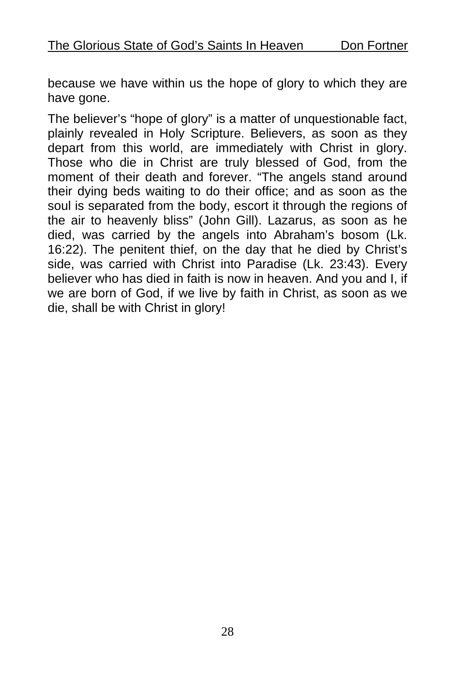because we have within us the hope of glory to which they are have gone.

The believer's "hope of glory" is a matter of unquestionable fact, plainly revealed in Holy Scripture. Believers, as soon as they depart from this world, are immediately with Christ in glory. Those who die in Christ are truly blessed of God, from the moment of their death and forever. "The angels stand around their dying beds waiting to do their office; and as soon as the soul is separated from the body, escort it through the regions of the air to heavenly bliss" (John Gill). Lazarus, as soon as he died, was carried by the angels into Abraham's bosom (Lk. 16:22). The penitent thief, on the day that he died by Christ's side, was carried with Christ into Paradise (Lk. 23:43). Every believer who has died in faith is now in heaven. And you and I, if we are born of God, if we live by faith in Christ, as soon as we die, shall be with Christ in glory!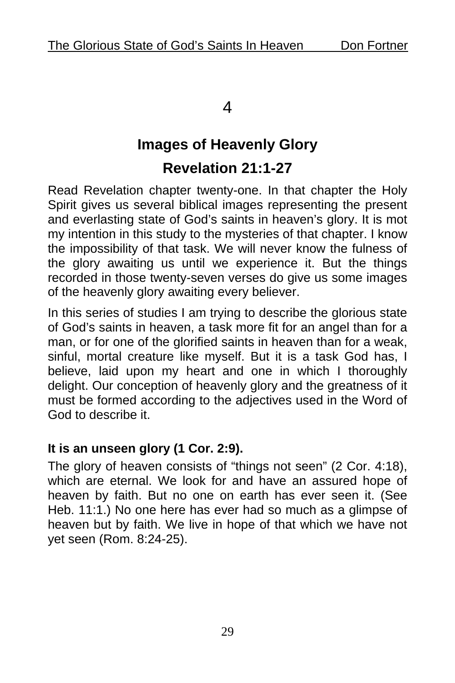#### 4

# **Images of Heavenly Glory Revelation 21:1-27**

Read Revelation chapter twenty-one. In that chapter the Holy Spirit gives us several biblical images representing the present and everlasting state of God's saints in heaven's glory. It is mot my intention in this study to the mysteries of that chapter. I know the impossibility of that task. We will never know the fulness of the glory awaiting us until we experience it. But the things recorded in those twenty-seven verses do give us some images of the heavenly glory awaiting every believer.

In this series of studies I am trying to describe the glorious state of God's saints in heaven, a task more fit for an angel than for a man, or for one of the glorified saints in heaven than for a weak, sinful, mortal creature like myself. But it is a task God has, I believe, laid upon my heart and one in which I thoroughly delight. Our conception of heavenly glory and the greatness of it must be formed according to the adjectives used in the Word of God to describe it.

#### **It is an unseen glory (1 Cor. 2:9).**

The glory of heaven consists of "things not seen" (2 Cor. 4:18), which are eternal. We look for and have an assured hope of heaven by faith. But no one on earth has ever seen it. (See Heb. 11:1.) No one here has ever had so much as a glimpse of heaven but by faith. We live in hope of that which we have not yet seen (Rom. 8:24-25).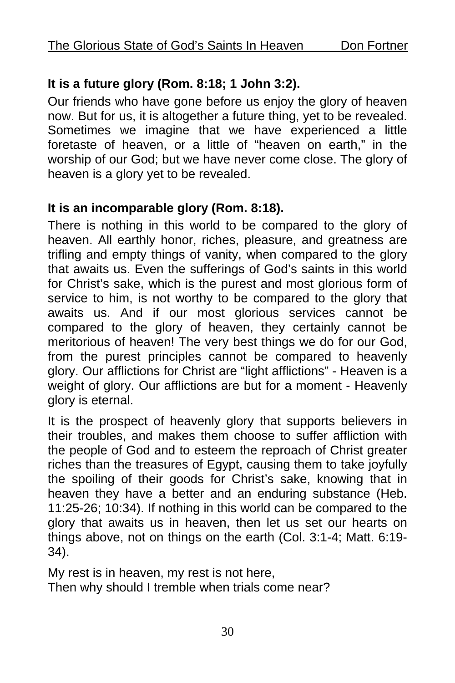#### **It is a future glory (Rom. 8:18; 1 John 3:2).**

Our friends who have gone before us enjoy the glory of heaven now. But for us, it is altogether a future thing, yet to be revealed. Sometimes we imagine that we have experienced a little foretaste of heaven, or a little of "heaven on earth," in the worship of our God; but we have never come close. The glory of heaven is a glory yet to be revealed.

#### **It is an incomparable glory (Rom. 8:18).**

There is nothing in this world to be compared to the glory of heaven. All earthly honor, riches, pleasure, and greatness are trifling and empty things of vanity, when compared to the glory that awaits us. Even the sufferings of God's saints in this world for Christ's sake, which is the purest and most glorious form of service to him, is not worthy to be compared to the glory that awaits us. And if our most glorious services cannot be compared to the glory of heaven, they certainly cannot be meritorious of heaven! The very best things we do for our God, from the purest principles cannot be compared to heavenly glory. Our afflictions for Christ are "light afflictions" - Heaven is a weight of glory. Our afflictions are but for a moment - Heavenly glory is eternal.

It is the prospect of heavenly glory that supports believers in their troubles, and makes them choose to suffer affliction with the people of God and to esteem the reproach of Christ greater riches than the treasures of Egypt, causing them to take joyfully the spoiling of their goods for Christ's sake, knowing that in heaven they have a better and an enduring substance (Heb. 11:25-26; 10:34). If nothing in this world can be compared to the glory that awaits us in heaven, then let us set our hearts on things above, not on things on the earth (Col. 3:1-4; Matt. 6:19- 34).

My rest is in heaven, my rest is not here, Then why should I tremble when trials come near?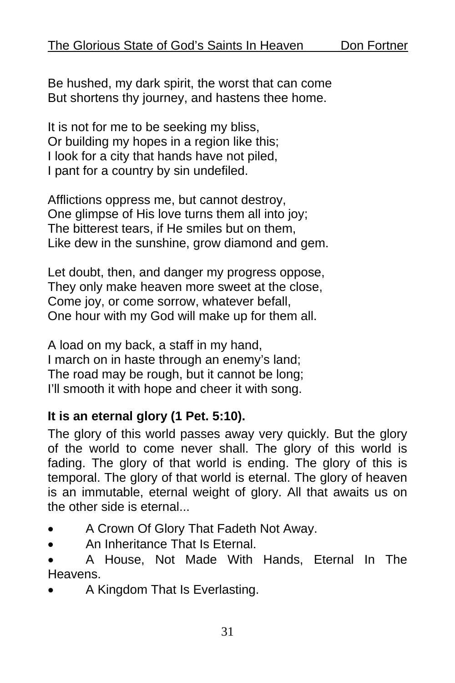Be hushed, my dark spirit, the worst that can come But shortens thy journey, and hastens thee home.

It is not for me to be seeking my bliss, Or building my hopes in a region like this; I look for a city that hands have not piled, I pant for a country by sin undefiled.

Afflictions oppress me, but cannot destroy, One glimpse of His love turns them all into joy; The bitterest tears, if He smiles but on them, Like dew in the sunshine, grow diamond and gem.

Let doubt, then, and danger my progress oppose, They only make heaven more sweet at the close, Come joy, or come sorrow, whatever befall, One hour with my God will make up for them all.

A load on my back, a staff in my hand, I march on in haste through an enemy's land; The road may be rough, but it cannot be long; I'll smooth it with hope and cheer it with song.

#### **It is an eternal glory (1 Pet. 5:10).**

The glory of this world passes away very quickly. But the glory of the world to come never shall. The glory of this world is fading. The glory of that world is ending. The glory of this is temporal. The glory of that world is eternal. The glory of heaven is an immutable, eternal weight of glory. All that awaits us on the other side is eternal...

- A Crown Of Glory That Fadeth Not Away.
- An Inheritance That Is Eternal.

• A House, Not Made With Hands, Eternal In The Heavens.

• A Kingdom That Is Everlasting.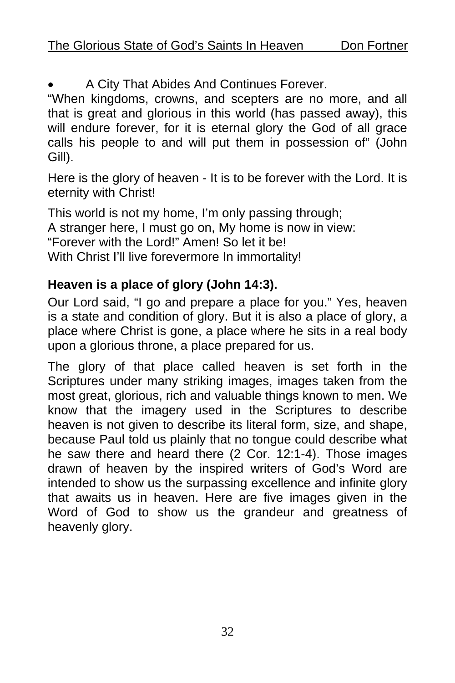• A City That Abides And Continues Forever.

"When kingdoms, crowns, and scepters are no more, and all that is great and glorious in this world (has passed away), this will endure forever, for it is eternal glory the God of all grace calls his people to and will put them in possession of" (John Gill).

Here is the glory of heaven - It is to be forever with the Lord. It is eternity with Christ!

This world is not my home, I'm only passing through; A stranger here, I must go on, My home is now in view: "Forever with the Lord!" Amen! So let it be! With Christ I'll live forevermore In immortality!

## **Heaven is a place of glory (John 14:3).**

Our Lord said, "I go and prepare a place for you." Yes, heaven is a state and condition of glory. But it is also a place of glory, a place where Christ is gone, a place where he sits in a real body upon a glorious throne, a place prepared for us.

The glory of that place called heaven is set forth in the Scriptures under many striking images, images taken from the most great, glorious, rich and valuable things known to men. We know that the imagery used in the Scriptures to describe heaven is not given to describe its literal form, size, and shape, because Paul told us plainly that no tongue could describe what he saw there and heard there (2 Cor. 12:1-4). Those images drawn of heaven by the inspired writers of God's Word are intended to show us the surpassing excellence and infinite glory that awaits us in heaven. Here are five images given in the Word of God to show us the grandeur and greatness of heavenly glory.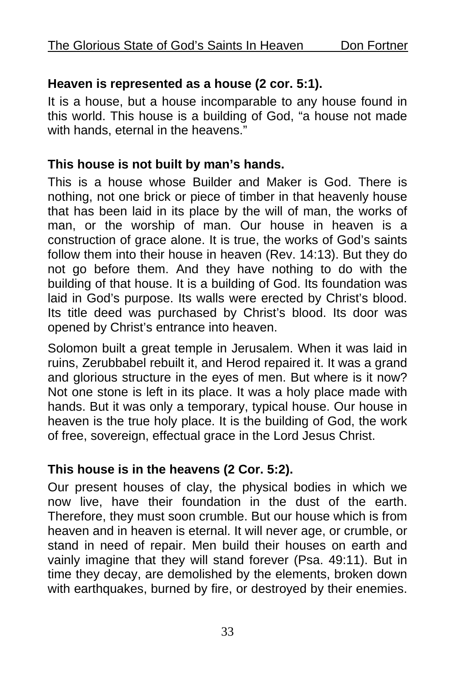#### **Heaven is represented as a house (2 cor. 5:1).**

It is a house, but a house incomparable to any house found in this world. This house is a building of God, "a house not made with hands, eternal in the heavens."

#### **This house is not built by man's hands.**

This is a house whose Builder and Maker is God. There is nothing, not one brick or piece of timber in that heavenly house that has been laid in its place by the will of man, the works of man, or the worship of man. Our house in heaven is a construction of grace alone. It is true, the works of God's saints follow them into their house in heaven (Rev. 14:13). But they do not go before them. And they have nothing to do with the building of that house. It is a building of God. Its foundation was laid in God's purpose. Its walls were erected by Christ's blood. Its title deed was purchased by Christ's blood. Its door was opened by Christ's entrance into heaven.

Solomon built a great temple in Jerusalem. When it was laid in ruins, Zerubbabel rebuilt it, and Herod repaired it. It was a grand and glorious structure in the eyes of men. But where is it now? Not one stone is left in its place. It was a holy place made with hands. But it was only a temporary, typical house. Our house in heaven is the true holy place. It is the building of God, the work of free, sovereign, effectual grace in the Lord Jesus Christ.

#### **This house is in the heavens (2 Cor. 5:2).**

Our present houses of clay, the physical bodies in which we now live, have their foundation in the dust of the earth. Therefore, they must soon crumble. But our house which is from heaven and in heaven is eternal. It will never age, or crumble, or stand in need of repair. Men build their houses on earth and vainly imagine that they will stand forever (Psa. 49:11). But in time they decay, are demolished by the elements, broken down with earthquakes, burned by fire, or destroyed by their enemies.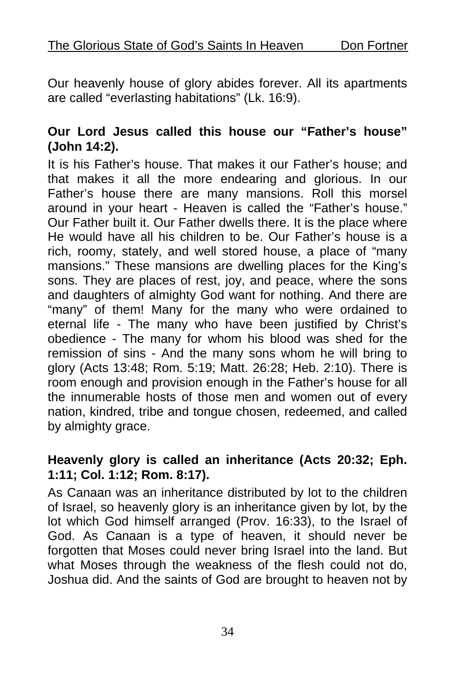Our heavenly house of glory abides forever. All its apartments are called "everlasting habitations" (Lk. 16:9).

#### **Our Lord Jesus called this house our "Father's house" (John 14:2).**

It is his Father's house. That makes it our Father's house; and that makes it all the more endearing and glorious. In our Father's house there are many mansions. Roll this morsel around in your heart - Heaven is called the "Father's house." Our Father built it. Our Father dwells there. It is the place where He would have all his children to be. Our Father's house is a rich, roomy, stately, and well stored house, a place of "many mansions." These mansions are dwelling places for the King's sons. They are places of rest, joy, and peace, where the sons and daughters of almighty God want for nothing. And there are "many" of them! Many for the many who were ordained to eternal life - The many who have been justified by Christ's obedience - The many for whom his blood was shed for the remission of sins - And the many sons whom he will bring to glory (Acts 13:48; Rom. 5:19; Matt. 26:28; Heb. 2:10). There is room enough and provision enough in the Father's house for all the innumerable hosts of those men and women out of every nation, kindred, tribe and tongue chosen, redeemed, and called by almighty grace.

#### **Heavenly glory is called an inheritance (Acts 20:32; Eph. 1:11; Col. 1:12; Rom. 8:17).**

As Canaan was an inheritance distributed by lot to the children of Israel, so heavenly glory is an inheritance given by lot, by the lot which God himself arranged (Prov. 16:33), to the Israel of God. As Canaan is a type of heaven, it should never be forgotten that Moses could never bring Israel into the land. But what Moses through the weakness of the flesh could not do, Joshua did. And the saints of God are brought to heaven not by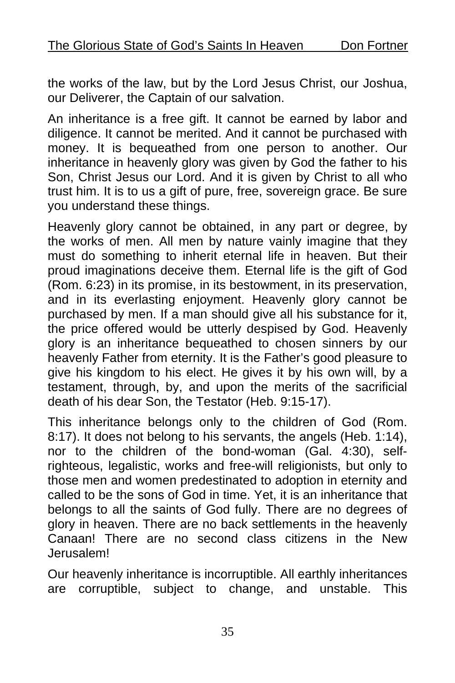the works of the law, but by the Lord Jesus Christ, our Joshua, our Deliverer, the Captain of our salvation.

An inheritance is a free gift. It cannot be earned by labor and diligence. It cannot be merited. And it cannot be purchased with money. It is bequeathed from one person to another. Our inheritance in heavenly glory was given by God the father to his Son, Christ Jesus our Lord. And it is given by Christ to all who trust him. It is to us a gift of pure, free, sovereign grace. Be sure you understand these things.

Heavenly glory cannot be obtained, in any part or degree, by the works of men. All men by nature vainly imagine that they must do something to inherit eternal life in heaven. But their proud imaginations deceive them. Eternal life is the gift of God (Rom. 6:23) in its promise, in its bestowment, in its preservation, and in its everlasting enjoyment. Heavenly glory cannot be purchased by men. If a man should give all his substance for it, the price offered would be utterly despised by God. Heavenly glory is an inheritance bequeathed to chosen sinners by our heavenly Father from eternity. It is the Father's good pleasure to give his kingdom to his elect. He gives it by his own will, by a testament, through, by, and upon the merits of the sacrificial death of his dear Son, the Testator (Heb. 9:15-17).

This inheritance belongs only to the children of God (Rom. 8:17). It does not belong to his servants, the angels (Heb. 1:14), nor to the children of the bond-woman (Gal. 4:30), selfrighteous, legalistic, works and free-will religionists, but only to those men and women predestinated to adoption in eternity and called to be the sons of God in time. Yet, it is an inheritance that belongs to all the saints of God fully. There are no degrees of glory in heaven. There are no back settlements in the heavenly Canaan! There are no second class citizens in the New Jerusalem!

Our heavenly inheritance is incorruptible. All earthly inheritances are corruptible, subject to change, and unstable. This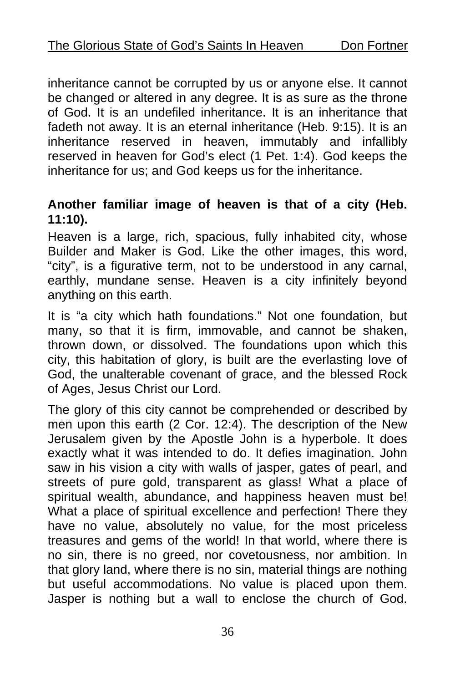inheritance cannot be corrupted by us or anyone else. It cannot be changed or altered in any degree. It is as sure as the throne of God. It is an undefiled inheritance. It is an inheritance that fadeth not away. It is an eternal inheritance (Heb. 9:15). It is an inheritance reserved in heaven, immutably and infallibly reserved in heaven for God's elect (1 Pet. 1:4). God keeps the inheritance for us; and God keeps us for the inheritance.

#### **Another familiar image of heaven is that of a city (Heb. 11:10).**

Heaven is a large, rich, spacious, fully inhabited city, whose Builder and Maker is God. Like the other images, this word, "city", is a figurative term, not to be understood in any carnal, earthly, mundane sense. Heaven is a city infinitely beyond anything on this earth.

It is "a city which hath foundations." Not one foundation, but many, so that it is firm, immovable, and cannot be shaken, thrown down, or dissolved. The foundations upon which this city, this habitation of glory, is built are the everlasting love of God, the unalterable covenant of grace, and the blessed Rock of Ages, Jesus Christ our Lord.

The glory of this city cannot be comprehended or described by men upon this earth (2 Cor. 12:4). The description of the New Jerusalem given by the Apostle John is a hyperbole. It does exactly what it was intended to do. It defies imagination. John saw in his vision a city with walls of jasper, gates of pearl, and streets of pure gold, transparent as glass! What a place of spiritual wealth, abundance, and happiness heaven must be! What a place of spiritual excellence and perfection! There they have no value, absolutely no value, for the most priceless treasures and gems of the world! In that world, where there is no sin, there is no greed, nor covetousness, nor ambition. In that glory land, where there is no sin, material things are nothing but useful accommodations. No value is placed upon them. Jasper is nothing but a wall to enclose the church of God.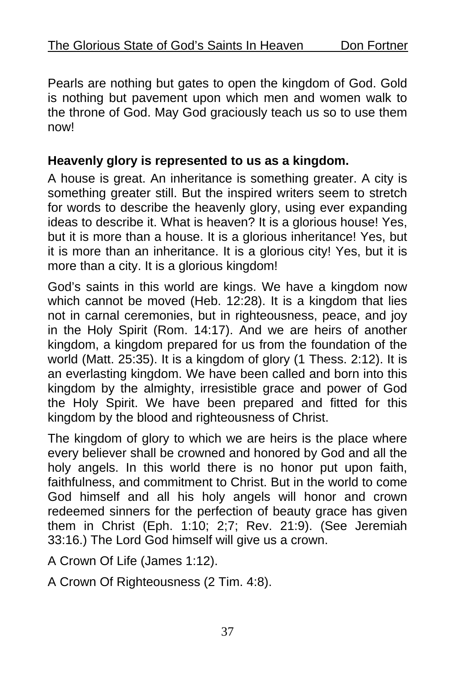Pearls are nothing but gates to open the kingdom of God. Gold is nothing but pavement upon which men and women walk to the throne of God. May God graciously teach us so to use them now!

#### **Heavenly glory is represented to us as a kingdom.**

A house is great. An inheritance is something greater. A city is something greater still. But the inspired writers seem to stretch for words to describe the heavenly glory, using ever expanding ideas to describe it. What is heaven? It is a glorious house! Yes, but it is more than a house. It is a glorious inheritance! Yes, but it is more than an inheritance. It is a glorious city! Yes, but it is more than a city. It is a glorious kingdom!

God's saints in this world are kings. We have a kingdom now which cannot be moved (Heb. 12:28). It is a kingdom that lies not in carnal ceremonies, but in righteousness, peace, and joy in the Holy Spirit (Rom. 14:17). And we are heirs of another kingdom, a kingdom prepared for us from the foundation of the world (Matt. 25:35). It is a kingdom of glory (1 Thess. 2:12). It is an everlasting kingdom. We have been called and born into this kingdom by the almighty, irresistible grace and power of God the Holy Spirit. We have been prepared and fitted for this kingdom by the blood and righteousness of Christ.

The kingdom of glory to which we are heirs is the place where every believer shall be crowned and honored by God and all the holy angels. In this world there is no honor put upon faith, faithfulness, and commitment to Christ. But in the world to come God himself and all his holy angels will honor and crown redeemed sinners for the perfection of beauty grace has given them in Christ (Eph. 1:10; 2;7; Rev. 21:9). (See Jeremiah 33:16.) The Lord God himself will give us a crown.

A Crown Of Life (James 1:12).

A Crown Of Righteousness (2 Tim. 4:8).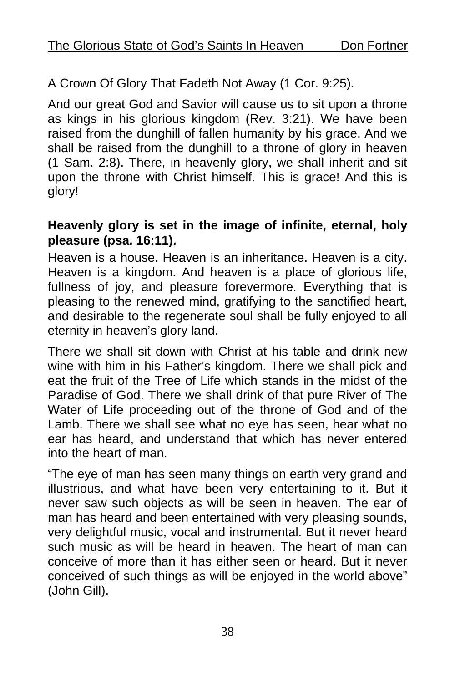A Crown Of Glory That Fadeth Not Away (1 Cor. 9:25).

And our great God and Savior will cause us to sit upon a throne as kings in his glorious kingdom (Rev. 3:21). We have been raised from the dunghill of fallen humanity by his grace. And we shall be raised from the dunghill to a throne of glory in heaven (1 Sam. 2:8). There, in heavenly glory, we shall inherit and sit upon the throne with Christ himself. This is grace! And this is glory!

#### **Heavenly glory is set in the image of infinite, eternal, holy pleasure (psa. 16:11).**

Heaven is a house. Heaven is an inheritance. Heaven is a city. Heaven is a kingdom. And heaven is a place of glorious life, fullness of joy, and pleasure forevermore. Everything that is pleasing to the renewed mind, gratifying to the sanctified heart, and desirable to the regenerate soul shall be fully enjoyed to all eternity in heaven's glory land.

There we shall sit down with Christ at his table and drink new wine with him in his Father's kingdom. There we shall pick and eat the fruit of the Tree of Life which stands in the midst of the Paradise of God. There we shall drink of that pure River of The Water of Life proceeding out of the throne of God and of the Lamb. There we shall see what no eye has seen, hear what no ear has heard, and understand that which has never entered into the heart of man.

"The eye of man has seen many things on earth very grand and illustrious, and what have been very entertaining to it. But it never saw such objects as will be seen in heaven. The ear of man has heard and been entertained with very pleasing sounds, very delightful music, vocal and instrumental. But it never heard such music as will be heard in heaven. The heart of man can conceive of more than it has either seen or heard. But it never conceived of such things as will be enjoyed in the world above" (John Gill).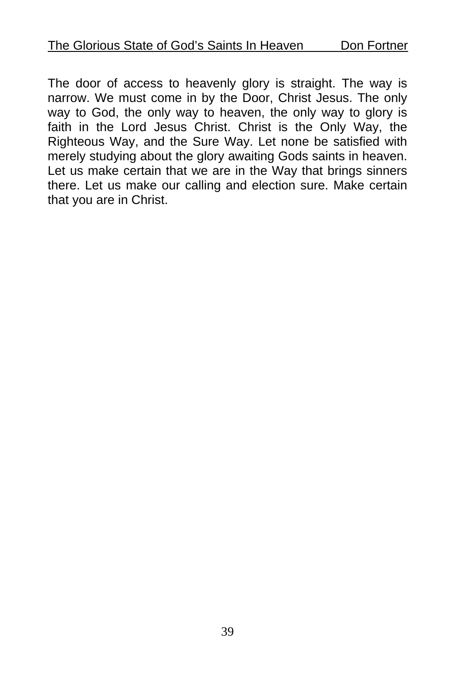The door of access to heavenly glory is straight. The way is narrow. We must come in by the Door, Christ Jesus. The only way to God, the only way to heaven, the only way to glory is faith in the Lord Jesus Christ. Christ is the Only Way, the Righteous Way, and the Sure Way. Let none be satisfied with merely studying about the glory awaiting Gods saints in heaven. Let us make certain that we are in the Way that brings sinners there. Let us make our calling and election sure. Make certain that you are in Christ.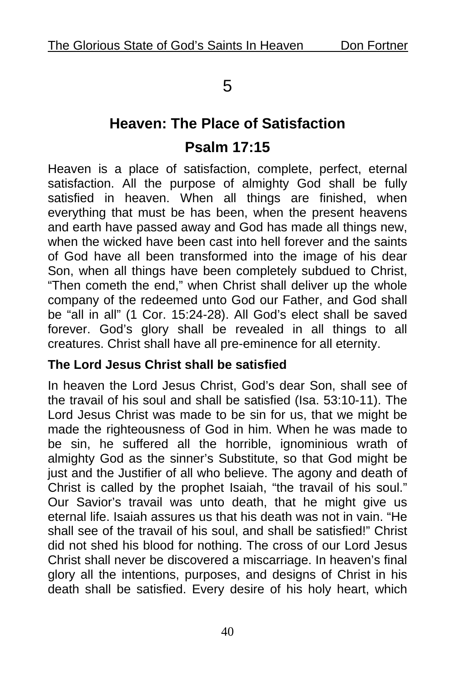## 5

# **Heaven: The Place of Satisfaction Psalm 17:15**

Heaven is a place of satisfaction, complete, perfect, eternal satisfaction. All the purpose of almighty God shall be fully satisfied in heaven. When all things are finished, when everything that must be has been, when the present heavens and earth have passed away and God has made all things new, when the wicked have been cast into hell forever and the saints of God have all been transformed into the image of his dear Son, when all things have been completely subdued to Christ, "Then cometh the end," when Christ shall deliver up the whole company of the redeemed unto God our Father, and God shall be "all in all" (1 Cor. 15:24-28). All God's elect shall be saved forever. God's glory shall be revealed in all things to all creatures. Christ shall have all pre-eminence for all eternity.

#### **The Lord Jesus Christ shall be satisfied**

In heaven the Lord Jesus Christ, God's dear Son, shall see of the travail of his soul and shall be satisfied (Isa. 53:10-11). The Lord Jesus Christ was made to be sin for us, that we might be made the righteousness of God in him. When he was made to be sin, he suffered all the horrible, ignominious wrath of almighty God as the sinner's Substitute, so that God might be just and the Justifier of all who believe. The agony and death of Christ is called by the prophet Isaiah, "the travail of his soul." Our Savior's travail was unto death, that he might give us eternal life. Isaiah assures us that his death was not in vain. "He shall see of the travail of his soul, and shall be satisfied!" Christ did not shed his blood for nothing. The cross of our Lord Jesus Christ shall never be discovered a miscarriage. In heaven's final glory all the intentions, purposes, and designs of Christ in his death shall be satisfied. Every desire of his holy heart, which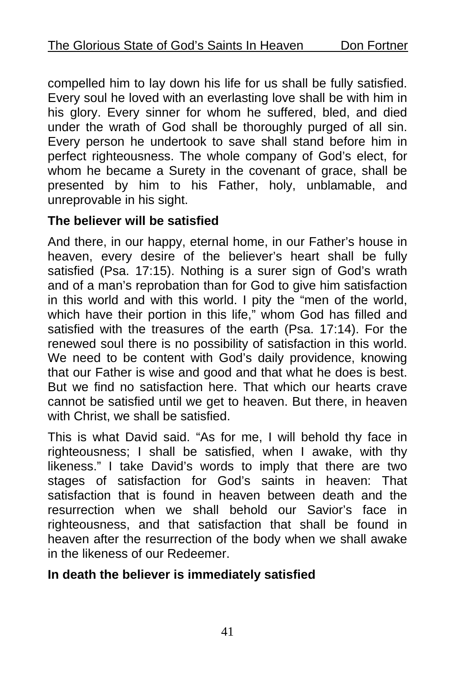compelled him to lay down his life for us shall be fully satisfied. Every soul he loved with an everlasting love shall be with him in his glory. Every sinner for whom he suffered, bled, and died under the wrath of God shall be thoroughly purged of all sin. Every person he undertook to save shall stand before him in perfect righteousness. The whole company of God's elect, for whom he became a Surety in the covenant of grace, shall be presented by him to his Father, holy, unblamable, and unreprovable in his sight.

#### **The believer will be satisfied**

And there, in our happy, eternal home, in our Father's house in heaven, every desire of the believer's heart shall be fully satisfied (Psa. 17:15). Nothing is a surer sign of God's wrath and of a man's reprobation than for God to give him satisfaction in this world and with this world. I pity the "men of the world, which have their portion in this life," whom God has filled and satisfied with the treasures of the earth (Psa. 17:14). For the renewed soul there is no possibility of satisfaction in this world. We need to be content with God's daily providence, knowing that our Father is wise and good and that what he does is best. But we find no satisfaction here. That which our hearts crave cannot be satisfied until we get to heaven. But there, in heaven with Christ, we shall be satisfied.

This is what David said. "As for me, I will behold thy face in righteousness; I shall be satisfied, when I awake, with thy likeness." I take David's words to imply that there are two stages of satisfaction for God's saints in heaven: That satisfaction that is found in heaven between death and the resurrection when we shall behold our Savior's face in righteousness, and that satisfaction that shall be found in heaven after the resurrection of the body when we shall awake in the likeness of our Redeemer.

#### **In death the believer is immediately satisfied**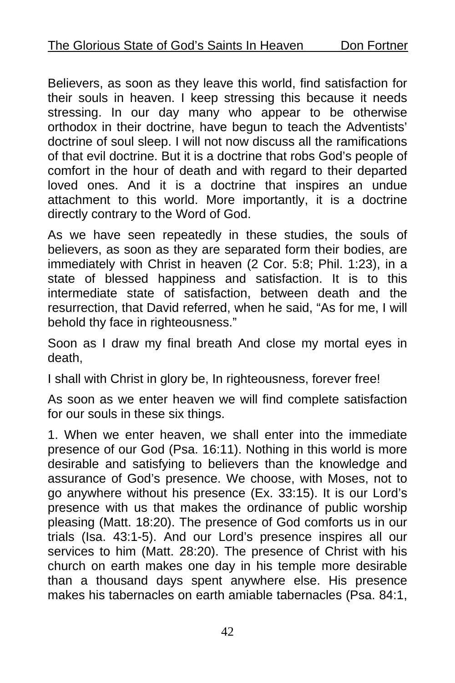Believers, as soon as they leave this world, find satisfaction for their souls in heaven. I keep stressing this because it needs stressing. In our day many who appear to be otherwise orthodox in their doctrine, have begun to teach the Adventists' doctrine of soul sleep. I will not now discuss all the ramifications of that evil doctrine. But it is a doctrine that robs God's people of comfort in the hour of death and with regard to their departed loved ones. And it is a doctrine that inspires an undue attachment to this world. More importantly, it is a doctrine directly contrary to the Word of God.

As we have seen repeatedly in these studies, the souls of believers, as soon as they are separated form their bodies, are immediately with Christ in heaven (2 Cor. 5:8; Phil. 1:23), in a state of blessed happiness and satisfaction. It is to this intermediate state of satisfaction, between death and the resurrection, that David referred, when he said, "As for me, I will behold thy face in righteousness."

Soon as I draw my final breath And close my mortal eyes in death,

I shall with Christ in glory be, In righteousness, forever free!

As soon as we enter heaven we will find complete satisfaction for our souls in these six things.

1. When we enter heaven, we shall enter into the immediate presence of our God (Psa. 16:11). Nothing in this world is more desirable and satisfying to believers than the knowledge and assurance of God's presence. We choose, with Moses, not to go anywhere without his presence (Ex. 33:15). It is our Lord's presence with us that makes the ordinance of public worship pleasing (Matt. 18:20). The presence of God comforts us in our trials (Isa. 43:1-5). And our Lord's presence inspires all our services to him (Matt. 28:20). The presence of Christ with his church on earth makes one day in his temple more desirable than a thousand days spent anywhere else. His presence makes his tabernacles on earth amiable tabernacles (Psa. 84:1,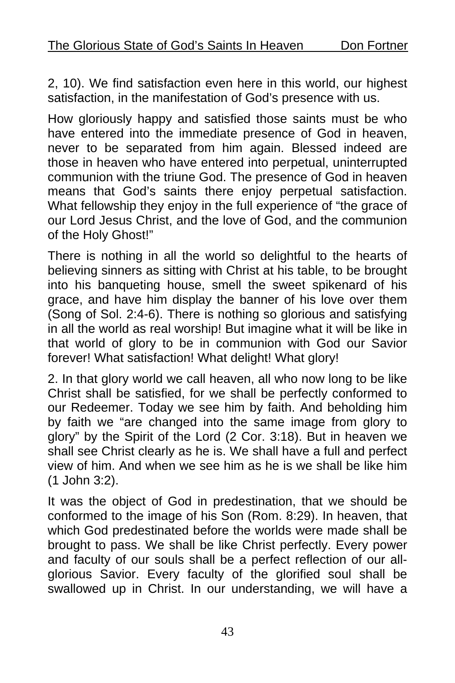2, 10). We find satisfaction even here in this world, our highest satisfaction, in the manifestation of God's presence with us.

How gloriously happy and satisfied those saints must be who have entered into the immediate presence of God in heaven, never to be separated from him again. Blessed indeed are those in heaven who have entered into perpetual, uninterrupted communion with the triune God. The presence of God in heaven means that God's saints there enjoy perpetual satisfaction. What fellowship they enjoy in the full experience of "the grace of our Lord Jesus Christ, and the love of God, and the communion of the Holy Ghost!"

There is nothing in all the world so delightful to the hearts of believing sinners as sitting with Christ at his table, to be brought into his banqueting house, smell the sweet spikenard of his grace, and have him display the banner of his love over them (Song of Sol. 2:4-6). There is nothing so glorious and satisfying in all the world as real worship! But imagine what it will be like in that world of glory to be in communion with God our Savior forever! What satisfaction! What delight! What glory!

2. In that glory world we call heaven, all who now long to be like Christ shall be satisfied, for we shall be perfectly conformed to our Redeemer. Today we see him by faith. And beholding him by faith we "are changed into the same image from glory to glory" by the Spirit of the Lord (2 Cor. 3:18). But in heaven we shall see Christ clearly as he is. We shall have a full and perfect view of him. And when we see him as he is we shall be like him (1 John 3:2).

It was the object of God in predestination, that we should be conformed to the image of his Son (Rom. 8:29). In heaven, that which God predestinated before the worlds were made shall be brought to pass. We shall be like Christ perfectly. Every power and faculty of our souls shall be a perfect reflection of our allglorious Savior. Every faculty of the glorified soul shall be swallowed up in Christ. In our understanding, we will have a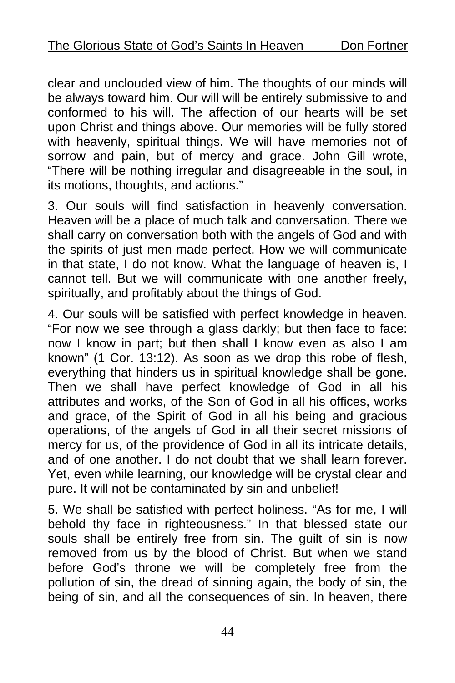clear and unclouded view of him. The thoughts of our minds will be always toward him. Our will will be entirely submissive to and conformed to his will. The affection of our hearts will be set upon Christ and things above. Our memories will be fully stored with heavenly, spiritual things. We will have memories not of sorrow and pain, but of mercy and grace. John Gill wrote, "There will be nothing irregular and disagreeable in the soul, in its motions, thoughts, and actions."

3. Our souls will find satisfaction in heavenly conversation. Heaven will be a place of much talk and conversation. There we shall carry on conversation both with the angels of God and with the spirits of just men made perfect. How we will communicate in that state, I do not know. What the language of heaven is, I cannot tell. But we will communicate with one another freely, spiritually, and profitably about the things of God.

4. Our souls will be satisfied with perfect knowledge in heaven. "For now we see through a glass darkly; but then face to face: now I know in part; but then shall I know even as also I am known" (1 Cor. 13:12). As soon as we drop this robe of flesh, everything that hinders us in spiritual knowledge shall be gone. Then we shall have perfect knowledge of God in all his attributes and works, of the Son of God in all his offices, works and grace, of the Spirit of God in all his being and gracious operations, of the angels of God in all their secret missions of mercy for us, of the providence of God in all its intricate details. and of one another. I do not doubt that we shall learn forever. Yet, even while learning, our knowledge will be crystal clear and pure. It will not be contaminated by sin and unbelief!

5. We shall be satisfied with perfect holiness. "As for me, I will behold thy face in righteousness." In that blessed state our souls shall be entirely free from sin. The guilt of sin is now removed from us by the blood of Christ. But when we stand before God's throne we will be completely free from the pollution of sin, the dread of sinning again, the body of sin, the being of sin, and all the consequences of sin. In heaven, there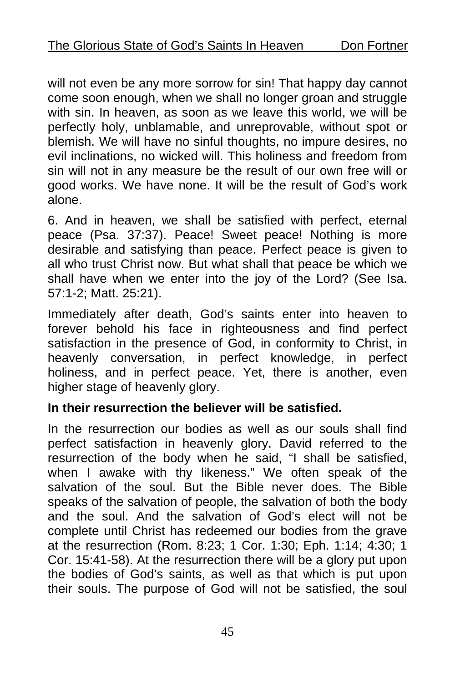will not even be any more sorrow for sin! That happy day cannot come soon enough, when we shall no longer groan and struggle with sin. In heaven, as soon as we leave this world, we will be perfectly holy, unblamable, and unreprovable, without spot or blemish. We will have no sinful thoughts, no impure desires, no evil inclinations, no wicked will. This holiness and freedom from sin will not in any measure be the result of our own free will or good works. We have none. It will be the result of God's work alone.

6. And in heaven, we shall be satisfied with perfect, eternal peace (Psa. 37:37). Peace! Sweet peace! Nothing is more desirable and satisfying than peace. Perfect peace is given to all who trust Christ now. But what shall that peace be which we shall have when we enter into the joy of the Lord? (See Isa. 57:1-2; Matt. 25:21).

Immediately after death, God's saints enter into heaven to forever behold his face in righteousness and find perfect satisfaction in the presence of God, in conformity to Christ, in heavenly conversation, in perfect knowledge, in perfect holiness, and in perfect peace. Yet, there is another, even higher stage of heavenly glory.

#### **In their resurrection the believer will be satisfied.**

In the resurrection our bodies as well as our souls shall find perfect satisfaction in heavenly glory. David referred to the resurrection of the body when he said, "I shall be satisfied, when I awake with thy likeness." We often speak of the salvation of the soul. But the Bible never does. The Bible speaks of the salvation of people, the salvation of both the body and the soul. And the salvation of God's elect will not be complete until Christ has redeemed our bodies from the grave at the resurrection (Rom. 8:23; 1 Cor. 1:30; Eph. 1:14; 4:30; 1 Cor. 15:41-58). At the resurrection there will be a glory put upon the bodies of God's saints, as well as that which is put upon their souls. The purpose of God will not be satisfied, the soul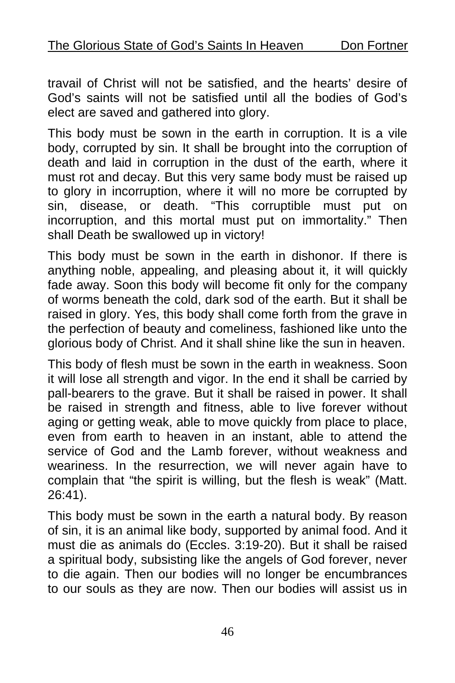travail of Christ will not be satisfied, and the hearts' desire of God's saints will not be satisfied until all the bodies of God's elect are saved and gathered into glory.

This body must be sown in the earth in corruption. It is a vile body, corrupted by sin. It shall be brought into the corruption of death and laid in corruption in the dust of the earth, where it must rot and decay. But this very same body must be raised up to glory in incorruption, where it will no more be corrupted by sin, disease, or death. "This corruptible must put on incorruption, and this mortal must put on immortality." Then shall Death be swallowed up in victory!

This body must be sown in the earth in dishonor. If there is anything noble, appealing, and pleasing about it, it will quickly fade away. Soon this body will become fit only for the company of worms beneath the cold, dark sod of the earth. But it shall be raised in glory. Yes, this body shall come forth from the grave in the perfection of beauty and comeliness, fashioned like unto the glorious body of Christ. And it shall shine like the sun in heaven.

This body of flesh must be sown in the earth in weakness. Soon it will lose all strength and vigor. In the end it shall be carried by pall-bearers to the grave. But it shall be raised in power. It shall be raised in strength and fitness, able to live forever without aging or getting weak, able to move quickly from place to place, even from earth to heaven in an instant, able to attend the service of God and the Lamb forever, without weakness and weariness. In the resurrection, we will never again have to complain that "the spirit is willing, but the flesh is weak" (Matt. 26:41).

This body must be sown in the earth a natural body. By reason of sin, it is an animal like body, supported by animal food. And it must die as animals do (Eccles. 3:19-20). But it shall be raised a spiritual body, subsisting like the angels of God forever, never to die again. Then our bodies will no longer be encumbrances to our souls as they are now. Then our bodies will assist us in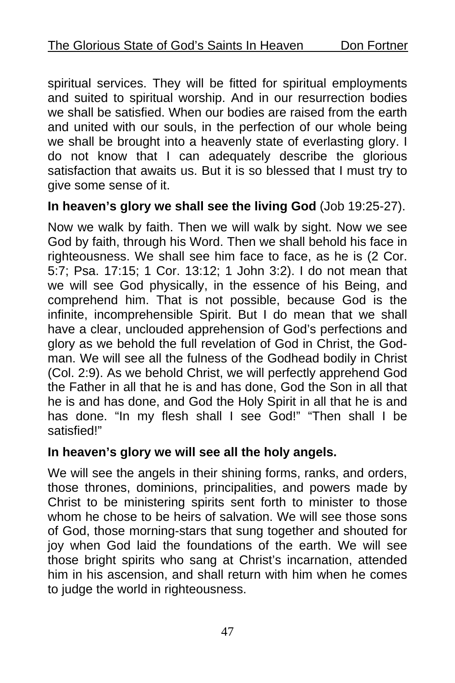spiritual services. They will be fitted for spiritual employments and suited to spiritual worship. And in our resurrection bodies we shall be satisfied. When our bodies are raised from the earth and united with our souls, in the perfection of our whole being we shall be brought into a heavenly state of everlasting glory. I do not know that I can adequately describe the glorious satisfaction that awaits us. But it is so blessed that I must try to give some sense of it.

#### **In heaven's glory we shall see the living God** (Job 19:25-27).

Now we walk by faith. Then we will walk by sight. Now we see God by faith, through his Word. Then we shall behold his face in righteousness. We shall see him face to face, as he is (2 Cor. 5:7; Psa. 17:15; 1 Cor. 13:12; 1 John 3:2). I do not mean that we will see God physically, in the essence of his Being, and comprehend him. That is not possible, because God is the infinite, incomprehensible Spirit. But I do mean that we shall have a clear, unclouded apprehension of God's perfections and glory as we behold the full revelation of God in Christ, the Godman. We will see all the fulness of the Godhead bodily in Christ (Col. 2:9). As we behold Christ, we will perfectly apprehend God the Father in all that he is and has done, God the Son in all that he is and has done, and God the Holy Spirit in all that he is and has done. "In my flesh shall I see God!" "Then shall I be satisfied!"

#### **In heaven's glory we will see all the holy angels.**

We will see the angels in their shining forms, ranks, and orders, those thrones, dominions, principalities, and powers made by Christ to be ministering spirits sent forth to minister to those whom he chose to be heirs of salvation. We will see those sons of God, those morning-stars that sung together and shouted for joy when God laid the foundations of the earth. We will see those bright spirits who sang at Christ's incarnation, attended him in his ascension, and shall return with him when he comes to judge the world in righteousness.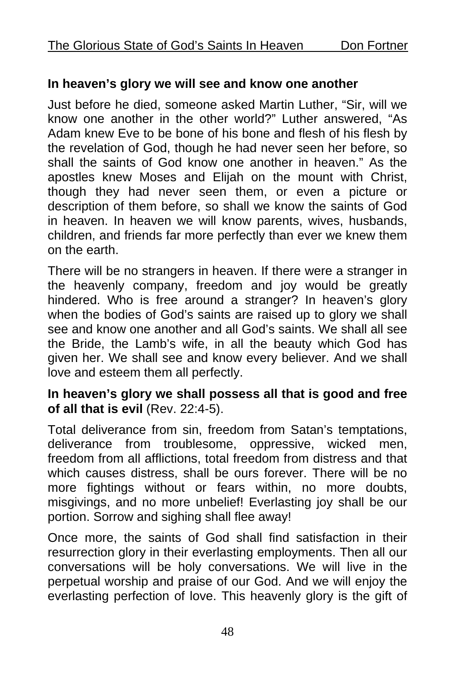#### **In heaven's glory we will see and know one another**

Just before he died, someone asked Martin Luther, "Sir, will we know one another in the other world?" Luther answered, "As Adam knew Eve to be bone of his bone and flesh of his flesh by the revelation of God, though he had never seen her before, so shall the saints of God know one another in heaven." As the apostles knew Moses and Elijah on the mount with Christ, though they had never seen them, or even a picture or description of them before, so shall we know the saints of God in heaven. In heaven we will know parents, wives, husbands, children, and friends far more perfectly than ever we knew them on the earth.

There will be no strangers in heaven. If there were a stranger in the heavenly company, freedom and joy would be greatly hindered. Who is free around a stranger? In heaven's glory when the bodies of God's saints are raised up to glory we shall see and know one another and all God's saints. We shall all see the Bride, the Lamb's wife, in all the beauty which God has given her. We shall see and know every believer. And we shall love and esteem them all perfectly.

#### **In heaven's glory we shall possess all that is good and free of all that is evil** (Rev. 22:4-5).

Total deliverance from sin, freedom from Satan's temptations, deliverance from troublesome, oppressive, wicked men, freedom from all afflictions, total freedom from distress and that which causes distress, shall be ours forever. There will be no more fightings without or fears within, no more doubts, misgivings, and no more unbelief! Everlasting joy shall be our portion. Sorrow and sighing shall flee away!

Once more, the saints of God shall find satisfaction in their resurrection glory in their everlasting employments. Then all our conversations will be holy conversations. We will live in the perpetual worship and praise of our God. And we will enjoy the everlasting perfection of love. This heavenly glory is the gift of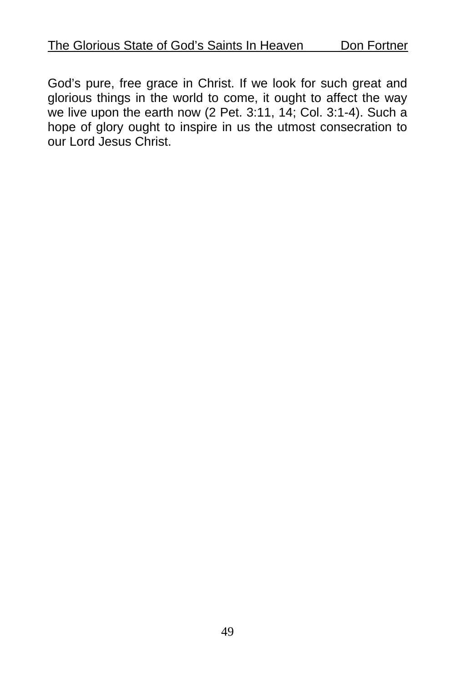God's pure, free grace in Christ. If we look for such great and glorious things in the world to come, it ought to affect the way we live upon the earth now (2 Pet. 3:11, 14; Col. 3:1-4). Such a hope of glory ought to inspire in us the utmost consecration to our Lord Jesus Christ.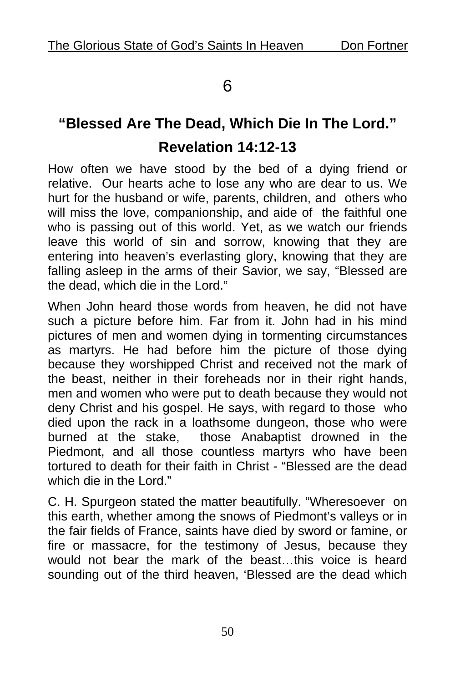## 6

# **"Blessed Are The Dead, Which Die In The Lord." Revelation 14:12-13**

How often we have stood by the bed of a dying friend or relative. Our hearts ache to lose any who are dear to us. We hurt for the husband or wife, parents, children, and others who will miss the love, companionship, and aide of the faithful one who is passing out of this world. Yet, as we watch our friends leave this world of sin and sorrow, knowing that they are entering into heaven's everlasting glory, knowing that they are falling asleep in the arms of their Savior, we say, "Blessed are the dead, which die in the Lord."

When John heard those words from heaven, he did not have such a picture before him. Far from it. John had in his mind pictures of men and women dying in tormenting circumstances as martyrs. He had before him the picture of those dying because they worshipped Christ and received not the mark of the beast, neither in their foreheads nor in their right hands, men and women who were put to death because they would not deny Christ and his gospel. He says, with regard to those who died upon the rack in a loathsome dungeon, those who were burned at the stake, those Anabaptist drowned in the Piedmont, and all those countless martyrs who have been tortured to death for their faith in Christ - "Blessed are the dead which die in the Lord."

C. H. Spurgeon stated the matter beautifully. "Wheresoever on this earth, whether among the snows of Piedmont's valleys or in the fair fields of France, saints have died by sword or famine, or fire or massacre, for the testimony of Jesus, because they would not bear the mark of the beast…this voice is heard sounding out of the third heaven, 'Blessed are the dead which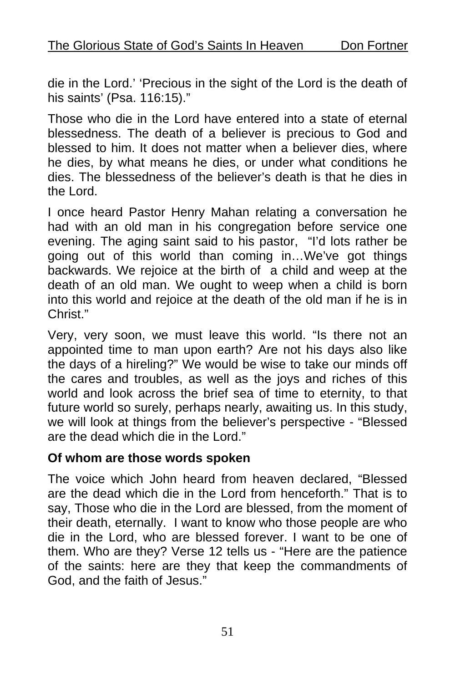die in the Lord.' 'Precious in the sight of the Lord is the death of his saints' (Psa. 116:15)."

Those who die in the Lord have entered into a state of eternal blessedness. The death of a believer is precious to God and blessed to him. It does not matter when a believer dies, where he dies, by what means he dies, or under what conditions he dies. The blessedness of the believer's death is that he dies in the Lord.

I once heard Pastor Henry Mahan relating a conversation he had with an old man in his congregation before service one evening. The aging saint said to his pastor, "I'd lots rather be going out of this world than coming in…We've got things backwards. We rejoice at the birth of a child and weep at the death of an old man. We ought to weep when a child is born into this world and rejoice at the death of the old man if he is in Christ<sup>"</sup>

Very, very soon, we must leave this world. "Is there not an appointed time to man upon earth? Are not his days also like the days of a hireling?" We would be wise to take our minds off the cares and troubles, as well as the joys and riches of this world and look across the brief sea of time to eternity, to that future world so surely, perhaps nearly, awaiting us. In this study, we will look at things from the believer's perspective - "Blessed are the dead which die in the Lord."

#### **Of whom are those words spoken**

The voice which John heard from heaven declared, "Blessed are the dead which die in the Lord from henceforth." That is to say, Those who die in the Lord are blessed, from the moment of their death, eternally. I want to know who those people are who die in the Lord, who are blessed forever. I want to be one of them. Who are they? Verse 12 tells us - "Here are the patience of the saints: here are they that keep the commandments of God, and the faith of Jesus."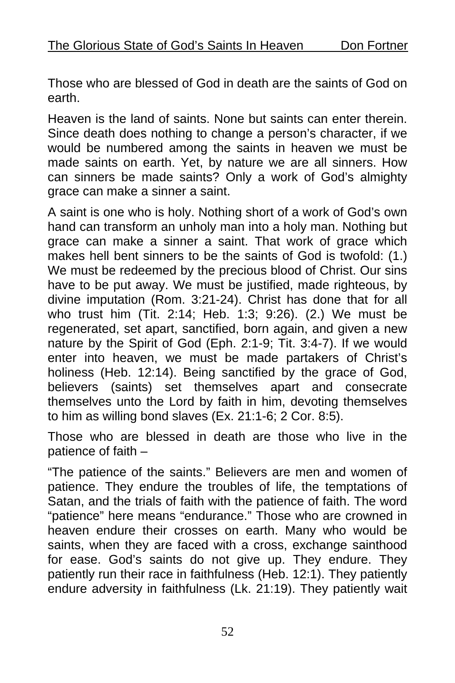Those who are blessed of God in death are the saints of God on earth.

Heaven is the land of saints. None but saints can enter therein. Since death does nothing to change a person's character, if we would be numbered among the saints in heaven we must be made saints on earth. Yet, by nature we are all sinners. How can sinners be made saints? Only a work of God's almighty grace can make a sinner a saint.

A saint is one who is holy. Nothing short of a work of God's own hand can transform an unholy man into a holy man. Nothing but grace can make a sinner a saint. That work of grace which makes hell bent sinners to be the saints of God is twofold: (1.) We must be redeemed by the precious blood of Christ. Our sins have to be put away. We must be justified, made righteous, by divine imputation (Rom. 3:21-24). Christ has done that for all who trust him (Tit. 2:14; Heb. 1:3; 9:26). (2.) We must be regenerated, set apart, sanctified, born again, and given a new nature by the Spirit of God (Eph. 2:1-9; Tit. 3:4-7). If we would enter into heaven, we must be made partakers of Christ's holiness (Heb. 12:14). Being sanctified by the grace of God, believers (saints) set themselves apart and consecrate themselves unto the Lord by faith in him, devoting themselves to him as willing bond slaves (Ex. 21:1-6; 2 Cor. 8:5).

Those who are blessed in death are those who live in the patience of faith –

"The patience of the saints." Believers are men and women of patience. They endure the troubles of life, the temptations of Satan, and the trials of faith with the patience of faith. The word "patience" here means "endurance." Those who are crowned in heaven endure their crosses on earth. Many who would be saints, when they are faced with a cross, exchange sainthood for ease. God's saints do not give up. They endure. They patiently run their race in faithfulness (Heb. 12:1). They patiently endure adversity in faithfulness (Lk. 21:19). They patiently wait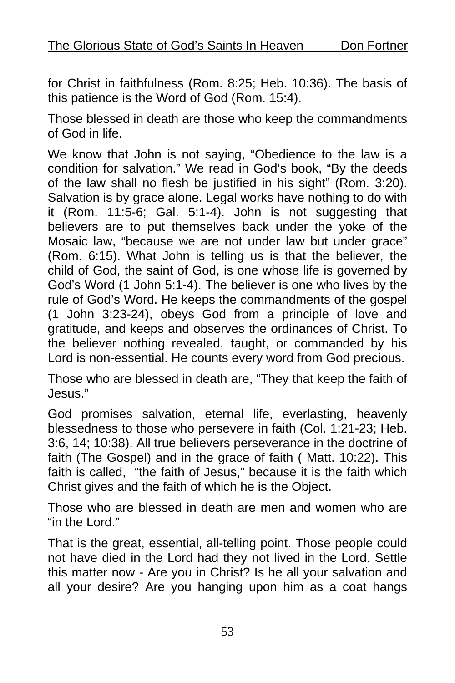for Christ in faithfulness (Rom. 8:25; Heb. 10:36). The basis of this patience is the Word of God (Rom. 15:4).

Those blessed in death are those who keep the commandments of God in life.

We know that John is not saying, "Obedience to the law is a condition for salvation." We read in God's book, "By the deeds of the law shall no flesh be justified in his sight" (Rom. 3:20). Salvation is by grace alone. Legal works have nothing to do with it (Rom. 11:5-6; Gal. 5:1-4). John is not suggesting that believers are to put themselves back under the yoke of the Mosaic law, "because we are not under law but under grace" (Rom. 6:15). What John is telling us is that the believer, the child of God, the saint of God, is one whose life is governed by God's Word (1 John 5:1-4). The believer is one who lives by the rule of God's Word. He keeps the commandments of the gospel (1 John 3:23-24), obeys God from a principle of love and gratitude, and keeps and observes the ordinances of Christ. To the believer nothing revealed, taught, or commanded by his Lord is non-essential. He counts every word from God precious.

Those who are blessed in death are, "They that keep the faith of Jesus."

God promises salvation, eternal life, everlasting, heavenly blessedness to those who persevere in faith (Col. 1:21-23; Heb. 3:6, 14; 10:38). All true believers perseverance in the doctrine of faith (The Gospel) and in the grace of faith ( Matt. 10:22). This faith is called, "the faith of Jesus," because it is the faith which Christ gives and the faith of which he is the Object.

Those who are blessed in death are men and women who are "in the Lord."

That is the great, essential, all-telling point. Those people could not have died in the Lord had they not lived in the Lord. Settle this matter now - Are you in Christ? Is he all your salvation and all your desire? Are you hanging upon him as a coat hangs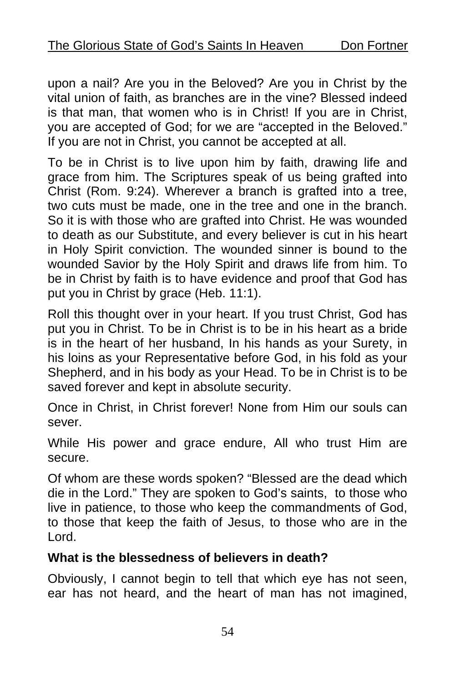upon a nail? Are you in the Beloved? Are you in Christ by the vital union of faith, as branches are in the vine? Blessed indeed is that man, that women who is in Christ! If you are in Christ, you are accepted of God; for we are "accepted in the Beloved." If you are not in Christ, you cannot be accepted at all.

To be in Christ is to live upon him by faith, drawing life and grace from him. The Scriptures speak of us being grafted into Christ (Rom. 9:24). Wherever a branch is grafted into a tree, two cuts must be made, one in the tree and one in the branch. So it is with those who are grafted into Christ. He was wounded to death as our Substitute, and every believer is cut in his heart in Holy Spirit conviction. The wounded sinner is bound to the wounded Savior by the Holy Spirit and draws life from him. To be in Christ by faith is to have evidence and proof that God has put you in Christ by grace (Heb. 11:1).

Roll this thought over in your heart. If you trust Christ, God has put you in Christ. To be in Christ is to be in his heart as a bride is in the heart of her husband, In his hands as your Surety, in his loins as your Representative before God, in his fold as your Shepherd, and in his body as your Head. To be in Christ is to be saved forever and kept in absolute security.

Once in Christ, in Christ forever! None from Him our souls can sever.

While His power and grace endure, All who trust Him are secure.

Of whom are these words spoken? "Blessed are the dead which die in the Lord." They are spoken to God's saints, to those who live in patience, to those who keep the commandments of God, to those that keep the faith of Jesus, to those who are in the Lord.

#### **What is the blessedness of believers in death?**

Obviously, I cannot begin to tell that which eye has not seen, ear has not heard, and the heart of man has not imagined,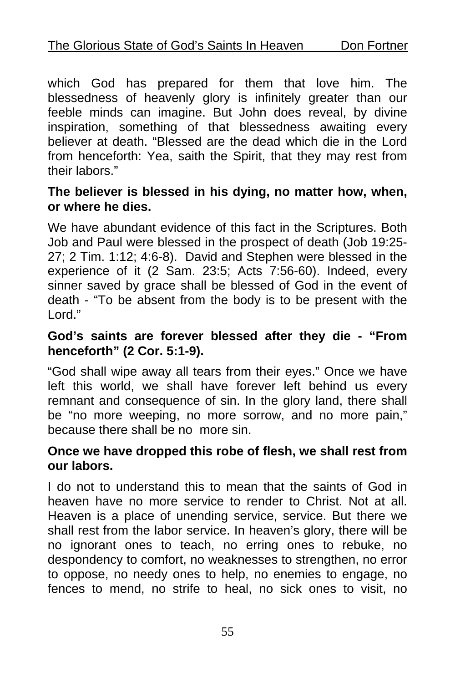which God has prepared for them that love him. The blessedness of heavenly glory is infinitely greater than our feeble minds can imagine. But John does reveal, by divine inspiration, something of that blessedness awaiting every believer at death. "Blessed are the dead which die in the Lord from henceforth: Yea, saith the Spirit, that they may rest from their labors."

#### **The believer is blessed in his dying, no matter how, when, or where he dies.**

We have abundant evidence of this fact in the Scriptures. Both Job and Paul were blessed in the prospect of death (Job 19:25- 27; 2 Tim. 1:12; 4:6-8). David and Stephen were blessed in the experience of it (2 Sam. 23:5; Acts 7:56-60). Indeed, every sinner saved by grace shall be blessed of God in the event of death - "To be absent from the body is to be present with the Lord."

#### **God's saints are forever blessed after they die - "From henceforth" (2 Cor. 5:1-9).**

"God shall wipe away all tears from their eyes." Once we have left this world, we shall have forever left behind us every remnant and consequence of sin. In the glory land, there shall be "no more weeping, no more sorrow, and no more pain," because there shall be no more sin.

#### **Once we have dropped this robe of flesh, we shall rest from our labors.**

I do not to understand this to mean that the saints of God in heaven have no more service to render to Christ. Not at all. Heaven is a place of unending service, service. But there we shall rest from the labor service. In heaven's glory, there will be no ignorant ones to teach, no erring ones to rebuke, no despondency to comfort, no weaknesses to strengthen, no error to oppose, no needy ones to help, no enemies to engage, no fences to mend, no strife to heal, no sick ones to visit, no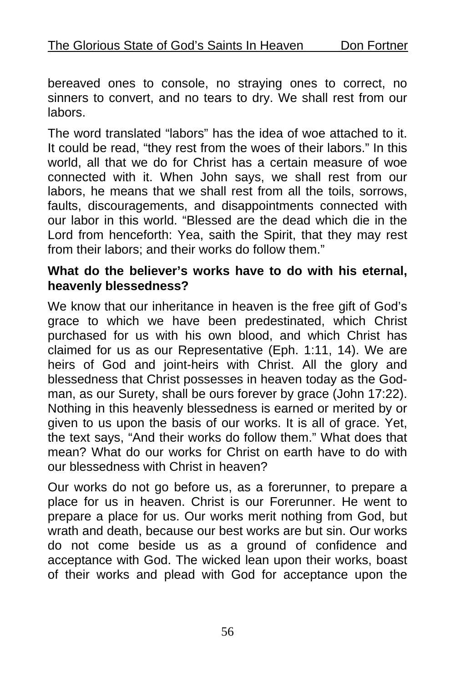bereaved ones to console, no straying ones to correct, no sinners to convert, and no tears to dry. We shall rest from our labors.

The word translated "labors" has the idea of woe attached to it. It could be read, "they rest from the woes of their labors." In this world, all that we do for Christ has a certain measure of woe connected with it. When John says, we shall rest from our labors, he means that we shall rest from all the toils, sorrows, faults, discouragements, and disappointments connected with our labor in this world. "Blessed are the dead which die in the Lord from henceforth: Yea, saith the Spirit, that they may rest from their labors; and their works do follow them."

#### **What do the believer's works have to do with his eternal, heavenly blessedness?**

We know that our inheritance in heaven is the free gift of God's grace to which we have been predestinated, which Christ purchased for us with his own blood, and which Christ has claimed for us as our Representative (Eph. 1:11, 14). We are heirs of God and joint-heirs with Christ. All the glory and blessedness that Christ possesses in heaven today as the Godman, as our Surety, shall be ours forever by grace (John 17:22). Nothing in this heavenly blessedness is earned or merited by or given to us upon the basis of our works. It is all of grace. Yet, the text says, "And their works do follow them." What does that mean? What do our works for Christ on earth have to do with our blessedness with Christ in heaven?

Our works do not go before us, as a forerunner, to prepare a place for us in heaven. Christ is our Forerunner. He went to prepare a place for us. Our works merit nothing from God, but wrath and death, because our best works are but sin. Our works do not come beside us as a ground of confidence and acceptance with God. The wicked lean upon their works, boast of their works and plead with God for acceptance upon the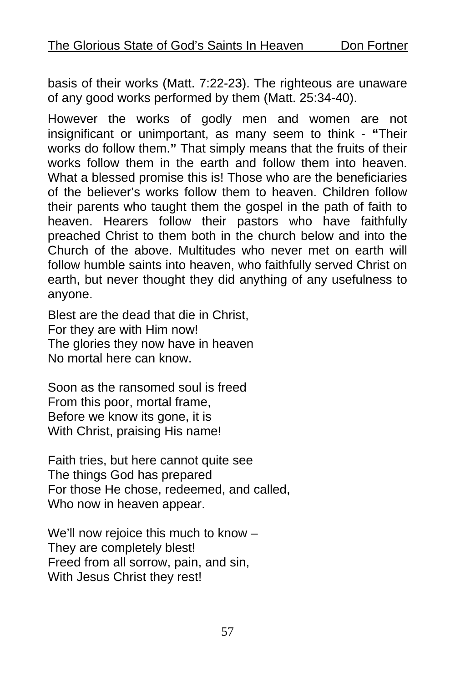basis of their works (Matt. 7:22-23). The righteous are unaware of any good works performed by them (Matt. 25:34-40).

However the works of godly men and women are not insignificant or unimportant, as many seem to think - **"**Their works do follow them.**"** That simply means that the fruits of their works follow them in the earth and follow them into heaven. What a blessed promise this is! Those who are the beneficiaries of the believer's works follow them to heaven. Children follow their parents who taught them the gospel in the path of faith to heaven. Hearers follow their pastors who have faithfully preached Christ to them both in the church below and into the Church of the above. Multitudes who never met on earth will follow humble saints into heaven, who faithfully served Christ on earth, but never thought they did anything of any usefulness to anyone.

Blest are the dead that die in Christ, For they are with Him now! The glories they now have in heaven No mortal here can know.

Soon as the ransomed soul is freed From this poor, mortal frame, Before we know its gone, it is With Christ, praising His name!

Faith tries, but here cannot quite see The things God has prepared For those He chose, redeemed, and called, Who now in heaven appear.

We'll now rejoice this much to know – They are completely blest! Freed from all sorrow, pain, and sin, With Jesus Christ they rest!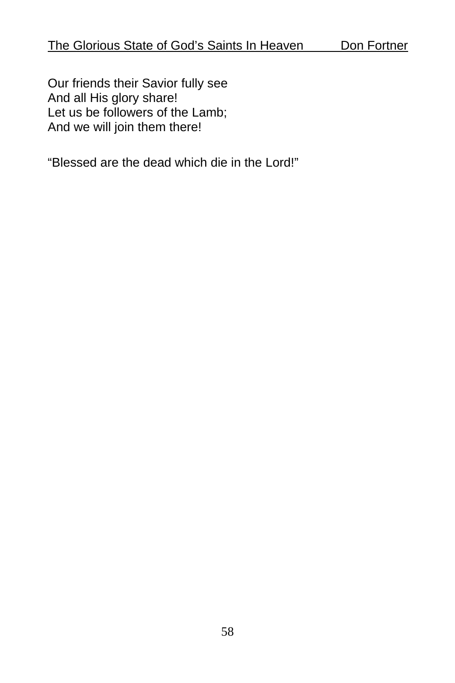Our friends their Savior fully see And all His glory share! Let us be followers of the Lamb; And we will join them there!

"Blessed are the dead which die in the Lord!"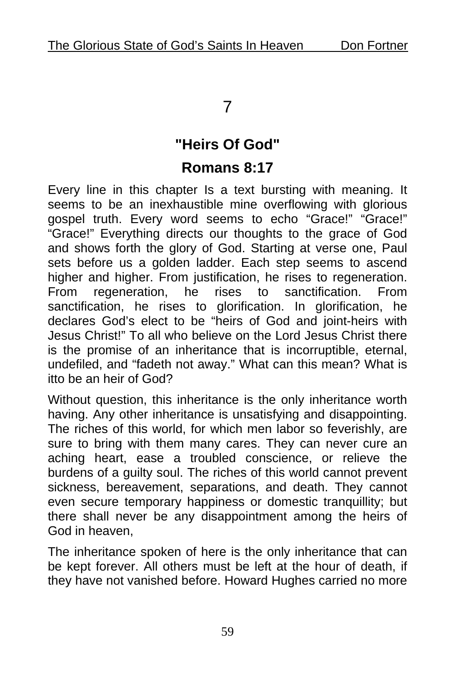#### 7

## **"Heirs Of God"**

## **Romans 8:17**

Every line in this chapter Is a text bursting with meaning. It seems to be an inexhaustible mine overflowing with glorious gospel truth. Every word seems to echo "Grace!" "Grace!" "Grace!" Everything directs our thoughts to the grace of God and shows forth the glory of God. Starting at verse one, Paul sets before us a golden ladder. Each step seems to ascend higher and higher. From justification, he rises to regeneration. From regeneration, he rises to sanctification. From sanctification, he rises to glorification. In glorification, he declares God's elect to be "heirs of God and joint-heirs with Jesus Christ!" To all who believe on the Lord Jesus Christ there is the promise of an inheritance that is incorruptible, eternal, undefiled, and "fadeth not away." What can this mean? What is itto be an heir of God?

Without question, this inheritance is the only inheritance worth having. Any other inheritance is unsatisfying and disappointing. The riches of this world, for which men labor so feverishly, are sure to bring with them many cares. They can never cure an aching heart, ease a troubled conscience, or relieve the burdens of a guilty soul. The riches of this world cannot prevent sickness, bereavement, separations, and death. They cannot even secure temporary happiness or domestic tranquillity; but there shall never be any disappointment among the heirs of God in heaven,

The inheritance spoken of here is the only inheritance that can be kept forever. All others must be left at the hour of death, if they have not vanished before. Howard Hughes carried no more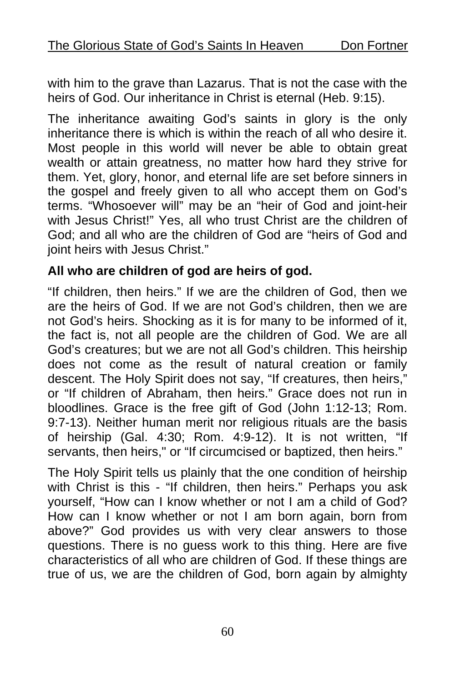with him to the grave than Lazarus. That is not the case with the heirs of God. Our inheritance in Christ is eternal (Heb. 9:15).

The inheritance awaiting God's saints in glory is the only inheritance there is which is within the reach of all who desire it. Most people in this world will never be able to obtain great wealth or attain greatness, no matter how hard they strive for them. Yet, glory, honor, and eternal life are set before sinners in the gospel and freely given to all who accept them on God's terms. "Whosoever will" may be an "heir of God and joint-heir with Jesus Christ!" Yes, all who trust Christ are the children of God; and all who are the children of God are "heirs of God and joint heirs with Jesus Christ."

#### **All who are children of god are heirs of god.**

"If children, then heirs." If we are the children of God, then we are the heirs of God. If we are not God's children, then we are not God's heirs. Shocking as it is for many to be informed of it, the fact is, not all people are the children of God. We are all God's creatures; but we are not all God's children. This heirship does not come as the result of natural creation or family descent. The Holy Spirit does not say, "If creatures, then heirs," or "If children of Abraham, then heirs." Grace does not run in bloodlines. Grace is the free gift of God (John 1:12-13; Rom. 9:7-13). Neither human merit nor religious rituals are the basis of heirship (Gal. 4:30; Rom. 4:9-12). It is not written, "If servants, then heirs," or "If circumcised or baptized, then heirs."

The Holy Spirit tells us plainly that the one condition of heirship with Christ is this - "If children, then heirs." Perhaps you ask yourself, "How can I know whether or not I am a child of God? How can I know whether or not I am born again, born from above?" God provides us with very clear answers to those questions. There is no guess work to this thing. Here are five characteristics of all who are children of God. If these things are true of us, we are the children of God, born again by almighty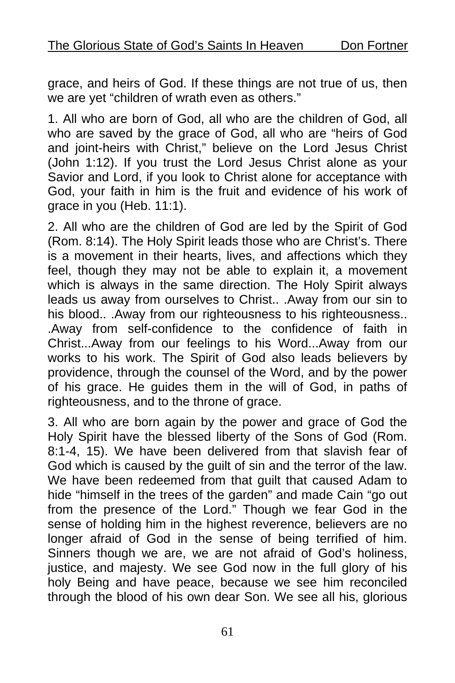grace, and heirs of God. If these things are not true of us, then we are yet "children of wrath even as others."

1. All who are born of God, all who are the children of God, all who are saved by the grace of God, all who are "heirs of God and joint-heirs with Christ," believe on the Lord Jesus Christ (John 1:12). If you trust the Lord Jesus Christ alone as your Savior and Lord, if you look to Christ alone for acceptance with God, your faith in him is the fruit and evidence of his work of grace in you (Heb. 11:1).

2. All who are the children of God are led by the Spirit of God (Rom. 8:14). The Holy Spirit leads those who are Christ's. There is a movement in their hearts, lives, and affections which they feel, though they may not be able to explain it, a movement which is always in the same direction. The Holy Spirit always leads us away from ourselves to Christ.. .Away from our sin to his blood.. .Away from our righteousness to his righteousness.. .Away from self-confidence to the confidence of faith in Christ...Away from our feelings to his Word...Away from our works to his work. The Spirit of God also leads believers by providence, through the counsel of the Word, and by the power of his grace. He guides them in the will of God, in paths of righteousness, and to the throne of grace.

3. All who are born again by the power and grace of God the Holy Spirit have the blessed liberty of the Sons of God (Rom. 8:1-4, 15). We have been delivered from that slavish fear of God which is caused by the guilt of sin and the terror of the law. We have been redeemed from that guilt that caused Adam to hide "himself in the trees of the garden" and made Cain "go out from the presence of the Lord." Though we fear God in the sense of holding him in the highest reverence, believers are no longer afraid of God in the sense of being terrified of him. Sinners though we are, we are not afraid of God's holiness, justice, and majesty. We see God now in the full glory of his holy Being and have peace, because we see him reconciled through the blood of his own dear Son. We see all his, glorious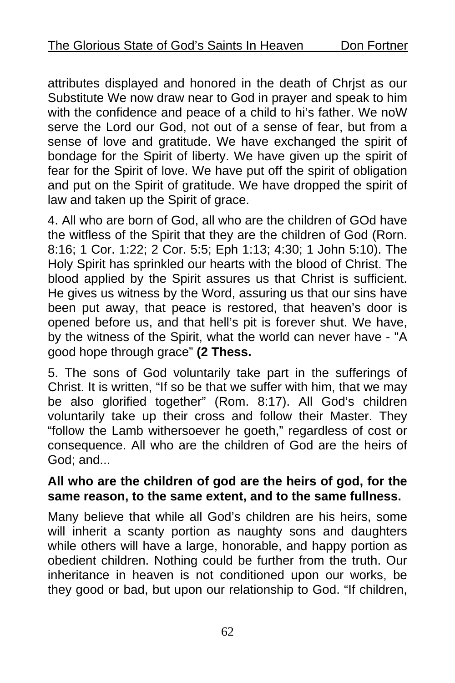attributes displayed and honored in the death of Chrjst as our Substitute We now draw near to God in prayer and speak to him with the confidence and peace of a child to hi's father. We noW serve the Lord our God, not out of a sense of fear, but from a sense of love and gratitude. We have exchanged the spirit of bondage for the Spirit of liberty. We have given up the spirit of fear for the Spirit of love. We have put off the spirit of obligation and put on the Spirit of gratitude. We have dropped the spirit of law and taken up the Spirit of grace.

4. All who are born of God, all who are the children of GOd have the witfless of the Spirit that they are the children of God (Rorn. 8:16; 1 Cor. 1:22; 2 Cor. 5:5; Eph 1:13; 4:30; 1 John 5:10). The Holy Spirit has sprinkled our hearts with the blood of Christ. The blood applied by the Spirit assures us that Christ is sufficient. He gives us witness by the Word, assuring us that our sins have been put away, that peace is restored, that heaven's door is opened before us, and that hell's pit is forever shut. We have, by the witness of the Spirit, what the world can never have - "A good hope through grace" **(2 Thess.** 

5. The sons of God voluntarily take part in the sufferings of Christ. It is written, "If so be that we suffer with him, that we may be also glorified together" (Rom. 8:17). All God's children voluntarily take up their cross and follow their Master. They "follow the Lamb withersoever he goeth," regardless of cost or consequence. All who are the children of God are the heirs of God; and...

#### **All who are the children of god are the heirs of god, for the same reason, to the same extent, and to the same fullness.**

Many believe that while all God's children are his heirs, some will inherit a scanty portion as naughty sons and daughters while others will have a large, honorable, and happy portion as obedient children. Nothing could be further from the truth. Our inheritance in heaven is not conditioned upon our works, be they good or bad, but upon our relationship to God. "If children,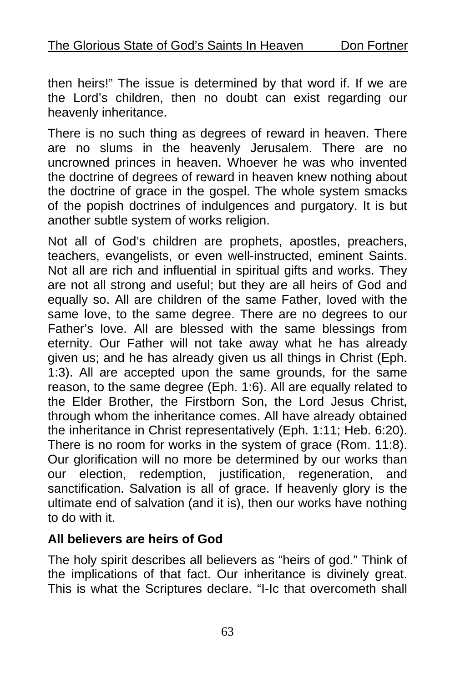then heirs!" The issue is determined by that word if. If we are the Lord's children, then no doubt can exist regarding our heavenly inheritance.

There is no such thing as degrees of reward in heaven. There are no slums in the heavenly Jerusalem. There are no uncrowned princes in heaven. Whoever he was who invented the doctrine of degrees of reward in heaven knew nothing about the doctrine of grace in the gospel. The whole system smacks of the popish doctrines of indulgences and purgatory. It is but another subtle system of works religion.

Not all of God's children are prophets, apostles, preachers, teachers, evangelists, or even well-instructed, eminent Saints. Not all are rich and influential in spiritual gifts and works. They are not all strong and useful; but they are all heirs of God and equally so. All are children of the same Father, loved with the same love, to the same degree. There are no degrees to our Father's love. All are blessed with the same blessings from eternity. Our Father will not take away what he has already given us; and he has already given us all things in Christ (Eph. 1:3). All are accepted upon the same grounds, for the same reason, to the same degree (Eph. 1:6). All are equally related to the Elder Brother, the Firstborn Son, the Lord Jesus Christ, through whom the inheritance comes. All have already obtained the inheritance in Christ representatively (Eph. 1:11; Heb. 6:20). There is no room for works in the system of grace (Rom. 11:8). Our glorification will no more be determined by our works than our election, redemption, justification, regeneration, and sanctification. Salvation is all of grace. If heavenly glory is the ultimate end of salvation (and it is), then our works have nothing to do with it.

#### **All believers are heirs of God**

The holy spirit describes all believers as "heirs of god." Think of the implications of that fact. Our inheritance is divinely great. This is what the Scriptures declare. "I-Ic that overcometh shall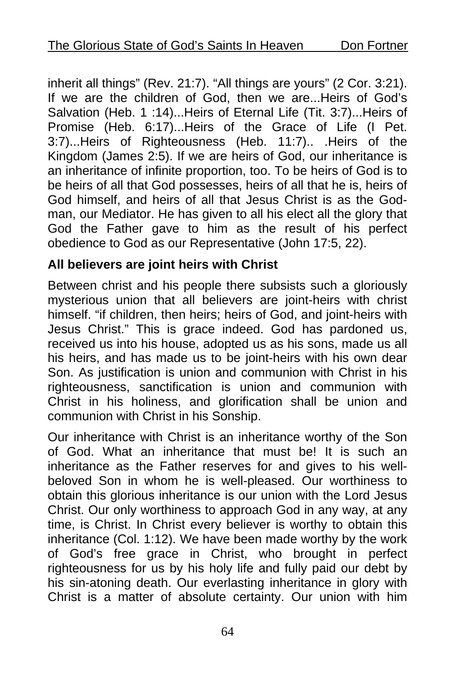inherit all things" (Rev. 21:7). "All things are yours" (2 Cor. 3:21). If we are the children of God, then we are...Heirs of God's Salvation (Heb. 1 :14)...Heirs of Eternal Life (Tit. 3:7)...Heirs of Promise (Heb. 6:17)...Heirs of the Grace of Life (I Pet. 3:7)...Heirs of Righteousness (Heb. 11:7).. .Heirs of the Kingdom (James 2:5). If we are heirs of God, our inheritance is an inheritance of infinite proportion, too. To be heirs of God is to be heirs of all that God possesses, heirs of all that he is, heirs of God himself, and heirs of all that Jesus Christ is as the Godman, our Mediator. He has given to all his elect all the glory that God the Father gave to him as the result of his perfect obedience to God as our Representative (John 17:5, 22).

#### **All believers are joint heirs with Christ**

Between christ and his people there subsists such a gloriously mysterious union that all believers are joint-heirs with christ himself. "if children, then heirs; heirs of God, and joint-heirs with Jesus Christ." This is grace indeed. God has pardoned us, received us into his house, adopted us as his sons, made us all his heirs, and has made us to be joint-heirs with his own dear Son. As justification is union and communion with Christ in his righteousness, sanctification is union and communion with Christ in his holiness, and glorification shall be union and communion with Christ in his Sonship.

Our inheritance with Christ is an inheritance worthy of the Son of God. What an inheritance that must be! It is such an inheritance as the Father reserves for and gives to his wellbeloved Son in whom he is well-pleased. Our worthiness to obtain this glorious inheritance is our union with the Lord Jesus Christ. Our only worthiness to approach God in any way, at any time, is Christ. In Christ every believer is worthy to obtain this inheritance (Col. 1:12). We have been made worthy by the work of God's free grace in Christ, who brought in perfect righteousness for us by his holy life and fully paid our debt by his sin-atoning death. Our everlasting inheritance in glory with Christ is a matter of absolute certainty. Our union with him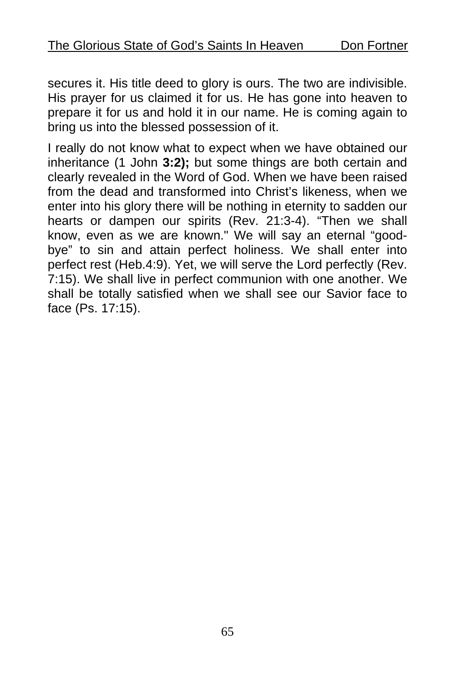secures it. His title deed to glory is ours. The two are indivisible. His prayer for us claimed it for us. He has gone into heaven to prepare it for us and hold it in our name. He is coming again to bring us into the blessed possession of it.

I really do not know what to expect when we have obtained our inheritance (1 John **3:2);** but some things are both certain and clearly revealed in the Word of God. When we have been raised from the dead and transformed into Christ's likeness, when we enter into his glory there will be nothing in eternity to sadden our hearts or dampen our spirits (Rev. 21:3-4). "Then we shall know, even as we are known." We will say an eternal "goodbye" to sin and attain perfect holiness. We shall enter into perfect rest (Heb.4:9). Yet, we will serve the Lord perfectly (Rev. 7:15). We shall live in perfect communion with one another. We shall be totally satisfied when we shall see our Savior face to face (Ps. 17:15).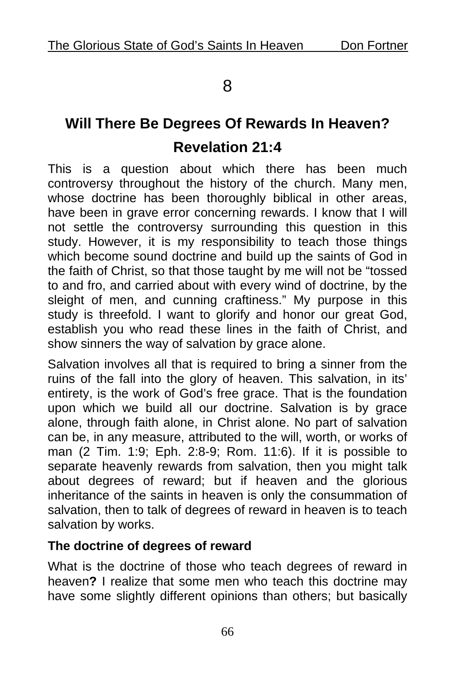## 8

# **Will There Be Degrees Of Rewards In Heaven? Revelation 21:4**

This is a question about which there has been much controversy throughout the history of the church. Many men, whose doctrine has been thoroughly biblical in other areas, have been in grave error concerning rewards. I know that I will not settle the controversy surrounding this question in this study. However, it is my responsibility to teach those things which become sound doctrine and build up the saints of God in the faith of Christ, so that those taught by me will not be "tossed to and fro, and carried about with every wind of doctrine, by the sleight of men, and cunning craftiness." My purpose in this study is threefold. I want to glorify and honor our great God, establish you who read these lines in the faith of Christ, and show sinners the way of salvation by grace alone.

Salvation involves all that is required to bring a sinner from the ruins of the fall into the glory of heaven. This salvation, in its' entirety, is the work of God's free grace. That is the foundation upon which we build all our doctrine. Salvation is by grace alone, through faith alone, in Christ alone. No part of salvation can be, in any measure, attributed to the will, worth, or works of man (2 Tim. 1:9; Eph. 2:8-9; Rom. 11:6). If it is possible to separate heavenly rewards from salvation, then you might talk about degrees of reward; but if heaven and the glorious inheritance of the saints in heaven is only the consummation of salvation, then to talk of degrees of reward in heaven is to teach salvation by works.

#### **The doctrine of degrees of reward**

What is the doctrine of those who teach degrees of reward in heaven**?** I realize that some men who teach this doctrine may have some slightly different opinions than others; but basically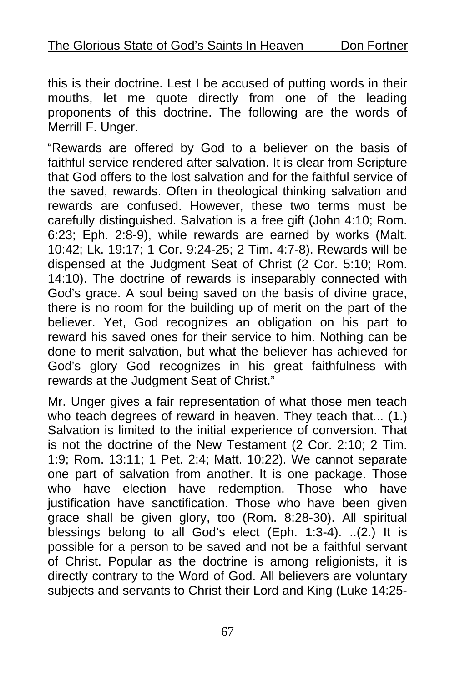this is their doctrine. Lest I be accused of putting words in their mouths, let me quote directly from one of the leading proponents of this doctrine. The following are the words of Merrill F. Unger.

"Rewards are offered by God to a believer on the basis of faithful service rendered after salvation. It is clear from Scripture that God offers to the lost salvation and for the faithful service of the saved, rewards. Often in theological thinking salvation and rewards are confused. However, these two terms must be carefully distinguished. Salvation is a free gift (John 4:10; Rom. 6:23; Eph. 2:8-9), while rewards are earned by works (Malt. 10:42; Lk. 19:17; 1 Cor. 9:24-25; 2 Tim. 4:7-8). Rewards will be dispensed at the Judgment Seat of Christ (2 Cor. 5:10; Rom. 14:10). The doctrine of rewards is inseparably connected with God's grace. A soul being saved on the basis of divine grace, there is no room for the building up of merit on the part of the believer. Yet, God recognizes an obligation on his part to reward his saved ones for their service to him. Nothing can be done to merit salvation, but what the believer has achieved for God's glory God recognizes in his great faithfulness with rewards at the Judgment Seat of Christ."

Mr. Unger gives a fair representation of what those men teach who teach degrees of reward in heaven. They teach that... (1.) Salvation is limited to the initial experience of conversion. That is not the doctrine of the New Testament (2 Cor. 2:10; 2 Tim. 1:9; Rom. 13:11; 1 Pet. 2:4; Matt. 10:22). We cannot separate one part of salvation from another. It is one package. Those who have election have redemption. Those who have justification have sanctification. Those who have been given grace shall be given glory, too (Rom. 8:28-30). All spiritual blessings belong to all God's elect (Eph. 1:3-4). ..(2.) It is possible for a person to be saved and not be a faithful servant of Christ. Popular as the doctrine is among religionists, it is directly contrary to the Word of God. All believers are voluntary subjects and servants to Christ their Lord and King (Luke 14:25-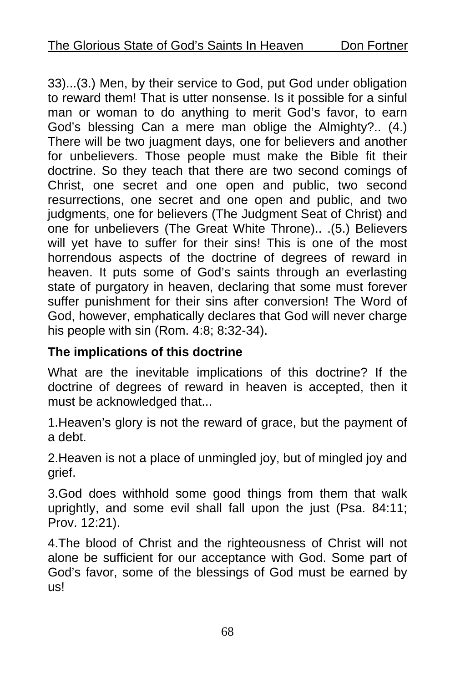33)...(3.) Men, by their service to God, put God under obligation to reward them! That is utter nonsense. Is it possible for a sinful man or woman to do anything to merit God's favor, to earn God's blessing Can a mere man oblige the Almighty?.. (4.) There will be two juagment days, one for believers and another for unbelievers. Those people must make the Bible fit their doctrine. So they teach that there are two second comings of Christ, one secret and one open and public, two second resurrections, one secret and one open and public, and two judgments, one for believers (The Judgment Seat of Christ) and one for unbelievers (The Great White Throne).. .(5.) Believers will yet have to suffer for their sins! This is one of the most horrendous aspects of the doctrine of degrees of reward in heaven. It puts some of God's saints through an everlasting state of purgatory in heaven, declaring that some must forever suffer punishment for their sins after conversion! The Word of God, however, emphatically declares that God will never charge his people with sin (Rom. 4:8; 8:32-34).

### **The implications of this doctrine**

What are the inevitable implications of this doctrine? If the doctrine of degrees of reward in heaven is accepted, then it must be acknowledged that...

1.Heaven's glory is not the reward of grace, but the payment of a debt.

2.Heaven is not a place of unmingled joy, but of mingled joy and grief.

3.God does withhold some good things from them that walk uprightly, and some evil shall fall upon the just (Psa. 84:11; Prov. 12:21).

4.The blood of Christ and the righteousness of Christ will not alone be sufficient for our acceptance with God. Some part of God's favor, some of the blessings of God must be earned by us!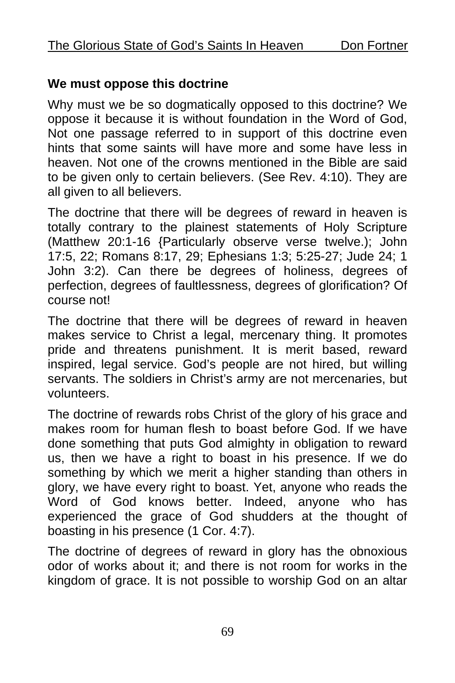#### **We must oppose this doctrine**

Why must we be so dogmatically opposed to this doctrine? We oppose it because it is without foundation in the Word of God, Not one passage referred to in support of this doctrine even hints that some saints will have more and some have less in heaven. Not one of the crowns mentioned in the Bible are said to be given only to certain believers. (See Rev. 4:10). They are all given to all believers.

The doctrine that there will be degrees of reward in heaven is totally contrary to the plainest statements of Holy Scripture (Matthew 20:1-16 {Particularly observe verse twelve.); John 17:5, 22; Romans 8:17, 29; Ephesians 1:3; 5:25-27; Jude 24; 1 John 3:2). Can there be degrees of holiness, degrees of perfection, degrees of faultlessness, degrees of glorification? Of course not!

The doctrine that there will be degrees of reward in heaven makes service to Christ a legal, mercenary thing. It promotes pride and threatens punishment. It is merit based, reward inspired, legal service. God's people are not hired, but willing servants. The soldiers in Christ's army are not mercenaries, but volunteers.

The doctrine of rewards robs Christ of the glory of his grace and makes room for human flesh to boast before God. If we have done something that puts God almighty in obligation to reward us, then we have a right to boast in his presence. If we do something by which we merit a higher standing than others in glory, we have every right to boast. Yet, anyone who reads the Word of God knows better. Indeed, anyone who has experienced the grace of God shudders at the thought of boasting in his presence (1 Cor. 4:7).

The doctrine of degrees of reward in glory has the obnoxious odor of works about it; and there is not room for works in the kingdom of grace. It is not possible to worship God on an altar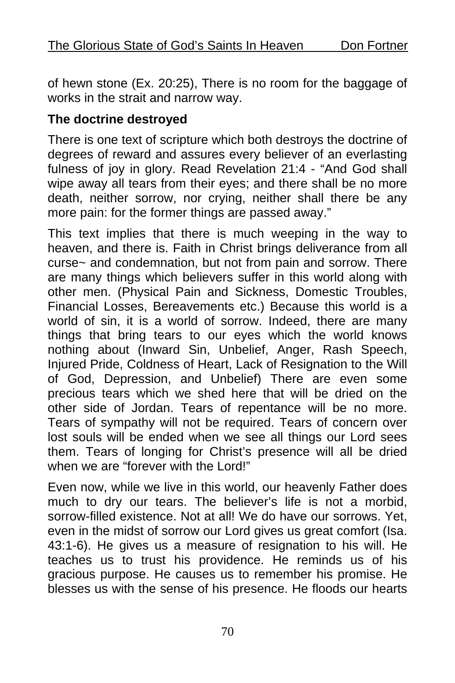of hewn stone (Ex. 20:25), There is no room for the baggage of works in the strait and narrow way.

#### **The doctrine destroyed**

There is one text of scripture which both destroys the doctrine of degrees of reward and assures every believer of an everlasting fulness of jov in glory. Read Revelation 21:4 - "And God shall wipe away all tears from their eyes; and there shall be no more death, neither sorrow, nor crying, neither shall there be any more pain: for the former things are passed away."

This text implies that there is much weeping in the way to heaven, and there is. Faith in Christ brings deliverance from all curse~ and condemnation, but not from pain and sorrow. There are many things which believers suffer in this world along with other men. (Physical Pain and Sickness, Domestic Troubles, Financial Losses, Bereavements etc.) Because this world is a world of sin, it is a world of sorrow. Indeed, there are many things that bring tears to our eyes which the world knows nothing about (Inward Sin, Unbelief, Anger, Rash Speech, Injured Pride, Coldness of Heart, Lack of Resignation to the Will of God, Depression, and Unbelief) There are even some precious tears which we shed here that will be dried on the other side of Jordan. Tears of repentance will be no more. Tears of sympathy will not be required. Tears of concern over lost souls will be ended when we see all things our Lord sees them. Tears of longing for Christ's presence will all be dried when we are "forever with the Lord!"

Even now, while we live in this world, our heavenly Father does much to dry our tears. The believer's life is not a morbid, sorrow-filled existence. Not at all! We do have our sorrows. Yet, even in the midst of sorrow our Lord gives us great comfort (Isa. 43:1-6). He gives us a measure of resignation to his will. He teaches us to trust his providence. He reminds us of his gracious purpose. He causes us to remember his promise. He blesses us with the sense of his presence. He floods our hearts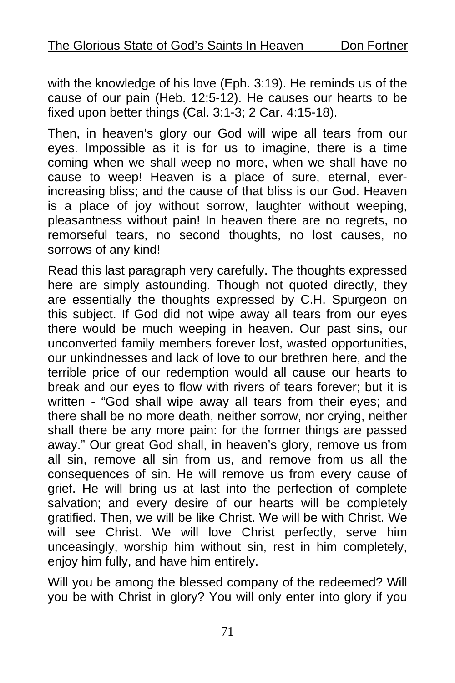with the knowledge of his love (Eph. 3:19). He reminds us of the cause of our pain (Heb. 12:5-12). He causes our hearts to be fixed upon better things (Cal. 3:1-3; 2 Car. 4:15-18).

Then, in heaven's glory our God will wipe all tears from our eyes. Impossible as it is for us to imagine, there is a time coming when we shall weep no more, when we shall have no cause to weep! Heaven is a place of sure, eternal, everincreasing bliss; and the cause of that bliss is our God. Heaven is a place of joy without sorrow, laughter without weeping, pleasantness without pain! In heaven there are no regrets, no remorseful tears, no second thoughts, no lost causes, no sorrows of any kind!

Read this last paragraph very carefully. The thoughts expressed here are simply astounding. Though not quoted directly, they are essentially the thoughts expressed by C.H. Spurgeon on this subject. If God did not wipe away all tears from our eyes there would be much weeping in heaven. Our past sins, our unconverted family members forever lost, wasted opportunities, our unkindnesses and lack of love to our brethren here, and the terrible price of our redemption would all cause our hearts to break and our eyes to flow with rivers of tears forever; but it is written - "God shall wipe away all tears from their eyes; and there shall be no more death, neither sorrow, nor crying, neither shall there be any more pain: for the former things are passed away." Our great God shall, in heaven's glory, remove us from all sin, remove all sin from us, and remove from us all the consequences of sin. He will remove us from every cause of grief. He will bring us at last into the perfection of complete salvation; and every desire of our hearts will be completely gratified. Then, we will be like Christ. We will be with Christ. We will see Christ. We will love Christ perfectly, serve him unceasingly, worship him without sin, rest in him completely, enjoy him fully, and have him entirely.

Will you be among the blessed company of the redeemed? Will you be with Christ in glory? You will only enter into glory if you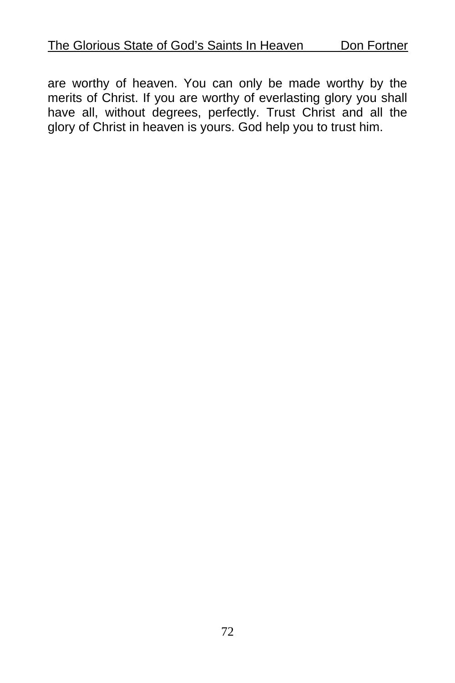are worthy of heaven. You can only be made worthy by the merits of Christ. If you are worthy of everlasting glory you shall have all, without degrees, perfectly. Trust Christ and all the glory of Christ in heaven is yours. God help you to trust him.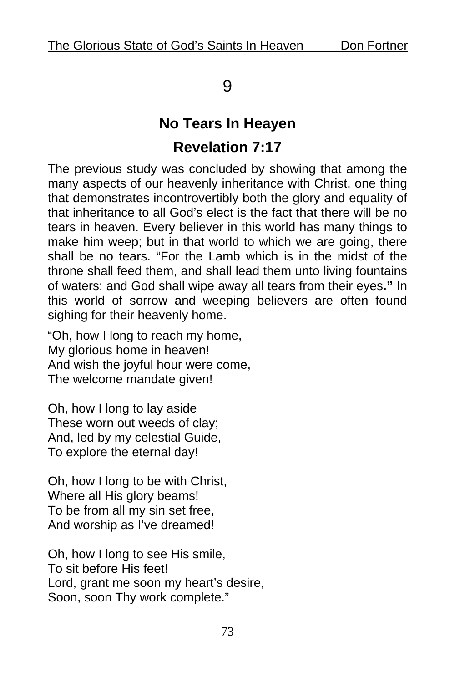### 9

# **No Tears In Heayen Revelation 7:17**

The previous study was concluded by showing that among the many aspects of our heavenly inheritance with Christ, one thing that demonstrates incontrovertibly both the glory and equality of that inheritance to all God's elect is the fact that there will be no tears in heaven. Every believer in this world has many things to make him weep; but in that world to which we are going, there shall be no tears. "For the Lamb which is in the midst of the throne shall feed them, and shall lead them unto living fountains of waters: and God shall wipe away all tears from their eyes**."** In this world of sorrow and weeping believers are often found sighing for their heavenly home.

"Oh, how I long to reach my home, My glorious home in heaven! And wish the joyful hour were come, The welcome mandate given!

Oh, how I long to lay aside These worn out weeds of clay; And, led by my celestial Guide, To explore the eternal day!

Oh, how I long to be with Christ, Where all His glory beams! To be from all my sin set free, And worship as I've dreamed!

Oh, how I long to see His smile, To sit before His feet! Lord, grant me soon my heart's desire, Soon, soon Thy work complete."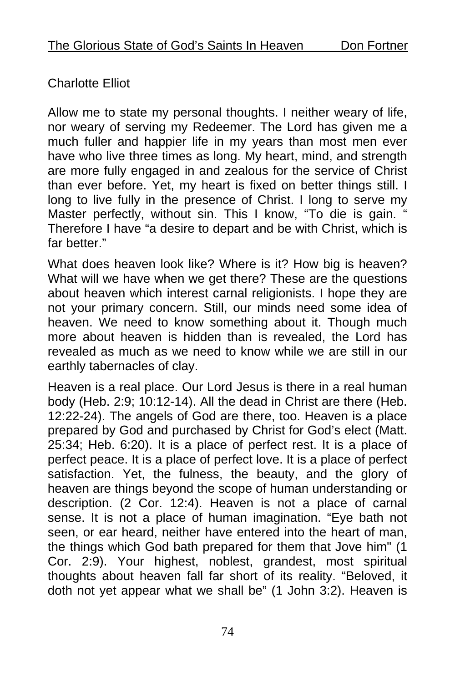### Charlotte Elliot

Allow me to state my personal thoughts. I neither weary of life, nor weary of serving my Redeemer. The Lord has given me a much fuller and happier life in my years than most men ever have who live three times as long. My heart, mind, and strength are more fully engaged in and zealous for the service of Christ than ever before. Yet, my heart is fixed on better things still. I long to live fully in the presence of Christ. I long to serve my Master perfectly, without sin. This I know, "To die is gain. " Therefore I have "a desire to depart and be with Christ, which is far hetter."

What does heaven look like? Where is it? How big is heaven? What will we have when we get there? These are the questions about heaven which interest carnal religionists. I hope they are not your primary concern. Still, our minds need some idea of heaven. We need to know something about it. Though much more about heaven is hidden than is revealed, the Lord has revealed as much as we need to know while we are still in our earthly tabernacles of clay.

Heaven is a real place. Our Lord Jesus is there in a real human body (Heb. 2:9; 10:12-14). All the dead in Christ are there (Heb. 12:22-24). The angels of God are there, too. Heaven is a place prepared by God and purchased by Christ for God's elect (Matt. 25:34; Heb. 6:20). It is a place of perfect rest. It is a place of perfect peace. It is a place of perfect love. It is a place of perfect satisfaction. Yet, the fulness, the beauty, and the glory of heaven are things beyond the scope of human understanding or description. (2 Cor. 12:4). Heaven is not a place of carnal sense. It is not a place of human imagination. "Eye bath not seen, or ear heard, neither have entered into the heart of man, the things which God bath prepared for them that Jove him" (1 Cor. 2:9). Your highest, noblest, grandest, most spiritual thoughts about heaven fall far short of its reality. "Beloved, it doth not yet appear what we shall be" (1 John 3:2). Heaven is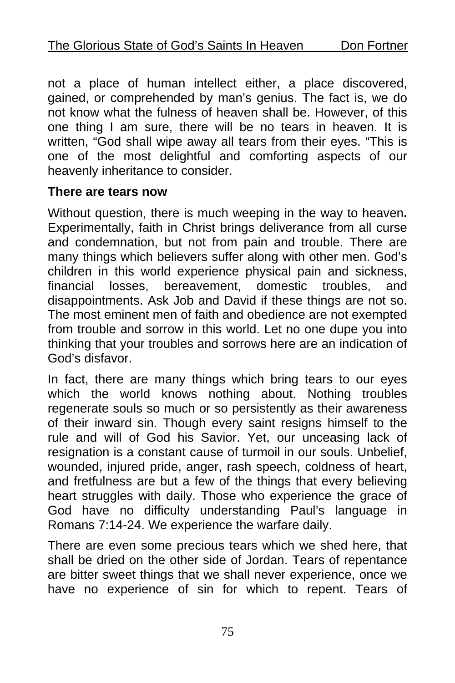not a place of human intellect either, a place discovered, gained, or comprehended by man's genius. The fact is, we do not know what the fulness of heaven shall be. However, of this one thing I am sure, there will be no tears in heaven. It is written, "God shall wipe away all tears from their eyes. "This is one of the most delightful and comforting aspects of our heavenly inheritance to consider.

#### **There are tears now**

Without question, there is much weeping in the way to heaven**.**  Experimentally, faith in Christ brings deliverance from all curse and condemnation, but not from pain and trouble. There are many things which believers suffer along with other men. God's children in this world experience physical pain and sickness,<br>financial losses, bereavement, domestic troubles, and financial losses, bereavement, domestic troubles, and disappointments. Ask Job and David if these things are not so. The most eminent men of faith and obedience are not exempted from trouble and sorrow in this world. Let no one dupe you into thinking that your troubles and sorrows here are an indication of God's disfavor.

In fact, there are many things which bring tears to our eyes which the world knows nothing about. Nothing troubles regenerate souls so much or so persistently as their awareness of their inward sin. Though every saint resigns himself to the rule and will of God his Savior. Yet, our unceasing lack of resignation is a constant cause of turmoil in our souls. Unbelief, wounded, injured pride, anger, rash speech, coldness of heart, and fretfulness are but a few of the things that every believing heart struggles with daily. Those who experience the grace of God have no difficulty understanding Paul's language in Romans 7:14-24. We experience the warfare daily.

There are even some precious tears which we shed here, that shall be dried on the other side of Jordan. Tears of repentance are bitter sweet things that we shall never experience, once we have no experience of sin for which to repent. Tears of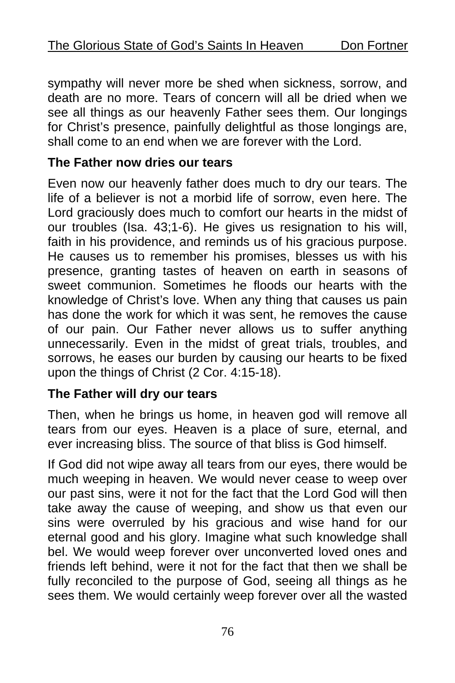sympathy will never more be shed when sickness, sorrow, and death are no more. Tears of concern will all be dried when we see all things as our heavenly Father sees them. Our longings for Christ's presence, painfully delightful as those longings are, shall come to an end when we are forever with the Lord.

#### **The Father now dries our tears**

Even now our heavenly father does much to dry our tears. The life of a believer is not a morbid life of sorrow, even here. The Lord graciously does much to comfort our hearts in the midst of our troubles (Isa. 43;1-6). He gives us resignation to his will, faith in his providence, and reminds us of his gracious purpose. He causes us to remember his promises, blesses us with his presence, granting tastes of heaven on earth in seasons of sweet communion. Sometimes he floods our hearts with the knowledge of Christ's love. When any thing that causes us pain has done the work for which it was sent, he removes the cause of our pain. Our Father never allows us to suffer anything unnecessarily. Even in the midst of great trials, troubles, and sorrows, he eases our burden by causing our hearts to be fixed upon the things of Christ (2 Cor. 4:15-18).

### **The Father will dry our tears**

Then, when he brings us home, in heaven god will remove all tears from our eyes. Heaven is a place of sure, eternal, and ever increasing bliss. The source of that bliss is God himself.

If God did not wipe away all tears from our eyes, there would be much weeping in heaven. We would never cease to weep over our past sins, were it not for the fact that the Lord God will then take away the cause of weeping, and show us that even our sins were overruled by his gracious and wise hand for our eternal good and his glory. Imagine what such knowledge shall bel. We would weep forever over unconverted loved ones and friends left behind, were it not for the fact that then we shall be fully reconciled to the purpose of God, seeing all things as he sees them. We would certainly weep forever over all the wasted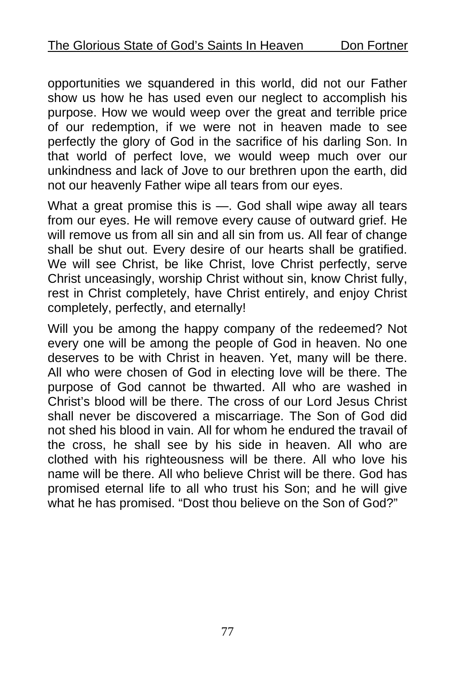opportunities we squandered in this world, did not our Father show us how he has used even our neglect to accomplish his purpose. How we would weep over the great and terrible price of our redemption, if we were not in heaven made to see perfectly the glory of God in the sacrifice of his darling Son. In that world of perfect love, we would weep much over our unkindness and lack of Jove to our brethren upon the earth, did not our heavenly Father wipe all tears from our eyes.

What a great promise this is —. God shall wipe away all tears from our eyes. He will remove every cause of outward grief. He will remove us from all sin and all sin from us. All fear of change shall be shut out. Every desire of our hearts shall be gratified. We will see Christ, be like Christ, love Christ perfectly, serve Christ unceasingly, worship Christ without sin, know Christ fully, rest in Christ completely, have Christ entirely, and enjoy Christ completely, perfectly, and eternally!

Will you be among the happy company of the redeemed? Not every one will be among the people of God in heaven. No one deserves to be with Christ in heaven. Yet, many will be there. All who were chosen of God in electing love will be there. The purpose of God cannot be thwarted. All who are washed in Christ's blood will be there. The cross of our Lord Jesus Christ shall never be discovered a miscarriage. The Son of God did not shed his blood in vain. All for whom he endured the travail of the cross, he shall see by his side in heaven. All who are clothed with his righteousness will be there. All who love his name will be there. All who believe Christ will be there. God has promised eternal life to all who trust his Son; and he will give what he has promised. "Dost thou believe on the Son of God?"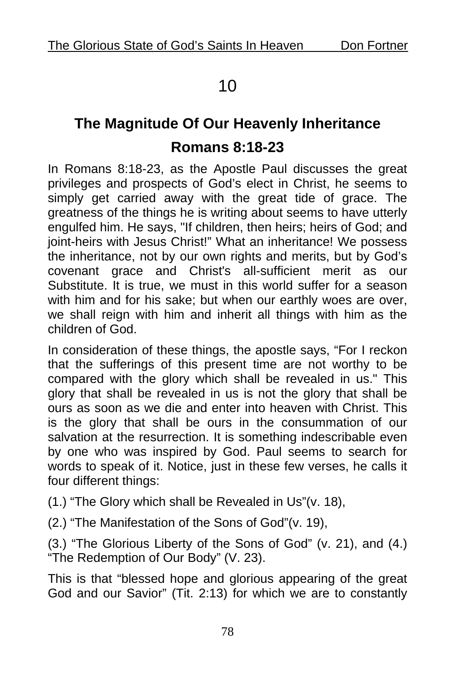## 10

# **The Magnitude Of Our Heavenly Inheritance Romans 8:18-23**

In Romans 8:18-23, as the Apostle Paul discusses the great privileges and prospects of God's elect in Christ, he seems to simply get carried away with the great tide of grace. The greatness of the things he is writing about seems to have utterly engulfed him. He says, "If children, then heirs; heirs of God; and joint-heirs with Jesus Christ!" What an inheritance! We possess the inheritance, not by our own rights and merits, but by God's covenant grace and Christ's all-sufficient merit as our Substitute. It is true, we must in this world suffer for a season with him and for his sake; but when our earthly woes are over, we shall reign with him and inherit all things with him as the children of God.

In consideration of these things, the apostle says, "For I reckon that the sufferings of this present time are not worthy to be compared with the glory which shall be revealed in us." This glory that shall be revealed in us is not the glory that shall be ours as soon as we die and enter into heaven with Christ. This is the glory that shall be ours in the consummation of our salvation at the resurrection. It is something indescribable even by one who was inspired by God. Paul seems to search for words to speak of it. Notice, just in these few verses, he calls it four different things:

(1.) "The Glory which shall be Revealed in Us"(v. 18),

(2.) "The Manifestation of the Sons of God"(v. 19),

(3.) "The Glorious Liberty of the Sons of God" (v. 21), and (4.) "The Redemption of Our Body" (V. 23).

This is that "blessed hope and glorious appearing of the great God and our Savior" (Tit. 2:13) for which we are to constantly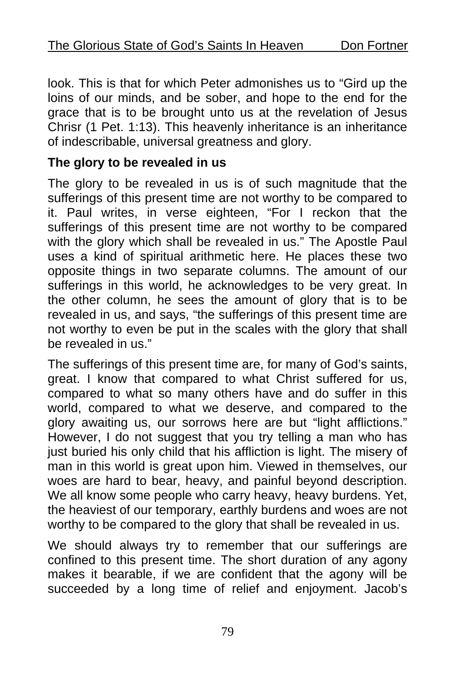look. This is that for which Peter admonishes us to "Gird up the loins of our minds, and be sober, and hope to the end for the grace that is to be brought unto us at the revelation of Jesus Chrisr (1 Pet. 1:13). This heavenly inheritance is an inheritance of indescribable, universal greatness and glory.

#### **The glory to be revealed in us**

The glory to be revealed in us is of such magnitude that the sufferings of this present time are not worthy to be compared to it. Paul writes, in verse eighteen, "For I reckon that the sufferings of this present time are not worthy to be compared with the glory which shall be revealed in us." The Apostle Paul uses a kind of spiritual arithmetic here. He places these two opposite things in two separate columns. The amount of our sufferings in this world, he acknowledges to be very great. In the other column, he sees the amount of glory that is to be revealed in us, and says, "the sufferings of this present time are not worthy to even be put in the scales with the glory that shall be revealed in us."

The sufferings of this present time are, for many of God's saints, great. I know that compared to what Christ suffered for us, compared to what so many others have and do suffer in this world, compared to what we deserve, and compared to the glory awaiting us, our sorrows here are but "light afflictions." However, I do not suggest that you try telling a man who has just buried his only child that his affliction is light. The misery of man in this world is great upon him. Viewed in themselves, our woes are hard to bear, heavy, and painful beyond description. We all know some people who carry heavy, heavy burdens. Yet, the heaviest of our temporary, earthly burdens and woes are not worthy to be compared to the glory that shall be revealed in us.

We should always try to remember that our sufferings are confined to this present time. The short duration of any agony makes it bearable, if we are confident that the agony will be succeeded by a long time of relief and enjoyment. Jacob's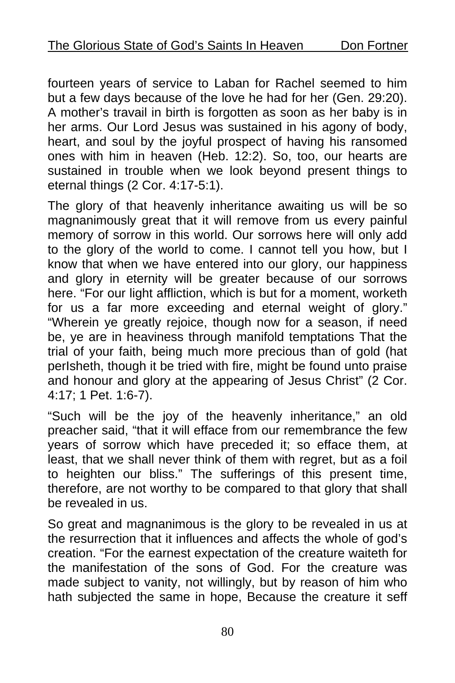fourteen years of service to Laban for Rachel seemed to him but a few days because of the love he had for her (Gen. 29:20). A mother's travail in birth is forgotten as soon as her baby is in her arms. Our Lord Jesus was sustained in his agony of body, heart, and soul by the joyful prospect of having his ransomed ones with him in heaven (Heb. 12:2). So, too, our hearts are sustained in trouble when we look beyond present things to eternal things (2 Cor. 4:17-5:1).

The glory of that heavenly inheritance awaiting us will be so magnanimously great that it will remove from us every painful memory of sorrow in this world. Our sorrows here will only add to the glory of the world to come. I cannot tell you how, but I know that when we have entered into our glory, our happiness and glory in eternity will be greater because of our sorrows here. "For our light affliction, which is but for a moment, worketh for us a far more exceeding and eternal weight of glory." "Wherein ye greatly rejoice, though now for a season, if need be, ye are in heaviness through manifold temptations That the trial of your faith, being much more precious than of gold (hat perIsheth, though it be tried with fire, might be found unto praise and honour and glory at the appearing of Jesus Christ" (2 Cor. 4:17; 1 Pet. 1:6-7).

"Such will be the joy of the heavenly inheritance," an old preacher said, "that it will efface from our remembrance the few years of sorrow which have preceded it; so efface them, at least, that we shall never think of them with regret, but as a foil to heighten our bliss." The sufferings of this present time, therefore, are not worthy to be compared to that glory that shall be revealed in us.

So great and magnanimous is the glory to be revealed in us at the resurrection that it influences and affects the whole of god's creation. "For the earnest expectation of the creature waiteth for the manifestation of the sons of God. For the creature was made subject to vanity, not willingly, but by reason of him who hath subjected the same in hope, Because the creature it seff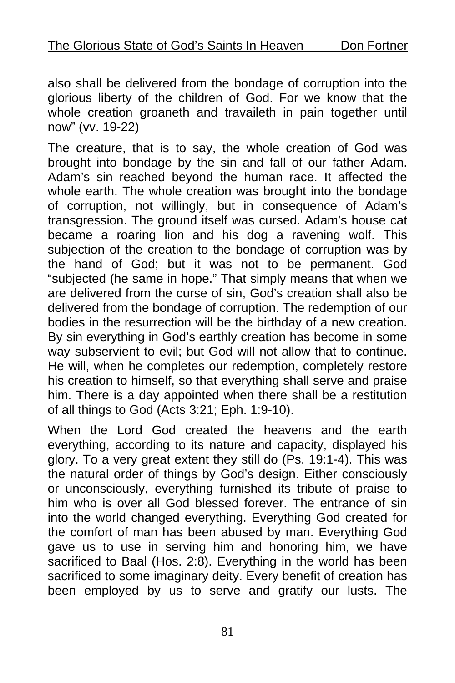also shall be delivered from the bondage of corruption into the glorious liberty of the children of God. For we know that the whole creation groaneth and travaileth in pain together until now" (vv. 19-22)

The creature, that is to say, the whole creation of God was brought into bondage by the sin and fall of our father Adam. Adam's sin reached beyond the human race. It affected the whole earth. The whole creation was brought into the bondage of corruption, not willingly, but in consequence of Adam's transgression. The ground itself was cursed. Adam's house cat became a roaring lion and his dog a ravening wolf. This subjection of the creation to the bondage of corruption was by the hand of God; but it was not to be permanent. God "subjected (he same in hope." That simply means that when we are delivered from the curse of sin, God's creation shall also be delivered from the bondage of corruption. The redemption of our bodies in the resurrection will be the birthday of a new creation. By sin everything in God's earthly creation has become in some way subservient to evil; but God will not allow that to continue. He will, when he completes our redemption, completely restore his creation to himself, so that everything shall serve and praise him. There is a day appointed when there shall be a restitution of all things to God (Acts 3:21; Eph. 1:9-10).

When the Lord God created the heavens and the earth everything, according to its nature and capacity, displayed his glory. To a very great extent they still do (Ps. 19:1-4). This was the natural order of things by God's design. Either consciously or unconsciously, everything furnished its tribute of praise to him who is over all God blessed forever. The entrance of sin into the world changed everything. Everything God created for the comfort of man has been abused by man. Everything God gave us to use in serving him and honoring him, we have sacrificed to Baal (Hos. 2:8). Everything in the world has been sacrificed to some imaginary deity. Every benefit of creation has been employed by us to serve and gratify our lusts. The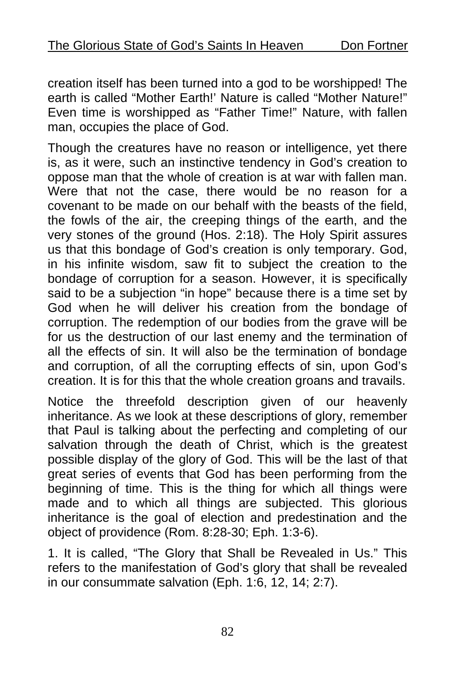creation itself has been turned into a god to be worshipped! The earth is called "Mother Earth!' Nature is called "Mother Nature!" Even time is worshipped as "Father Time!" Nature, with fallen man, occupies the place of God.

Though the creatures have no reason or intelligence, yet there is, as it were, such an instinctive tendency in God's creation to oppose man that the whole of creation is at war with fallen man. Were that not the case, there would be no reason for a covenant to be made on our behalf with the beasts of the field, the fowls of the air, the creeping things of the earth, and the very stones of the ground (Hos. 2:18). The Holy Spirit assures us that this bondage of God's creation is only temporary. God, in his infinite wisdom, saw fit to subject the creation to the bondage of corruption for a season. However, it is specifically said to be a subjection "in hope" because there is a time set by God when he will deliver his creation from the bondage of corruption. The redemption of our bodies from the grave will be for us the destruction of our last enemy and the termination of all the effects of sin. It will also be the termination of bondage and corruption, of all the corrupting effects of sin, upon God's creation. It is for this that the whole creation groans and travails.

Notice the threefold description given of our heavenly inheritance. As we look at these descriptions of glory, remember that Paul is talking about the perfecting and completing of our salvation through the death of Christ, which is the greatest possible display of the glory of God. This will be the last of that great series of events that God has been performing from the beginning of time. This is the thing for which all things were made and to which all things are subjected. This glorious inheritance is the goal of election and predestination and the object of providence (Rom. 8:28-30; Eph. 1:3-6).

1. It is called, "The Glory that Shall be Revealed in Us." This refers to the manifestation of God's glory that shall be revealed in our consummate salvation (Eph. 1:6, 12, 14; 2:7).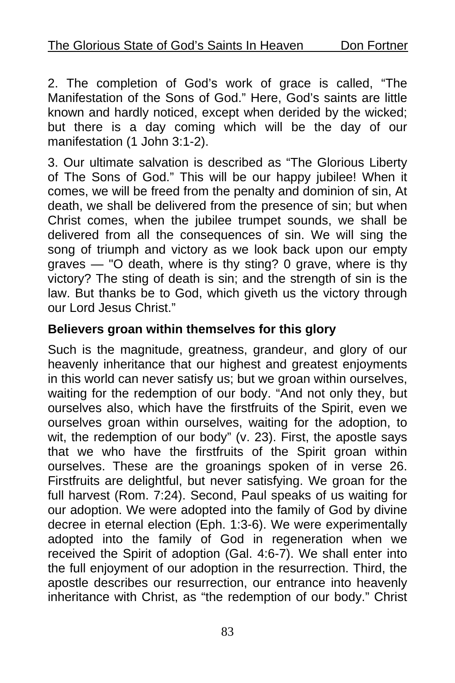2. The completion of God's work of grace is called, "The Manifestation of the Sons of God." Here, God's saints are little known and hardly noticed, except when derided by the wicked; but there is a day coming which will be the day of our manifestation (1 John 3:1-2).

3. Our ultimate salvation is described as "The Glorious Liberty of The Sons of God." This will be our happy jubilee! When it comes, we will be freed from the penalty and dominion of sin, At death, we shall be delivered from the presence of sin; but when Christ comes, when the jubilee trumpet sounds, we shall be delivered from all the consequences of sin. We will sing the song of triumph and victory as we look back upon our empty graves — "O death, where is thy sting? 0 grave, where is thy victory? The sting of death is sin; and the strength of sin is the law. But thanks be to God, which giveth us the victory through our Lord Jesus Christ."

### **Believers groan within themselves for this glory**

Such is the magnitude, greatness, grandeur, and glory of our heavenly inheritance that our highest and greatest enjoyments in this world can never satisfy us; but we groan within ourselves, waiting for the redemption of our body. "And not only they, but ourselves also, which have the firstfruits of the Spirit, even we ourselves groan within ourselves, waiting for the adoption, to wit, the redemption of our body" (v. 23). First, the apostle says that we who have the firstfruits of the Spirit groan within ourselves. These are the groanings spoken of in verse 26. Firstfruits are delightful, but never satisfying. We groan for the full harvest (Rom. 7:24). Second, Paul speaks of us waiting for our adoption. We were adopted into the family of God by divine decree in eternal election (Eph. 1:3-6). We were experimentally adopted into the family of God in regeneration when we received the Spirit of adoption (Gal. 4:6-7). We shall enter into the full enjoyment of our adoption in the resurrection. Third, the apostle describes our resurrection, our entrance into heavenly inheritance with Christ, as "the redemption of our body." Christ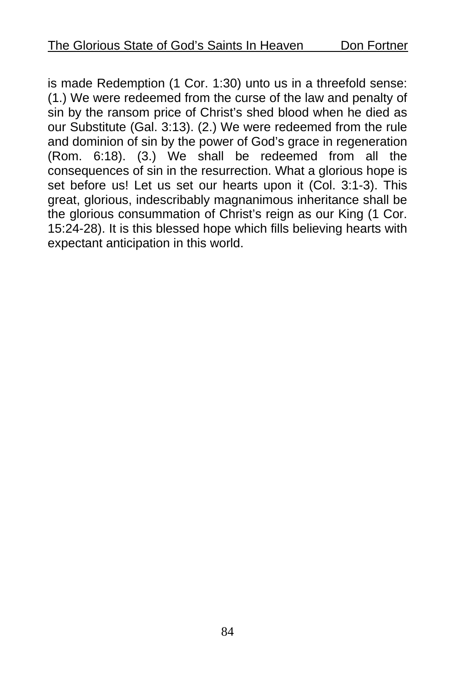is made Redemption (1 Cor. 1:30) unto us in a threefold sense: (1.) We were redeemed from the curse of the law and penalty of sin by the ransom price of Christ's shed blood when he died as our Substitute (Gal. 3:13). (2.) We were redeemed from the rule and dominion of sin by the power of God's grace in regeneration (Rom. 6:18). (3.) We shall be redeemed from all the consequences of sin in the resurrection. What a glorious hope is set before us! Let us set our hearts upon it (Col. 3:1-3). This great, glorious, indescribably magnanimous inheritance shall be the glorious consummation of Christ's reign as our King (1 Cor. 15:24-28). It is this blessed hope which fills believing hearts with expectant anticipation in this world.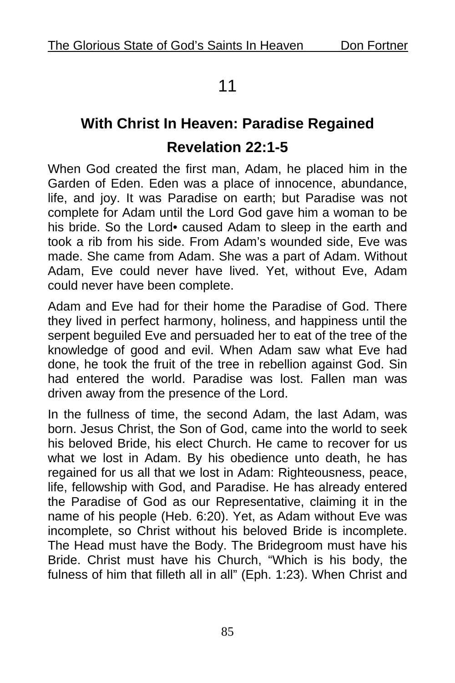## 11

# **With Christ In Heaven: Paradise Regained Revelation 22:1-5**

When God created the first man, Adam, he placed him in the Garden of Eden. Eden was a place of innocence, abundance, life, and joy. It was Paradise on earth; but Paradise was not complete for Adam until the Lord God gave him a woman to be his bride. So the Lord• caused Adam to sleep in the earth and took a rib from his side. From Adam's wounded side, Eve was made. She came from Adam. She was a part of Adam. Without Adam, Eve could never have lived. Yet, without Eve, Adam could never have been complete.

Adam and Eve had for their home the Paradise of God. There they lived in perfect harmony, holiness, and happiness until the serpent beguiled Eve and persuaded her to eat of the tree of the knowledge of good and evil. When Adam saw what Eve had done, he took the fruit of the tree in rebellion against God. Sin had entered the world. Paradise was lost. Fallen man was driven away from the presence of the Lord.

In the fullness of time, the second Adam, the last Adam, was born. Jesus Christ, the Son of God, came into the world to seek his beloved Bride, his elect Church. He came to recover for us what we lost in Adam. By his obedience unto death, he has regained for us all that we lost in Adam: Righteousness, peace, life, fellowship with God, and Paradise. He has already entered the Paradise of God as our Representative, claiming it in the name of his people (Heb. 6:20). Yet, as Adam without Eve was incomplete, so Christ without his beloved Bride is incomplete. The Head must have the Body. The Bridegroom must have his Bride. Christ must have his Church, "Which is his body, the fulness of him that filleth all in all" (Eph. 1:23). When Christ and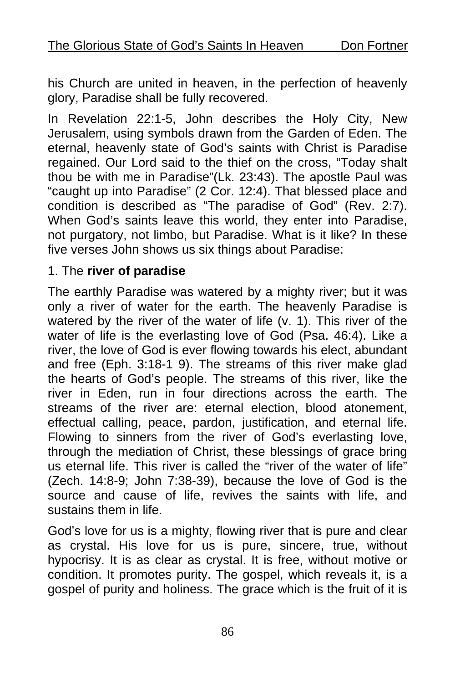his Church are united in heaven, in the perfection of heavenly glory, Paradise shall be fully recovered.

In Revelation 22:1-5, John describes the Holy City, New Jerusalem, using symbols drawn from the Garden of Eden. The eternal, heavenly state of God's saints with Christ is Paradise regained. Our Lord said to the thief on the cross, "Today shalt thou be with me in Paradise"(Lk. 23:43). The apostle Paul was "caught up into Paradise" (2 Cor. 12:4). That blessed place and condition is described as "The paradise of God" (Rev. 2:7). When God's saints leave this world, they enter into Paradise, not purgatory, not limbo, but Paradise. What is it like? In these five verses John shows us six things about Paradise:

#### 1. The **river of paradise**

The earthly Paradise was watered by a mighty river; but it was only a river of water for the earth. The heavenly Paradise is watered by the river of the water of life (v. 1). This river of the water of life is the everlasting love of God (Psa. 46:4). Like a river, the love of God is ever flowing towards his elect, abundant and free (Eph. 3:18-1 9). The streams of this river make glad the hearts of God's people. The streams of this river, like the river in Eden, run in four directions across the earth. The streams of the river are: eternal election, blood atonement, effectual calling, peace, pardon, justification, and eternal life. Flowing to sinners from the river of God's everlasting love, through the mediation of Christ, these blessings of grace bring us eternal life. This river is called the "river of the water of life" (Zech. 14:8-9; John 7:38-39), because the love of God is the source and cause of life, revives the saints with life, and sustains them in life.

God's love for us is a mighty, flowing river that is pure and clear as crystal. His love for us is pure, sincere, true, without hypocrisy. It is as clear as crystal. It is free, without motive or condition. It promotes purity. The gospel, which reveals it, is a gospel of purity and holiness. The grace which is the fruit of it is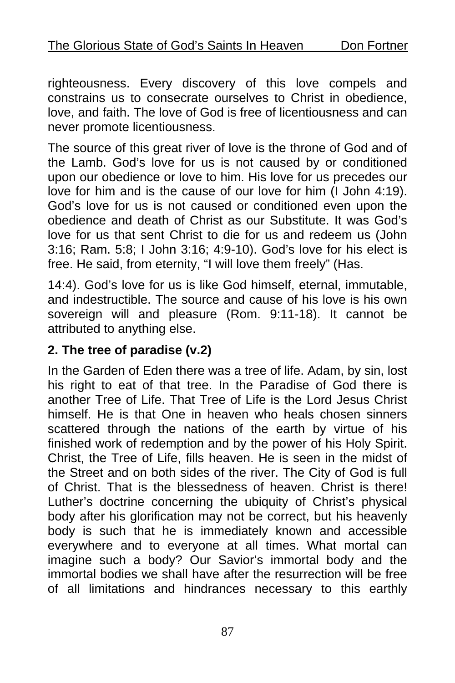righteousness. Every discovery of this love compels and constrains us to consecrate ourselves to Christ in obedience, love, and faith. The love of God is free of licentiousness and can never promote licentiousness.

The source of this great river of love is the throne of God and of the Lamb. God's love for us is not caused by or conditioned upon our obedience or love to him. His love for us precedes our love for him and is the cause of our love for him (I John 4:19). God's love for us is not caused or conditioned even upon the obedience and death of Christ as our Substitute. It was God's love for us that sent Christ to die for us and redeem us (John 3:16; Ram. 5:8; I John 3:16; 4:9-10). God's love for his elect is free. He said, from eternity, "I will love them freely" (Has.

14:4). God's love for us is like God himself, eternal, immutable, and indestructible. The source and cause of his love is his own sovereign will and pleasure (Rom. 9:11-18). It cannot be attributed to anything else.

### **2. The tree of paradise (v.2)**

In the Garden of Eden there was a tree of life. Adam, by sin, lost his right to eat of that tree. In the Paradise of God there is another Tree of Life. That Tree of Life is the Lord Jesus Christ himself. He is that One in heaven who heals chosen sinners scattered through the nations of the earth by virtue of his finished work of redemption and by the power of his Holy Spirit. Christ, the Tree of Life, fills heaven. He is seen in the midst of the Street and on both sides of the river. The City of God is full of Christ. That is the blessedness of heaven. Christ is there! Luther's doctrine concerning the ubiquity of Christ's physical body after his glorification may not be correct, but his heavenly body is such that he is immediately known and accessible everywhere and to everyone at all times. What mortal can imagine such a body? Our Savior's immortal body and the immortal bodies we shall have after the resurrection will be free of all limitations and hindrances necessary to this earthly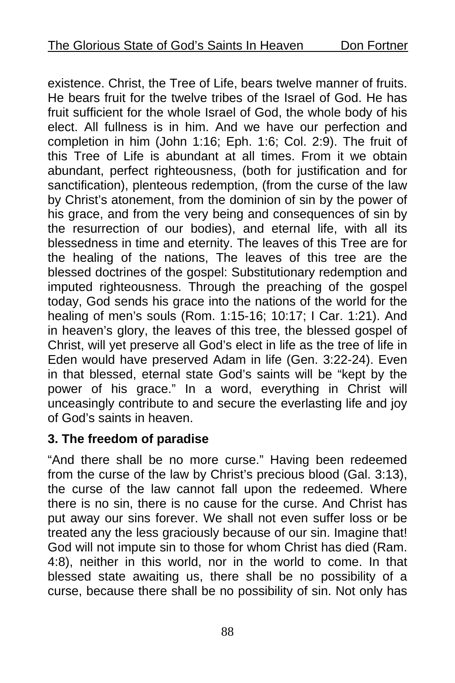existence. Christ, the Tree of Life, bears twelve manner of fruits. He bears fruit for the twelve tribes of the Israel of God. He has fruit sufficient for the whole Israel of God, the whole body of his elect. All fullness is in him. And we have our perfection and completion in him (John 1:16; Eph. 1:6; Col. 2:9). The fruit of this Tree of Life is abundant at all times. From it we obtain abundant, perfect righteousness, (both for justification and for sanctification), plenteous redemption, (from the curse of the law by Christ's atonement, from the dominion of sin by the power of his grace, and from the very being and consequences of sin by the resurrection of our bodies), and eternal life, with all its blessedness in time and eternity. The leaves of this Tree are for the healing of the nations, The leaves of this tree are the blessed doctrines of the gospel: Substitutionary redemption and imputed righteousness. Through the preaching of the gospel today, God sends his grace into the nations of the world for the healing of men's souls (Rom. 1:15-16; 10:17; I Car. 1:21). And in heaven's glory, the leaves of this tree, the blessed gospel of Christ, will yet preserve all God's elect in life as the tree of life in Eden would have preserved Adam in life (Gen. 3:22-24). Even in that blessed, eternal state God's saints will be "kept by the power of his grace." In a word, everything in Christ will unceasingly contribute to and secure the everlasting life and joy of God's saints in heaven.

### **3. The freedom of paradise**

"And there shall be no more curse." Having been redeemed from the curse of the law by Christ's precious blood (Gal. 3:13), the curse of the law cannot fall upon the redeemed. Where there is no sin, there is no cause for the curse. And Christ has put away our sins forever. We shall not even suffer loss or be treated any the less graciously because of our sin. Imagine that! God will not impute sin to those for whom Christ has died (Ram. 4:8), neither in this world, nor in the world to come. In that blessed state awaiting us, there shall be no possibility of a curse, because there shall be no possibility of sin. Not only has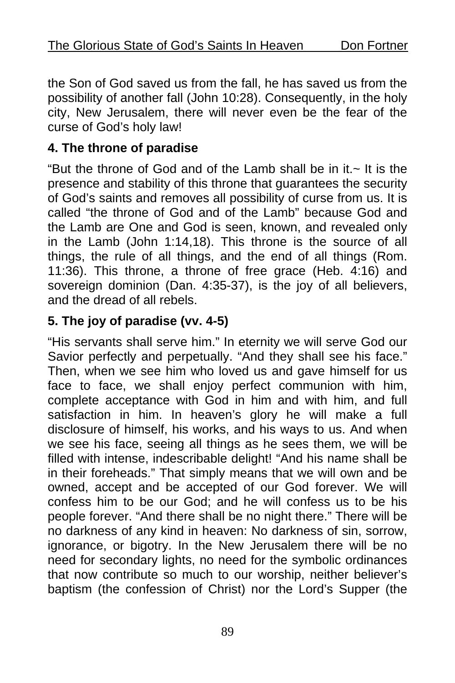the Son of God saved us from the fall, he has saved us from the possibility of another fall (John 10:28). Consequently, in the holy city, New Jerusalem, there will never even be the fear of the curse of God's holy law!

### **4. The throne of paradise**

"But the throne of God and of the Lamb shall be in it. $\sim$  It is the presence and stability of this throne that guarantees the security of God's saints and removes all possibility of curse from us. It is called "the throne of God and of the Lamb" because God and the Lamb are One and God is seen, known, and revealed only in the Lamb (John 1:14,18). This throne is the source of all things, the rule of all things, and the end of all things (Rom. 11:36). This throne, a throne of free grace (Heb. 4:16) and sovereign dominion (Dan. 4:35-37), is the joy of all believers, and the dread of all rebels.

### **5. The joy of paradise (vv. 4-5)**

"His servants shall serve him." In eternity we will serve God our Savior perfectly and perpetually. "And they shall see his face." Then, when we see him who loved us and gave himself for us face to face, we shall enjoy perfect communion with him, complete acceptance with God in him and with him, and full satisfaction in him. In heaven's glory he will make a full disclosure of himself, his works, and his ways to us. And when we see his face, seeing all things as he sees them, we will be filled with intense, indescribable delight! "And his name shall be in their foreheads." That simply means that we will own and be owned, accept and be accepted of our God forever. We will confess him to be our God; and he will confess us to be his people forever. "And there shall be no night there." There will be no darkness of any kind in heaven: No darkness of sin, sorrow, ignorance, or bigotry. In the New Jerusalem there will be no need for secondary lights, no need for the symbolic ordinances that now contribute so much to our worship, neither believer's baptism (the confession of Christ) nor the Lord's Supper (the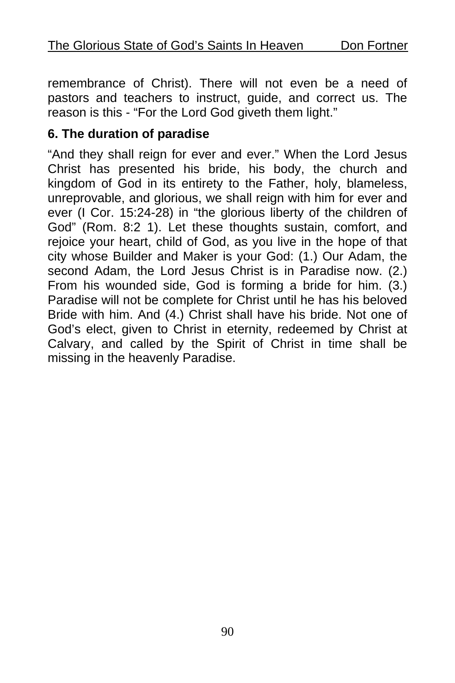remembrance of Christ). There will not even be a need of pastors and teachers to instruct, guide, and correct us. The reason is this - "For the Lord God giveth them light."

### **6. The duration of paradise**

"And they shall reign for ever and ever." When the Lord Jesus Christ has presented his bride, his body, the church and kingdom of God in its entirety to the Father, holy, blameless, unreprovable, and glorious, we shall reign with him for ever and ever (I Cor. 15:24-28) in "the glorious liberty of the children of God" (Rom. 8:2 1). Let these thoughts sustain, comfort, and rejoice your heart, child of God, as you live in the hope of that city whose Builder and Maker is your God: (1.) Our Adam, the second Adam, the Lord Jesus Christ is in Paradise now. (2.) From his wounded side, God is forming a bride for him. (3.) Paradise will not be complete for Christ until he has his beloved Bride with him. And (4.) Christ shall have his bride. Not one of God's elect, given to Christ in eternity, redeemed by Christ at Calvary, and called by the Spirit of Christ in time shall be missing in the heavenly Paradise.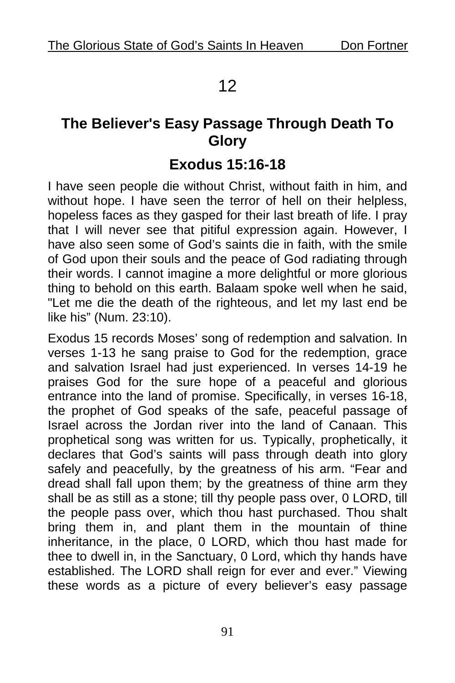### 12

### **The Believer's Easy Passage Through Death To Glory**

### **Exodus 15:16-18**

I have seen people die without Christ, without faith in him, and without hope. I have seen the terror of hell on their helpless, hopeless faces as they gasped for their last breath of life. I pray that I will never see that pitiful expression again. However, I have also seen some of God's saints die in faith, with the smile of God upon their souls and the peace of God radiating through their words. I cannot imagine a more delightful or more glorious thing to behold on this earth. Balaam spoke well when he said, "Let me die the death of the righteous, and let my last end be like his" (Num. 23:10).

Exodus 15 records Moses' song of redemption and salvation. In verses 1-13 he sang praise to God for the redemption, grace and salvation Israel had just experienced. In verses 14-19 he praises God for the sure hope of a peaceful and glorious entrance into the land of promise. Specifically, in verses 16-18, the prophet of God speaks of the safe, peaceful passage of Israel across the Jordan river into the land of Canaan. This prophetical song was written for us. Typically, prophetically, it declares that God's saints will pass through death into glory safely and peacefully, by the greatness of his arm. "Fear and dread shall fall upon them; by the greatness of thine arm they shall be as still as a stone; till thy people pass over, 0 LORD, till the people pass over, which thou hast purchased. Thou shalt bring them in, and plant them in the mountain of thine inheritance, in the place, 0 LORD, which thou hast made for thee to dwell in, in the Sanctuary, 0 Lord, which thy hands have established. The LORD shall reign for ever and ever." Viewing these words as a picture of every believer's easy passage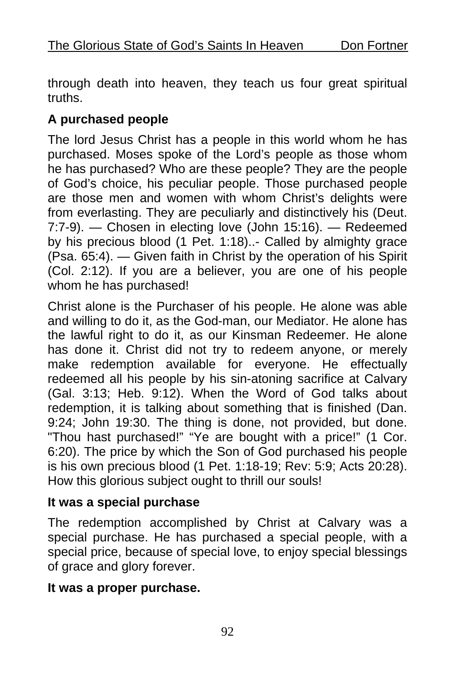through death into heaven, they teach us four great spiritual truths.

### **A purchased people**

The lord Jesus Christ has a people in this world whom he has purchased. Moses spoke of the Lord's people as those whom he has purchased? Who are these people? They are the people of God's choice, his peculiar people. Those purchased people are those men and women with whom Christ's delights were from everlasting. They are peculiarly and distinctively his (Deut. 7:7-9). — Chosen in electing love (John 15:16). — Redeemed by his precious blood (1 Pet. 1:18)..- Called by almighty grace (Psa. 65:4). — Given faith in Christ by the operation of his Spirit (Col. 2:12). If you are a believer, you are one of his people whom he has purchased!

Christ alone is the Purchaser of his people. He alone was able and willing to do it, as the God-man, our Mediator. He alone has the lawful right to do it, as our Kinsman Redeemer. He alone has done it. Christ did not try to redeem anyone, or merely make redemption available for everyone. He effectually redeemed all his people by his sin-atoning sacrifice at Calvary (Gal. 3:13; Heb. 9:12). When the Word of God talks about redemption, it is talking about something that is finished (Dan. 9:24; John 19:30. The thing is done, not provided, but done. "Thou hast purchased!" "Ye are bought with a price!" (1 Cor. 6:20). The price by which the Son of God purchased his people is his own precious blood (1 Pet. 1:18-19; Rev: 5:9; Acts 20:28). How this glorious subject ought to thrill our souls!

### **It was a special purchase**

The redemption accomplished by Christ at Calvary was a special purchase. He has purchased a special people, with a special price, because of special love, to enjoy special blessings of grace and glory forever.

### **It was a proper purchase.**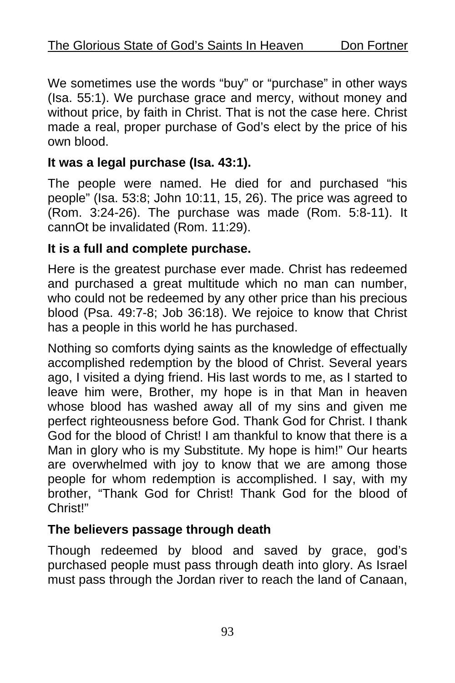We sometimes use the words "buy" or "purchase" in other ways (Isa. 55:1). We purchase grace and mercy, without money and without price, by faith in Christ. That is not the case here. Christ made a real, proper purchase of God's elect by the price of his own blood.

### **It was a legal purchase (Isa. 43:1).**

The people were named. He died for and purchased "his people" (Isa. 53:8; John 10:11, 15, 26). The price was agreed to (Rom. 3:24-26). The purchase was made (Rom. 5:8-11). It cannOt be invalidated (Rom. 11:29).

### **It is a full and complete purchase.**

Here is the greatest purchase ever made. Christ has redeemed and purchased a great multitude which no man can number, who could not be redeemed by any other price than his precious blood (Psa. 49:7-8; Job 36:18). We rejoice to know that Christ has a people in this world he has purchased.

Nothing so comforts dying saints as the knowledge of effectually accomplished redemption by the blood of Christ. Several years ago, I visited a dying friend. His last words to me, as I started to leave him were, Brother, my hope is in that Man in heaven whose blood has washed away all of my sins and given me perfect righteousness before God. Thank God for Christ. I thank God for the blood of Christ! I am thankful to know that there is a Man in glory who is my Substitute. My hope is him!" Our hearts are overwhelmed with joy to know that we are among those people for whom redemption is accomplished. I say, with my brother, "Thank God for Christ! Thank God for the blood of Christ!"

### **The believers passage through death**

Though redeemed by blood and saved by grace, god's purchased people must pass through death into glory. As Israel must pass through the Jordan river to reach the land of Canaan,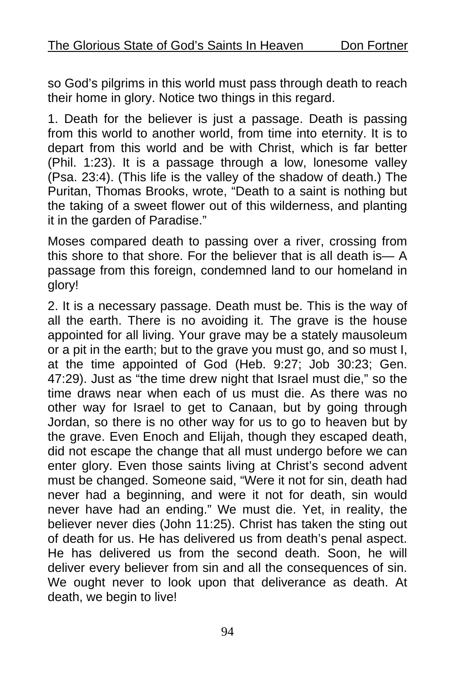so God's pilgrims in this world must pass through death to reach their home in glory. Notice two things in this regard.

1. Death for the believer is just a passage. Death is passing from this world to another world, from time into eternity. It is to depart from this world and be with Christ, which is far better (Phil. 1:23). It is a passage through a low, lonesome valley (Psa. 23:4). (This life is the valley of the shadow of death.) The Puritan, Thomas Brooks, wrote, "Death to a saint is nothing but the taking of a sweet flower out of this wilderness, and planting it in the garden of Paradise."

Moses compared death to passing over a river, crossing from this shore to that shore. For the believer that is all death is— A passage from this foreign, condemned land to our homeland in glory!

2. It is a necessary passage. Death must be. This is the way of all the earth. There is no avoiding it. The grave is the house appointed for all living. Your grave may be a stately mausoleum or a pit in the earth; but to the grave you must go, and so must I, at the time appointed of God (Heb. 9:27; Job 30:23; Gen. 47:29). Just as "the time drew night that Israel must die," so the time draws near when each of us must die. As there was no other way for Israel to get to Canaan, but by going through Jordan, so there is no other way for us to go to heaven but by the grave. Even Enoch and Elijah, though they escaped death, did not escape the change that all must undergo before we can enter glory. Even those saints living at Christ's second advent must be changed. Someone said, "Were it not for sin, death had never had a beginning, and were it not for death, sin would never have had an ending." We must die. Yet, in reality, the believer never dies (John 11:25). Christ has taken the sting out of death for us. He has delivered us from death's penal aspect. He has delivered us from the second death. Soon, he will deliver every believer from sin and all the consequences of sin. We ought never to look upon that deliverance as death. At death, we begin to live!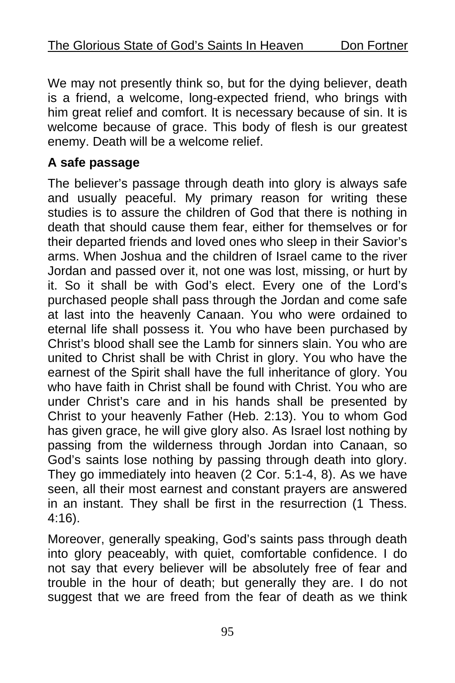We may not presently think so, but for the dying believer, death is a friend, a welcome, long-expected friend, who brings with him great relief and comfort. It is necessary because of sin. It is welcome because of grace. This body of flesh is our greatest enemy. Death will be a welcome relief.

### **A safe passage**

The believer's passage through death into glory is always safe and usually peaceful. My primary reason for writing these studies is to assure the children of God that there is nothing in death that should cause them fear, either for themselves or for their departed friends and loved ones who sleep in their Savior's arms. When Joshua and the children of Israel came to the river Jordan and passed over it, not one was lost, missing, or hurt by it. So it shall be with God's elect. Every one of the Lord's purchased people shall pass through the Jordan and come safe at last into the heavenly Canaan. You who were ordained to eternal life shall possess it. You who have been purchased by Christ's blood shall see the Lamb for sinners slain. You who are united to Christ shall be with Christ in glory. You who have the earnest of the Spirit shall have the full inheritance of glory. You who have faith in Christ shall be found with Christ. You who are under Christ's care and in his hands shall be presented by Christ to your heavenly Father (Heb. 2:13). You to whom God has given grace, he will give glory also. As Israel lost nothing by passing from the wilderness through Jordan into Canaan, so God's saints lose nothing by passing through death into glory. They go immediately into heaven (2 Cor. 5:1-4, 8). As we have seen, all their most earnest and constant prayers are answered in an instant. They shall be first in the resurrection (1 Thess. 4:16).

Moreover, generally speaking, God's saints pass through death into glory peaceably, with quiet, comfortable confidence. I do not say that every believer will be absolutely free of fear and trouble in the hour of death; but generally they are. I do not suggest that we are freed from the fear of death as we think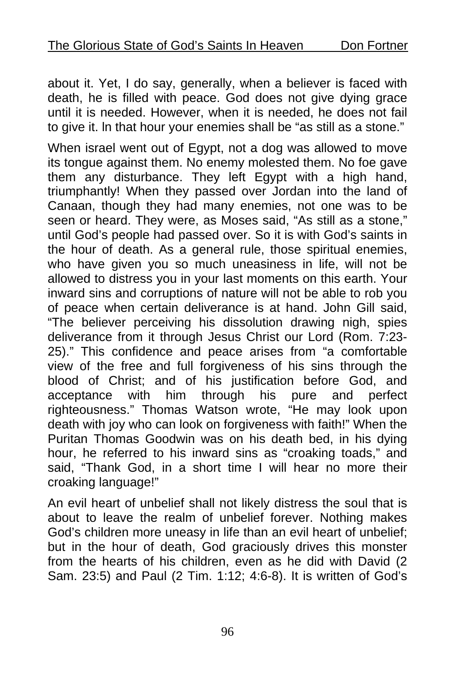about it. Yet, I do say, generally, when a believer is faced with death, he is filled with peace. God does not give dying grace until it is needed. However, when it is needed, he does not fail to give it. ln that hour your enemies shall be "as still as a stone."

When israel went out of Egypt, not a dog was allowed to move its tongue against them. No enemy molested them. No foe gave them any disturbance. They left Egypt with a high hand, triumphantly! When they passed over Jordan into the land of Canaan, though they had many enemies, not one was to be seen or heard. They were, as Moses said, "As still as a stone," until God's people had passed over. So it is with God's saints in the hour of death. As a general rule, those spiritual enemies, who have given you so much uneasiness in life, will not be allowed to distress you in your last moments on this earth. Your inward sins and corruptions of nature will not be able to rob you of peace when certain deliverance is at hand. John Gill said, "The believer perceiving his dissolution drawing nigh, spies deliverance from it through Jesus Christ our Lord (Rom. 7:23- 25)." This confidence and peace arises from "a comfortable view of the free and full forgiveness of his sins through the blood of Christ; and of his justification before God, and acceptance with him through his pure and perfect righteousness." Thomas Watson wrote, "He may look upon death with joy who can look on forgiveness with faith!" When the Puritan Thomas Goodwin was on his death bed, in his dying hour, he referred to his inward sins as "croaking toads," and said, "Thank God, in a short time I will hear no more their croaking language!"

An evil heart of unbelief shall not likely distress the soul that is about to leave the realm of unbelief forever. Nothing makes God's children more uneasy in life than an evil heart of unbelief; but in the hour of death, God graciously drives this monster from the hearts of his children, even as he did with David (2 Sam. 23:5) and Paul (2 Tim. 1:12; 4:6-8). It is written of God's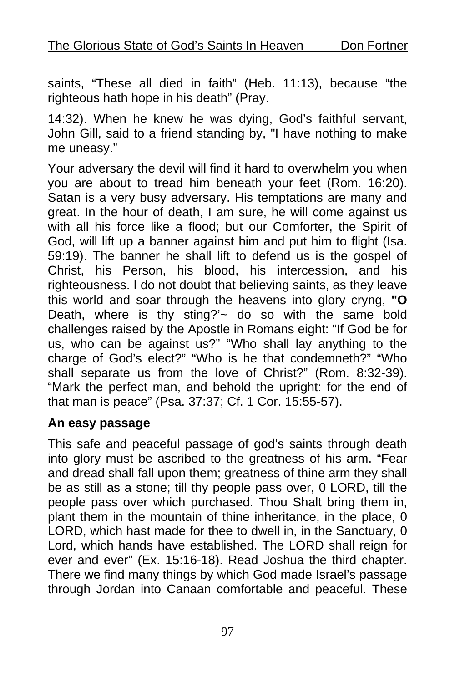saints, "These all died in faith" (Heb. 11:13), because "the righteous hath hope in his death" (Pray.

14:32). When he knew he was dying, God's faithful servant, John Gill, said to a friend standing by, "I have nothing to make me uneasy."

Your adversary the devil will find it hard to overwhelm you when you are about to tread him beneath your feet (Rom. 16:20). Satan is a very busy adversary. His temptations are many and great. In the hour of death, I am sure, he will come against us with all his force like a flood; but our Comforter, the Spirit of God, will lift up a banner against him and put him to flight (Isa. 59:19). The banner he shall lift to defend us is the gospel of Christ, his Person, his blood, his intercession, and his righteousness. I do not doubt that believing saints, as they leave this world and soar through the heavens into glory cryng, **"O**  Death, where is thy sting?' $\sim$  do so with the same bold challenges raised by the Apostle in Romans eight: "If God be for us, who can be against us?" "Who shall lay anything to the charge of God's elect?" "Who is he that condemneth?" "Who shall separate us from the love of Christ?" (Rom. 8:32-39). "Mark the perfect man, and behold the upright: for the end of that man is peace" (Psa. 37:37; Cf. 1 Cor. 15:55-57).

#### **An easy passage**

This safe and peaceful passage of god's saints through death into glory must be ascribed to the greatness of his arm. "Fear and dread shall fall upon them; greatness of thine arm they shall be as still as a stone; till thy people pass over, 0 LORD, till the people pass over which purchased. Thou Shalt bring them in, plant them in the mountain of thine inheritance, in the place, 0 LORD, which hast made for thee to dwell in, in the Sanctuary, 0 Lord, which hands have established. The LORD shall reign for ever and ever" (Ex. 15:16-18). Read Joshua the third chapter. There we find many things by which God made Israel's passage through Jordan into Canaan comfortable and peaceful. These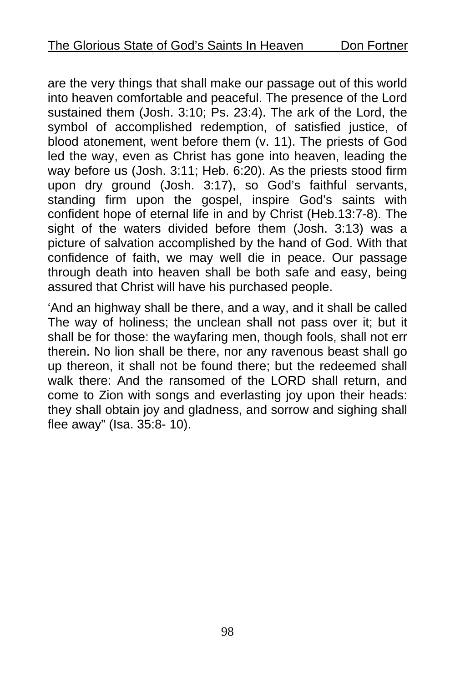are the very things that shall make our passage out of this world into heaven comfortable and peaceful. The presence of the Lord sustained them (Josh. 3:10; Ps. 23:4). The ark of the Lord, the symbol of accomplished redemption, of satisfied justice, of blood atonement, went before them (v. 11). The priests of God led the way, even as Christ has gone into heaven, leading the way before us (Josh. 3:11; Heb. 6:20). As the priests stood firm upon dry ground (Josh. 3:17), so God's faithful servants, standing firm upon the gospel, inspire God's saints with confident hope of eternal life in and by Christ (Heb.13:7-8). The sight of the waters divided before them (Josh. 3:13) was a picture of salvation accomplished by the hand of God. With that confidence of faith, we may well die in peace. Our passage through death into heaven shall be both safe and easy, being assured that Christ will have his purchased people.

'And an highway shall be there, and a way, and it shall be called The way of holiness; the unclean shall not pass over it; but it shall be for those: the wayfaring men, though fools, shall not err therein. No lion shall be there, nor any ravenous beast shall go up thereon, it shall not be found there; but the redeemed shall walk there: And the ransomed of the LORD shall return, and come to Zion with songs and everlasting joy upon their heads: they shall obtain joy and gladness, and sorrow and sighing shall flee away" (Isa. 35:8- 10).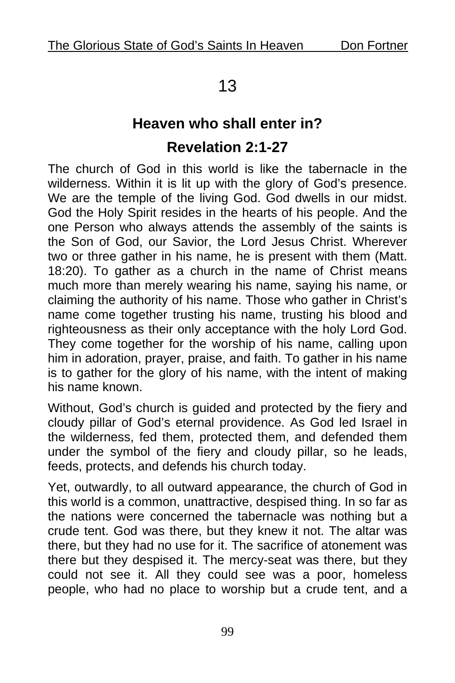## 13

# **Heaven who shall enter in? Revelation 2:1-27**

The church of God in this world is like the tabernacle in the wilderness. Within it is lit up with the glory of God's presence. We are the temple of the living God. God dwells in our midst. God the Holy Spirit resides in the hearts of his people. And the one Person who always attends the assembly of the saints is the Son of God, our Savior, the Lord Jesus Christ. Wherever two or three gather in his name, he is present with them (Matt. 18:20). To gather as a church in the name of Christ means much more than merely wearing his name, saying his name, or claiming the authority of his name. Those who gather in Christ's name come together trusting his name, trusting his blood and righteousness as their only acceptance with the holy Lord God. They come together for the worship of his name, calling upon him in adoration, prayer, praise, and faith. To gather in his name is to gather for the glory of his name, with the intent of making his name known.

Without, God's church is guided and protected by the fiery and cloudy pillar of God's eternal providence. As God led Israel in the wilderness, fed them, protected them, and defended them under the symbol of the fiery and cloudy pillar, so he leads, feeds, protects, and defends his church today.

Yet, outwardly, to all outward appearance, the church of God in this world is a common, unattractive, despised thing. In so far as the nations were concerned the tabernacle was nothing but a crude tent. God was there, but they knew it not. The altar was there, but they had no use for it. The sacrifice of atonement was there but they despised it. The mercy-seat was there, but they could not see it. All they could see was a poor, homeless people, who had no place to worship but a crude tent, and a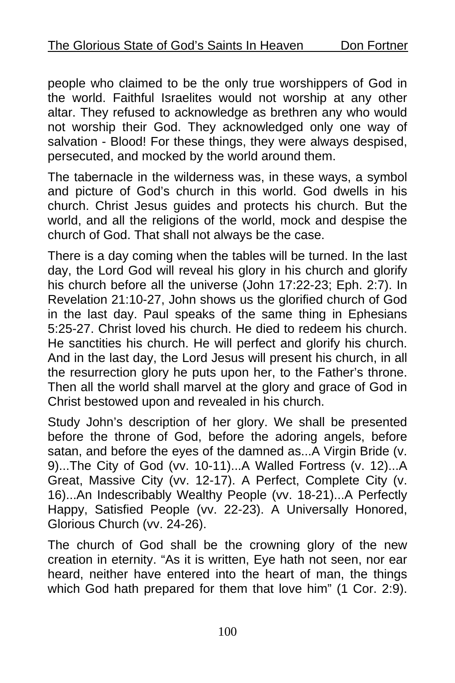people who claimed to be the only true worshippers of God in the world. Faithful Israelites would not worship at any other altar. They refused to acknowledge as brethren any who would not worship their God. They acknowledged only one way of salvation - Blood! For these things, they were always despised, persecuted, and mocked by the world around them.

The tabernacle in the wilderness was, in these ways, a symbol and picture of God's church in this world. God dwells in his church. Christ Jesus guides and protects his church. But the world, and all the religions of the world, mock and despise the church of God. That shall not always be the case.

There is a day coming when the tables will be turned. In the last day, the Lord God will reveal his glory in his church and glorify his church before all the universe (John 17:22-23; Eph. 2:7). In Revelation 21:10-27, John shows us the glorified church of God in the last day. Paul speaks of the same thing in Ephesians 5:25-27. Christ loved his church. He died to redeem his church. He sanctities his church. He will perfect and glorify his church. And in the last day, the Lord Jesus will present his church, in all the resurrection glory he puts upon her, to the Father's throne. Then all the world shall marvel at the glory and grace of God in Christ bestowed upon and revealed in his church.

Study John's description of her glory. We shall be presented before the throne of God, before the adoring angels, before satan, and before the eyes of the damned as...A Virgin Bride (v. 9)...The City of God (vv. 10-11)...A Walled Fortress (v. 12)...A Great, Massive City (vv. 12-17). A Perfect, Complete City (v. 16)...An Indescribably Wealthy People (vv. 18-21)...A Perfectly Happy, Satisfied People (vv. 22-23). A Universally Honored, Glorious Church (vv. 24-26).

The church of God shall be the crowning glory of the new creation in eternity. "As it is written, Eye hath not seen, nor ear heard, neither have entered into the heart of man, the things which God hath prepared for them that love him" (1 Cor. 2:9).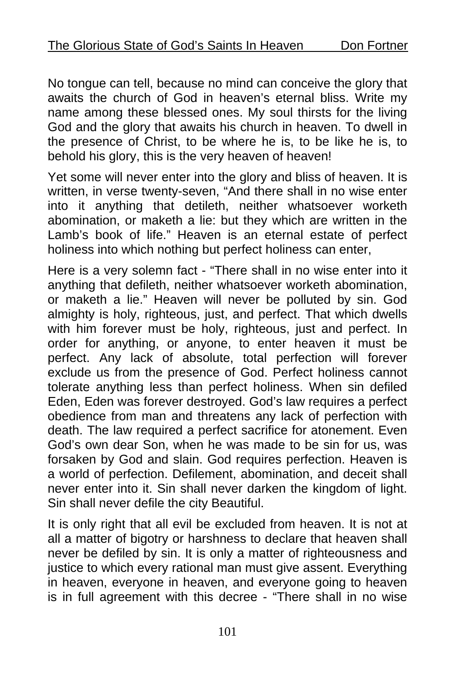No tongue can tell, because no mind can conceive the glory that awaits the church of God in heaven's eternal bliss. Write my name among these blessed ones. My soul thirsts for the living God and the glory that awaits his church in heaven. To dwell in the presence of Christ, to be where he is, to be like he is, to behold his glory, this is the very heaven of heaven!

Yet some will never enter into the glory and bliss of heaven. It is written, in verse twenty-seven, "And there shall in no wise enter into it anything that detileth, neither whatsoever worketh abomination, or maketh a lie: but they which are written in the Lamb's book of life." Heaven is an eternal estate of perfect holiness into which nothing but perfect holiness can enter,

Here is a very solemn fact - "There shall in no wise enter into it anything that defileth, neither whatsoever worketh abomination, or maketh a lie." Heaven will never be polluted by sin. God almighty is holy, righteous, just, and perfect. That which dwells with him forever must be holy, righteous, just and perfect. In order for anything, or anyone, to enter heaven it must be perfect. Any lack of absolute, total perfection will forever exclude us from the presence of God. Perfect holiness cannot tolerate anything less than perfect holiness. When sin defiled Eden, Eden was forever destroyed. God's law requires a perfect obedience from man and threatens any lack of perfection with death. The law required a perfect sacrifice for atonement. Even God's own dear Son, when he was made to be sin for us, was forsaken by God and slain. God requires perfection. Heaven is a world of perfection. Defilement, abomination, and deceit shall never enter into it. Sin shall never darken the kingdom of light. Sin shall never defile the city Beautiful.

It is only right that all evil be excluded from heaven. It is not at all a matter of bigotry or harshness to declare that heaven shall never be defiled by sin. It is only a matter of righteousness and justice to which every rational man must give assent. Everything in heaven, everyone in heaven, and everyone going to heaven is in full agreement with this decree - "There shall in no wise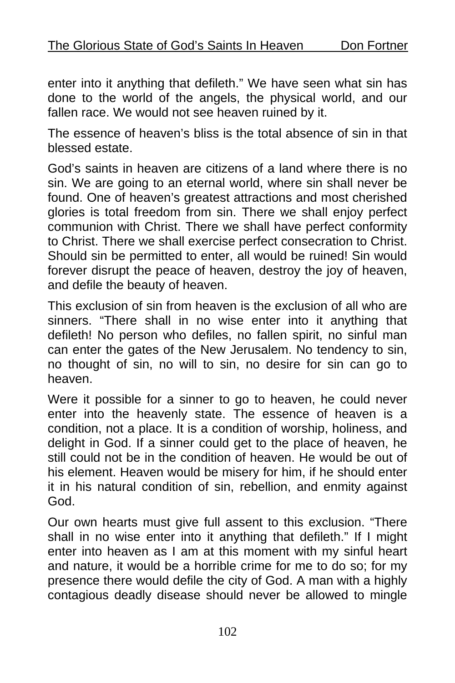enter into it anything that defileth." We have seen what sin has done to the world of the angels, the physical world, and our fallen race. We would not see heaven ruined by it.

The essence of heaven's bliss is the total absence of sin in that blessed estate.

God's saints in heaven are citizens of a land where there is no sin. We are going to an eternal world, where sin shall never be found. One of heaven's greatest attractions and most cherished glories is total freedom from sin. There we shall enjoy perfect communion with Christ. There we shall have perfect conformity to Christ. There we shall exercise perfect consecration to Christ. Should sin be permitted to enter, all would be ruined! Sin would forever disrupt the peace of heaven, destroy the joy of heaven, and defile the beauty of heaven.

This exclusion of sin from heaven is the exclusion of all who are sinners. "There shall in no wise enter into it anything that defileth! No person who defiles, no fallen spirit, no sinful man can enter the gates of the New Jerusalem. No tendency to sin, no thought of sin, no will to sin, no desire for sin can go to heaven.

Were it possible for a sinner to go to heaven, he could never enter into the heavenly state. The essence of heaven is a condition, not a place. It is a condition of worship, holiness, and delight in God. If a sinner could get to the place of heaven, he still could not be in the condition of heaven. He would be out of his element. Heaven would be misery for him, if he should enter it in his natural condition of sin, rebellion, and enmity against God.

Our own hearts must give full assent to this exclusion. "There shall in no wise enter into it anything that defileth." If I might enter into heaven as I am at this moment with my sinful heart and nature, it would be a horrible crime for me to do so; for my presence there would defile the city of God. A man with a highly contagious deadly disease should never be allowed to mingle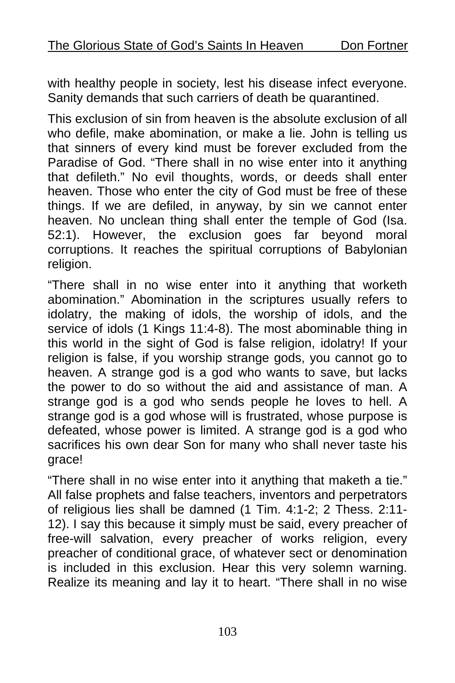with healthy people in society, lest his disease infect everyone. Sanity demands that such carriers of death be quarantined.

This exclusion of sin from heaven is the absolute exclusion of all who defile, make abomination, or make a lie. John is telling us that sinners of every kind must be forever excluded from the Paradise of God. "There shall in no wise enter into it anything that defileth." No evil thoughts, words, or deeds shall enter heaven. Those who enter the city of God must be free of these things. If we are defiled, in anyway, by sin we cannot enter heaven. No unclean thing shall enter the temple of God (Isa. 52:1). However, the exclusion goes far beyond moral corruptions. It reaches the spiritual corruptions of Babylonian religion.

"There shall in no wise enter into it anything that worketh abomination." Abomination in the scriptures usually refers to idolatry, the making of idols, the worship of idols, and the service of idols (1 Kings 11:4-8). The most abominable thing in this world in the sight of God is false religion, idolatry! If your religion is false, if you worship strange gods, you cannot go to heaven. A strange god is a god who wants to save, but lacks the power to do so without the aid and assistance of man. A strange god is a god who sends people he loves to hell. A strange god is a god whose will is frustrated, whose purpose is defeated, whose power is limited. A strange god is a god who sacrifices his own dear Son for many who shall never taste his grace!

"There shall in no wise enter into it anything that maketh a tie." All false prophets and false teachers, inventors and perpetrators of religious lies shall be damned (1 Tim. 4:1-2; 2 Thess. 2:11- 12). I say this because it simply must be said, every preacher of free-will salvation, every preacher of works religion, every preacher of conditional grace, of whatever sect or denomination is included in this exclusion. Hear this very solemn warning. Realize its meaning and lay it to heart. "There shall in no wise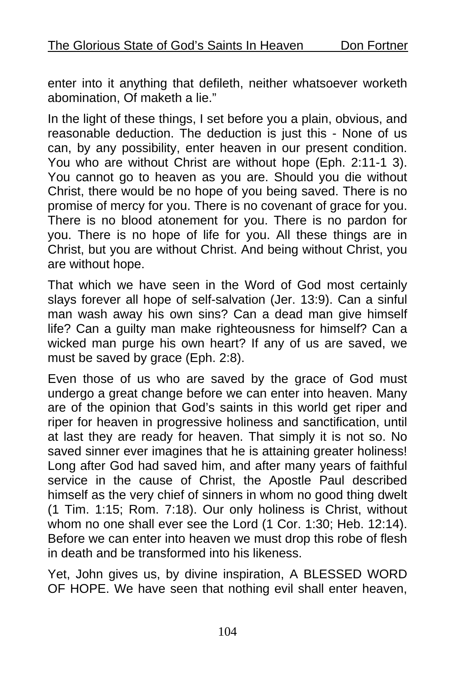enter into it anything that defileth, neither whatsoever worketh abomination, Of maketh a lie."

In the light of these things, I set before you a plain, obvious, and reasonable deduction. The deduction is just this - None of us can, by any possibility, enter heaven in our present condition. You who are without Christ are without hope (Eph. 2:11-1 3). You cannot go to heaven as you are. Should you die without Christ, there would be no hope of you being saved. There is no promise of mercy for you. There is no covenant of grace for you. There is no blood atonement for you. There is no pardon for you. There is no hope of life for you. All these things are in Christ, but you are without Christ. And being without Christ, you are without hope.

That which we have seen in the Word of God most certainly slays forever all hope of self-salvation (Jer. 13:9). Can a sinful man wash away his own sins? Can a dead man give himself life? Can a guilty man make righteousness for himself? Can a wicked man purge his own heart? If any of us are saved, we must be saved by grace (Eph. 2:8).

Even those of us who are saved by the grace of God must undergo a great change before we can enter into heaven. Many are of the opinion that God's saints in this world get riper and riper for heaven in progressive holiness and sanctification, until at last they are ready for heaven. That simply it is not so. No saved sinner ever imagines that he is attaining greater holiness! Long after God had saved him, and after many years of faithful service in the cause of Christ, the Apostle Paul described himself as the very chief of sinners in whom no good thing dwelt (1 Tim. 1:15; Rom. 7:18). Our only holiness is Christ, without whom no one shall ever see the Lord (1 Cor. 1:30; Heb. 12:14). Before we can enter into heaven we must drop this robe of flesh in death and be transformed into his likeness.

Yet, John gives us, by divine inspiration, A BLESSED WORD OF HOPE. We have seen that nothing evil shall enter heaven,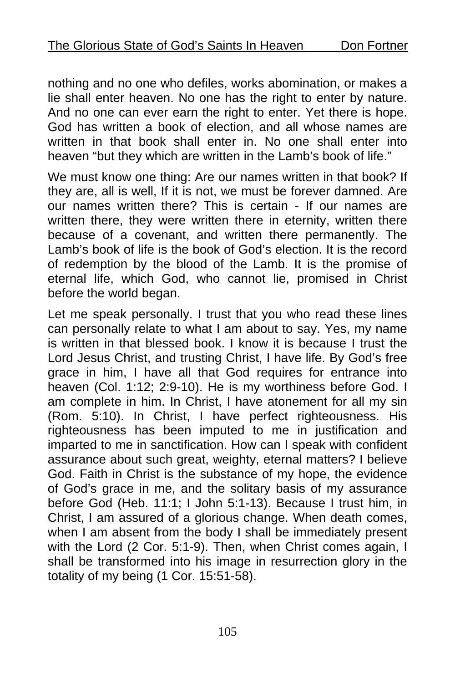nothing and no one who defiles, works abomination, or makes a lie shall enter heaven. No one has the right to enter by nature. And no one can ever earn the right to enter. Yet there is hope. God has written a book of election, and all whose names are written in that book shall enter in. No one shall enter into heaven "but they which are written in the Lamb's book of life."

We must know one thing: Are our names written in that book? If they are, all is well, If it is not, we must be forever damned. Are our names written there? This is certain - If our names are written there, they were written there in eternity, written there because of a covenant, and written there permanently. The Lamb's book of life is the book of God's election. It is the record of redemption by the blood of the Lamb. It is the promise of eternal life, which God, who cannot lie, promised in Christ before the world began.

Let me speak personally. I trust that you who read these lines can personally relate to what I am about to say. Yes, my name is written in that blessed book. I know it is because I trust the Lord Jesus Christ, and trusting Christ, I have life. By God's free grace in him, I have all that God requires for entrance into heaven (Col. 1:12; 2:9-10). He is my worthiness before God. I am complete in him. In Christ, I have atonement for all my sin (Rom. 5:10). In Christ, I have perfect righteousness. His righteousness has been imputed to me in justification and imparted to me in sanctification. How can I speak with confident assurance about such great, weighty, eternal matters? I believe God. Faith in Christ is the substance of my hope, the evidence of God's grace in me, and the solitary basis of my assurance before God (Heb. 11:1; I John 5:1-13). Because I trust him, in Christ, I am assured of a glorious change. When death comes, when I am absent from the body I shall be immediately present with the Lord (2 Cor. 5:1-9). Then, when Christ comes again, I shall be transformed into his image in resurrection glory in the totality of my being (1 Cor. 15:51-58).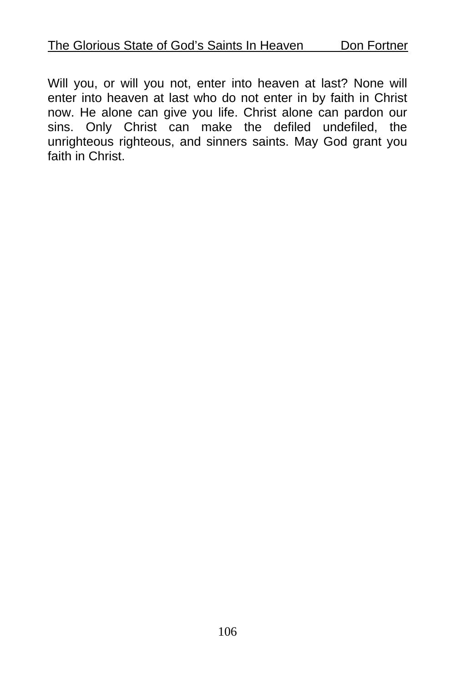Will you, or will you not, enter into heaven at last? None will enter into heaven at last who do not enter in by faith in Christ now. He alone can give you life. Christ alone can pardon our sins. Only Christ can make the defiled undefiled, the unrighteous righteous, and sinners saints. May God grant you faith in Christ.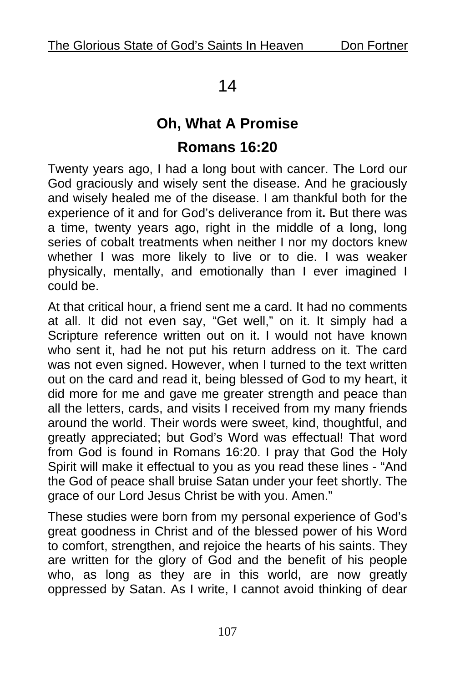### 14

# **Oh, What A Promise Romans 16:20**

Twenty years ago, I had a long bout with cancer. The Lord our God graciously and wisely sent the disease. And he graciously and wisely healed me of the disease. I am thankful both for the experience of it and for God's deliverance from it**.** But there was a time, twenty years ago, right in the middle of a long, long series of cobalt treatments when neither I nor my doctors knew whether I was more likely to live or to die. I was weaker physically, mentally, and emotionally than I ever imagined I could be.

At that critical hour, a friend sent me a card. It had no comments at all. It did not even say, "Get well," on it. It simply had a Scripture reference written out on it. I would not have known who sent it, had he not put his return address on it. The card was not even signed. However, when I turned to the text written out on the card and read it, being blessed of God to my heart, it did more for me and gave me greater strength and peace than all the letters, cards, and visits I received from my many friends around the world. Their words were sweet, kind, thoughtful, and greatly appreciated; but God's Word was effectual! That word from God is found in Romans 16:20. I pray that God the Holy Spirit will make it effectual to you as you read these lines - "And the God of peace shall bruise Satan under your feet shortly. The grace of our Lord Jesus Christ be with you. Amen."

These studies were born from my personal experience of God's great goodness in Christ and of the blessed power of his Word to comfort, strengthen, and rejoice the hearts of his saints. They are written for the glory of God and the benefit of his people who, as long as they are in this world, are now greatly oppressed by Satan. As I write, I cannot avoid thinking of dear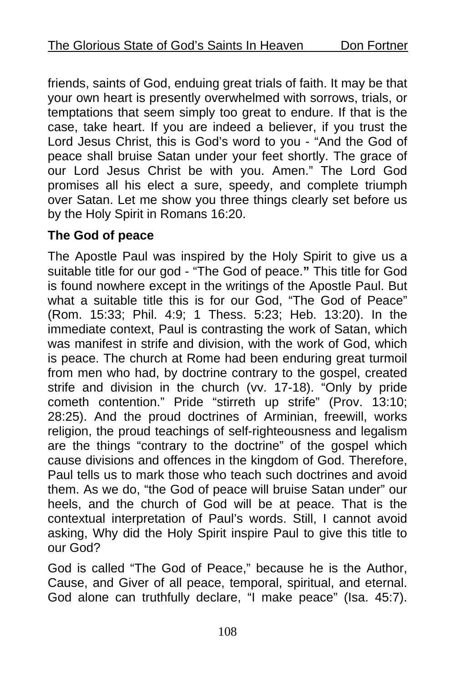friends, saints of God, enduing great trials of faith. It may be that your own heart is presently overwhelmed with sorrows, trials, or temptations that seem simply too great to endure. If that is the case, take heart. If you are indeed a believer, if you trust the Lord Jesus Christ, this is God's word to you - "And the God of peace shall bruise Satan under your feet shortly. The grace of our Lord Jesus Christ be with you. Amen." The Lord God promises all his elect a sure, speedy, and complete triumph over Satan. Let me show you three things clearly set before us by the Holy Spirit in Romans 16:20.

### **The God of peace**

The Apostle Paul was inspired by the Holy Spirit to give us a suitable title for our god - "The God of peace.**"** This title for God is found nowhere except in the writings of the Apostle Paul. But what a suitable title this is for our God, "The God of Peace" (Rom. 15:33; Phil. 4:9; 1 Thess. 5:23; Heb. 13:20). In the immediate context, Paul is contrasting the work of Satan, which was manifest in strife and division, with the work of God, which is peace. The church at Rome had been enduring great turmoil from men who had, by doctrine contrary to the gospel, created strife and division in the church (vv. 17-18). "Only by pride cometh contention." Pride "stirreth up strife" (Prov. 13:10; 28:25). And the proud doctrines of Arminian, freewill, works religion, the proud teachings of self-righteousness and legalism are the things "contrary to the doctrine" of the gospel which cause divisions and offences in the kingdom of God. Therefore, Paul tells us to mark those who teach such doctrines and avoid them. As we do, "the God of peace will bruise Satan under" our heels, and the church of God will be at peace. That is the contextual interpretation of Paul's words. Still, I cannot avoid asking, Why did the Holy Spirit inspire Paul to give this title to our God?

God is called "The God of Peace," because he is the Author, Cause, and Giver of all peace, temporal, spiritual, and eternal. God alone can truthfully declare, "I make peace" (Isa. 45:7).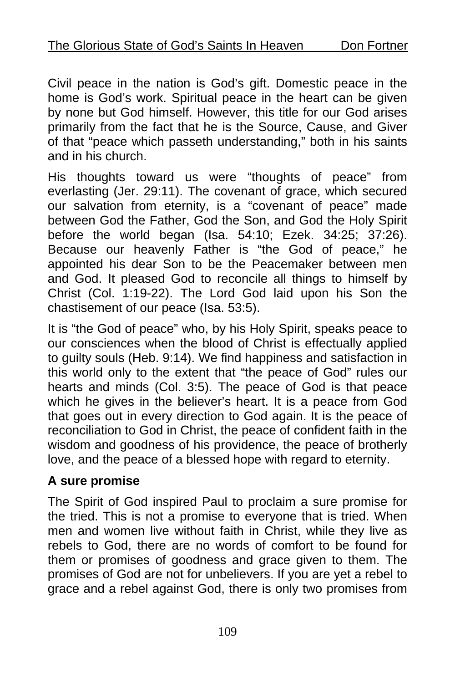Civil peace in the nation is God's gift. Domestic peace in the home is God's work. Spiritual peace in the heart can be given by none but God himself. However, this title for our God arises primarily from the fact that he is the Source, Cause, and Giver of that "peace which passeth understanding," both in his saints and in his church.

His thoughts toward us were "thoughts of peace" from everlasting (Jer. 29:11). The covenant of grace, which secured our salvation from eternity, is a "covenant of peace" made between God the Father, God the Son, and God the Holy Spirit before the world began (Isa. 54:10; Ezek. 34:25; 37:26). Because our heavenly Father is "the God of peace," he appointed his dear Son to be the Peacemaker between men and God. It pleased God to reconcile all things to himself by Christ (Col. 1:19-22). The Lord God laid upon his Son the chastisement of our peace (Isa. 53:5).

It is "the God of peace" who, by his Holy Spirit, speaks peace to our consciences when the blood of Christ is effectually applied to guilty souls (Heb. 9:14). We find happiness and satisfaction in this world only to the extent that "the peace of God" rules our hearts and minds (Col. 3:5). The peace of God is that peace which he gives in the believer's heart. It is a peace from God that goes out in every direction to God again. It is the peace of reconciliation to God in Christ, the peace of confident faith in the wisdom and goodness of his providence, the peace of brotherly love, and the peace of a blessed hope with regard to eternity.

## **A sure promise**

The Spirit of God inspired Paul to proclaim a sure promise for the tried. This is not a promise to everyone that is tried. When men and women live without faith in Christ, while they live as rebels to God, there are no words of comfort to be found for them or promises of goodness and grace given to them. The promises of God are not for unbelievers. If you are yet a rebel to grace and a rebel against God, there is only two promises from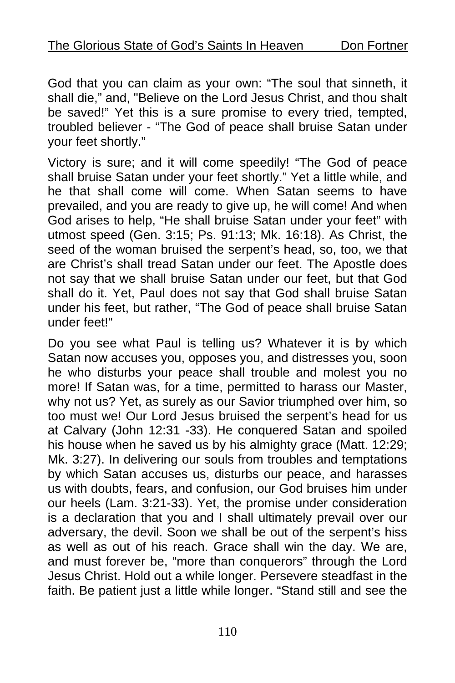God that you can claim as your own: "The soul that sinneth, it shall die," and, "Believe on the Lord Jesus Christ, and thou shalt be saved!" Yet this is a sure promise to every tried, tempted, troubled believer - "The God of peace shall bruise Satan under your feet shortly."

Victory is sure; and it will come speedily! "The God of peace shall bruise Satan under your feet shortly." Yet a little while, and he that shall come will come. When Satan seems to have prevailed, and you are ready to give up, he will come! And when God arises to help, "He shall bruise Satan under your feet" with utmost speed (Gen. 3:15; Ps. 91:13; Mk. 16:18). As Christ, the seed of the woman bruised the serpent's head, so, too, we that are Christ's shall tread Satan under our feet. The Apostle does not say that we shall bruise Satan under our feet, but that God shall do it. Yet, Paul does not say that God shall bruise Satan under his feet, but rather, "The God of peace shall bruise Satan under feet!"

Do you see what Paul is telling us? Whatever it is by which Satan now accuses you, opposes you, and distresses you, soon he who disturbs your peace shall trouble and molest you no more! If Satan was, for a time, permitted to harass our Master, why not us? Yet, as surely as our Savior triumphed over him, so too must we! Our Lord Jesus bruised the serpent's head for us at Calvary (John 12:31 -33). He conquered Satan and spoiled his house when he saved us by his almighty grace (Matt. 12:29; Mk. 3:27). In delivering our souls from troubles and temptations by which Satan accuses us, disturbs our peace, and harasses us with doubts, fears, and confusion, our God bruises him under our heels (Lam. 3:21-33). Yet, the promise under consideration is a declaration that you and I shall ultimately prevail over our adversary, the devil. Soon we shall be out of the serpent's hiss as well as out of his reach. Grace shall win the day. We are, and must forever be, "more than conquerors" through the Lord Jesus Christ. Hold out a while longer. Persevere steadfast in the faith. Be patient just a little while longer. "Stand still and see the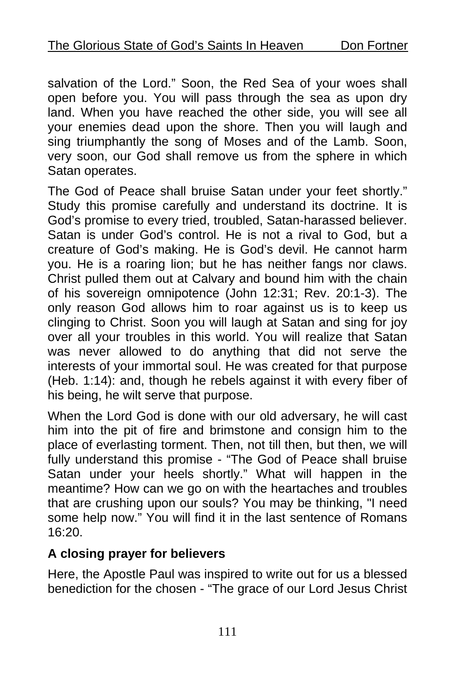salvation of the Lord." Soon, the Red Sea of your woes shall open before you. You will pass through the sea as upon dry land. When you have reached the other side, you will see all your enemies dead upon the shore. Then you will laugh and sing triumphantly the song of Moses and of the Lamb. Soon, very soon, our God shall remove us from the sphere in which Satan operates.

The God of Peace shall bruise Satan under your feet shortly." Study this promise carefully and understand its doctrine. It is God's promise to every tried, troubled, Satan-harassed believer. Satan is under God's control. He is not a rival to God, but a creature of God's making. He is God's devil. He cannot harm you. He is a roaring lion; but he has neither fangs nor claws. Christ pulled them out at Calvary and bound him with the chain of his sovereign omnipotence (John 12:31; Rev. 20:1-3). The only reason God allows him to roar against us is to keep us clinging to Christ. Soon you will laugh at Satan and sing for joy over all your troubles in this world. You will realize that Satan was never allowed to do anything that did not serve the interests of your immortal soul. He was created for that purpose (Heb. 1:14): and, though he rebels against it with every fiber of his being, he wilt serve that purpose.

When the Lord God is done with our old adversary, he will cast him into the pit of fire and brimstone and consign him to the place of everlasting torment. Then, not till then, but then, we will fully understand this promise - "The God of Peace shall bruise Satan under your heels shortly." What will happen in the meantime? How can we go on with the heartaches and troubles that are crushing upon our souls? You may be thinking, "I need some help now." You will find it in the last sentence of Romans 16:20.

### **A closing prayer for believers**

Here, the Apostle Paul was inspired to write out for us a blessed benediction for the chosen - "The grace of our Lord Jesus Christ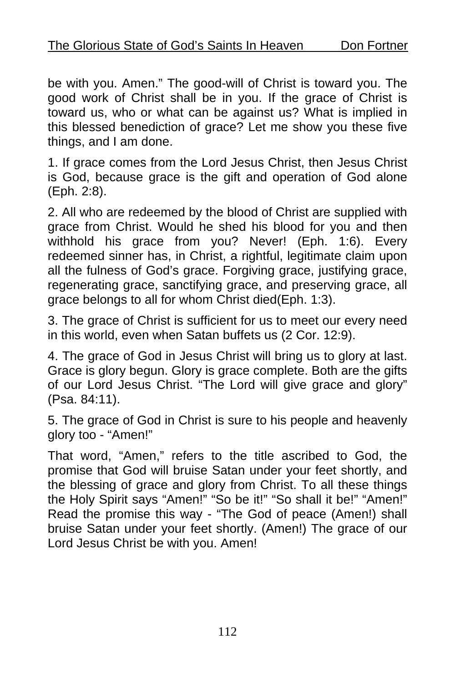be with you. Amen." The good-will of Christ is toward you. The good work of Christ shall be in you. If the grace of Christ is toward us, who or what can be against us? What is implied in this blessed benediction of grace? Let me show you these five things, and I am done.

1. If grace comes from the Lord Jesus Christ, then Jesus Christ is God, because grace is the gift and operation of God alone (Eph. 2:8).

2. All who are redeemed by the blood of Christ are supplied with grace from Christ. Would he shed his blood for you and then withhold his grace from you? Never! (Eph. 1:6). Every redeemed sinner has, in Christ, a rightful, legitimate claim upon all the fulness of God's grace. Forgiving grace, justifying grace, regenerating grace, sanctifying grace, and preserving grace, all grace belongs to all for whom Christ died(Eph. 1:3).

3. The grace of Christ is sufficient for us to meet our every need in this world, even when Satan buffets us (2 Cor. 12:9).

4. The grace of God in Jesus Christ will bring us to glory at last. Grace is glory begun. Glory is grace complete. Both are the gifts of our Lord Jesus Christ. "The Lord will give grace and glory" (Psa. 84:11).

5. The grace of God in Christ is sure to his people and heavenly glory too - "Amen!"

That word, "Amen," refers to the title ascribed to God, the promise that God will bruise Satan under your feet shortly, and the blessing of grace and glory from Christ. To all these things the Holy Spirit says "Amen!" "So be it!" "So shall it be!" "Amen!" Read the promise this way - "The God of peace (Amen!) shall bruise Satan under your feet shortly. (Amen!) The grace of our Lord Jesus Christ be with you. Amen!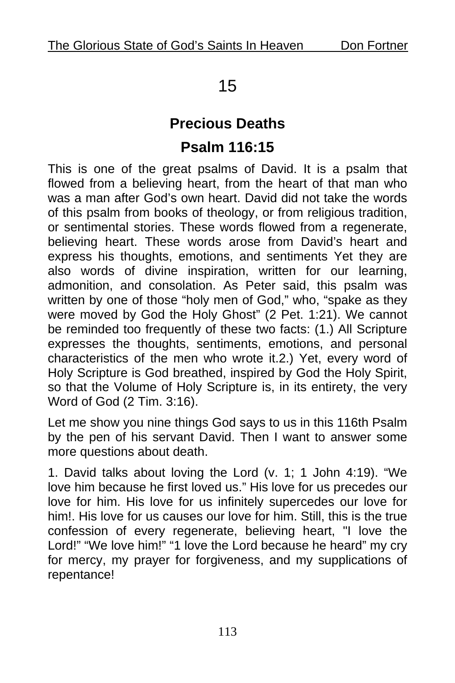# 15

## **Precious Deaths Psalm 116:15**

This is one of the great psalms of David. It is a psalm that flowed from a believing heart, from the heart of that man who was a man after God's own heart. David did not take the words of this psalm from books of theology, or from religious tradition, or sentimental stories. These words flowed from a regenerate, believing heart. These words arose from David's heart and express his thoughts, emotions, and sentiments Yet they are also words of divine inspiration, written for our learning, admonition, and consolation. As Peter said, this psalm was written by one of those "holy men of God," who, "spake as they were moved by God the Holy Ghost" (2 Pet. 1:21). We cannot be reminded too frequently of these two facts: (1.) All Scripture expresses the thoughts, sentiments, emotions, and personal characteristics of the men who wrote it.2.) Yet, every word of Holy Scripture is God breathed, inspired by God the Holy Spirit, so that the Volume of Holy Scripture is, in its entirety, the very Word of God (2 Tim. 3:16).

Let me show you nine things God says to us in this 116th Psalm by the pen of his servant David. Then I want to answer some more questions about death.

1. David talks about loving the Lord (v. 1; 1 John 4:19). "We love him because he first loved us." His love for us precedes our love for him. His love for us infinitely supercedes our love for him!. His love for us causes our love for him. Still, this is the true confession of every regenerate, believing heart, "I love the Lord!" "We love him!" "1 love the Lord because he heard" my cry for mercy, my prayer for forgiveness, and my supplications of repentance!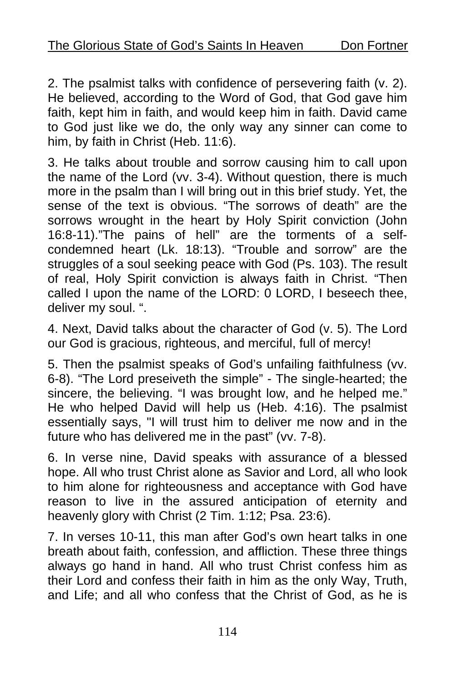2. The psalmist talks with confidence of persevering faith (v. 2). He believed, according to the Word of God, that God gave him faith, kept him in faith, and would keep him in faith. David came to God just like we do, the only way any sinner can come to him, by faith in Christ (Heb. 11:6).

3. He talks about trouble and sorrow causing him to call upon the name of the Lord (vv. 3-4). Without question, there is much more in the psalm than I will bring out in this brief study. Yet, the sense of the text is obvious. "The sorrows of death" are the sorrows wrought in the heart by Holy Spirit conviction (John 16:8-11)."The pains of hell" are the torments of a selfcondemned heart (Lk. 18:13). "Trouble and sorrow" are the struggles of a soul seeking peace with God (Ps. 103). The result of real, Holy Spirit conviction is always faith in Christ. "Then called I upon the name of the LORD: 0 LORD, I beseech thee, deliver my soul. ".

4. Next, David talks about the character of God (v. 5). The Lord our God is gracious, righteous, and merciful, full of mercy!

5. Then the psalmist speaks of God's unfailing faithfulness (vv. 6-8). "The Lord preseiveth the simple" - The single-hearted; the sincere, the believing. "I was brought low, and he helped me." He who helped David will help us (Heb. 4:16). The psalmist essentially says, "I will trust him to deliver me now and in the future who has delivered me in the past" (vv. 7-8).

6. In verse nine, David speaks with assurance of a blessed hope. All who trust Christ alone as Savior and Lord, all who look to him alone for righteousness and acceptance with God have reason to live in the assured anticipation of eternity and heavenly glory with Christ (2 Tim. 1:12; Psa. 23:6).

7. In verses 10-11, this man after God's own heart talks in one breath about faith, confession, and affliction. These three things always go hand in hand. All who trust Christ confess him as their Lord and confess their faith in him as the only Way, Truth, and Life; and all who confess that the Christ of God, as he is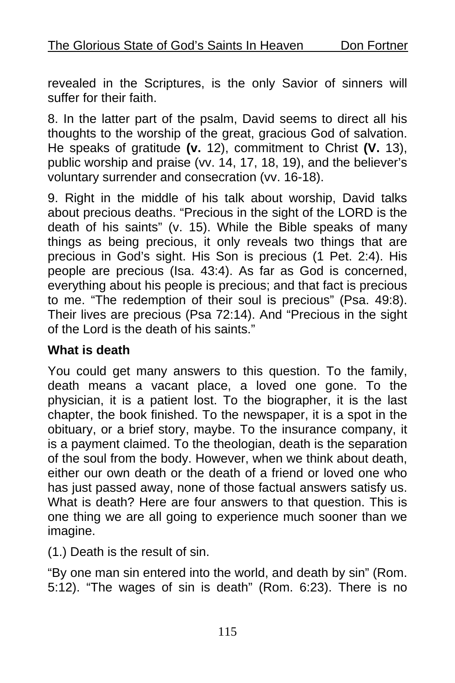revealed in the Scriptures, is the only Savior of sinners will suffer for their faith.

8. In the latter part of the psalm, David seems to direct all his thoughts to the worship of the great, gracious God of salvation. He speaks of gratitude **(v.** 12), commitment to Christ **(V.** 13), public worship and praise (vv. 14, 17, 18, 19), and the believer's voluntary surrender and consecration (vv. 16-18).

9. Right in the middle of his talk about worship, David talks about precious deaths. "Precious in the sight of the LORD is the death of his saints" (v. 15). While the Bible speaks of many things as being precious, it only reveals two things that are precious in God's sight. His Son is precious (1 Pet. 2:4). His people are precious (Isa. 43:4). As far as God is concerned, everything about his people is precious; and that fact is precious to me. "The redemption of their soul is precious" (Psa. 49:8). Their lives are precious (Psa 72:14). And "Precious in the sight of the Lord is the death of his saints."

#### **What is death**

You could get many answers to this question. To the family, death means a vacant place, a loved one gone. To the physician, it is a patient lost. To the biographer, it is the last chapter, the book finished. To the newspaper, it is a spot in the obituary, or a brief story, maybe. To the insurance company, it is a payment claimed. To the theologian, death is the separation of the soul from the body. However, when we think about death, either our own death or the death of a friend or loved one who has just passed away, none of those factual answers satisfy us. What is death? Here are four answers to that question. This is one thing we are all going to experience much sooner than we imagine.

(1.) Death is the result of sin.

"By one man sin entered into the world, and death by sin" (Rom. 5:12). "The wages of sin is death" (Rom. 6:23). There is no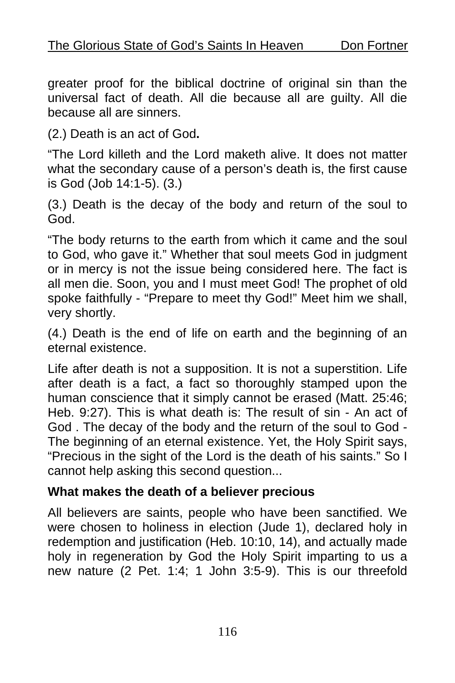greater proof for the biblical doctrine of original sin than the universal fact of death. All die because all are guilty. All die because all are sinners.

(2.) Death is an act of God**.** 

"The Lord killeth and the Lord maketh alive. It does not matter what the secondary cause of a person's death is, the first cause is God (Job 14:1-5). (3.)

(3.) Death is the decay of the body and return of the soul to God.

"The body returns to the earth from which it came and the soul to God, who gave it." Whether that soul meets God in judgment or in mercy is not the issue being considered here. The fact is all men die. Soon, you and I must meet God! The prophet of old spoke faithfully - "Prepare to meet thy God!" Meet him we shall, very shortly.

(4.) Death is the end of life on earth and the beginning of an eternal existence.

Life after death is not a supposition. It is not a superstition. Life after death is a fact, a fact so thoroughly stamped upon the human conscience that it simply cannot be erased (Matt. 25:46; Heb. 9:27). This is what death is: The result of sin - An act of God . The decay of the body and the return of the soul to God - The beginning of an eternal existence. Yet, the Holy Spirit says, "Precious in the sight of the Lord is the death of his saints." So I cannot help asking this second question...

#### **What makes the death of a believer precious**

All believers are saints, people who have been sanctified. We were chosen to holiness in election (Jude 1), declared holy in redemption and justification (Heb. 10:10, 14), and actually made holy in regeneration by God the Holy Spirit imparting to us a new nature (2 Pet. 1:4; 1 John 3:5-9). This is our threefold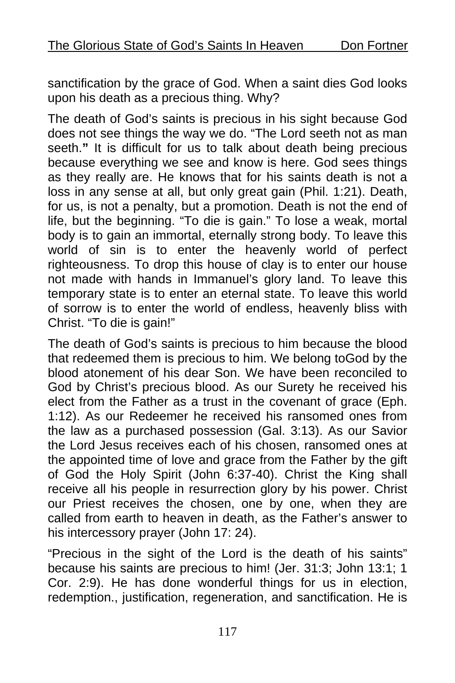sanctification by the grace of God. When a saint dies God looks upon his death as a precious thing. Why?

The death of God's saints is precious in his sight because God does not see things the way we do. "The Lord seeth not as man seeth.**"** It is difficult for us to talk about death being precious because everything we see and know is here. God sees things as they really are. He knows that for his saints death is not a loss in any sense at all, but only great gain (Phil. 1:21). Death, for us, is not a penalty, but a promotion. Death is not the end of life, but the beginning. "To die is gain." To lose a weak, mortal body is to gain an immortal, eternally strong body. To leave this world of sin is to enter the heavenly world of perfect righteousness. To drop this house of clay is to enter our house not made with hands in Immanuel's glory land. To leave this temporary state is to enter an eternal state. To leave this world of sorrow is to enter the world of endless, heavenly bliss with Christ. "To die is gain!"

The death of God's saints is precious to him because the blood that redeemed them is precious to him. We belong toGod by the blood atonement of his dear Son. We have been reconciled to God by Christ's precious blood. As our Surety he received his elect from the Father as a trust in the covenant of grace (Eph. 1:12). As our Redeemer he received his ransomed ones from the law as a purchased possession (Gal. 3:13). As our Savior the Lord Jesus receives each of his chosen, ransomed ones at the appointed time of love and grace from the Father by the gift of God the Holy Spirit (John 6:37-40). Christ the King shall receive all his people in resurrection glory by his power. Christ our Priest receives the chosen, one by one, when they are called from earth to heaven in death, as the Father's answer to his intercessory prayer (John 17: 24).

"Precious in the sight of the Lord is the death of his saints" because his saints are precious to him! (Jer. 31:3; John 13:1; 1 Cor. 2:9). He has done wonderful things for us in election, redemption., justification, regeneration, and sanctification. He is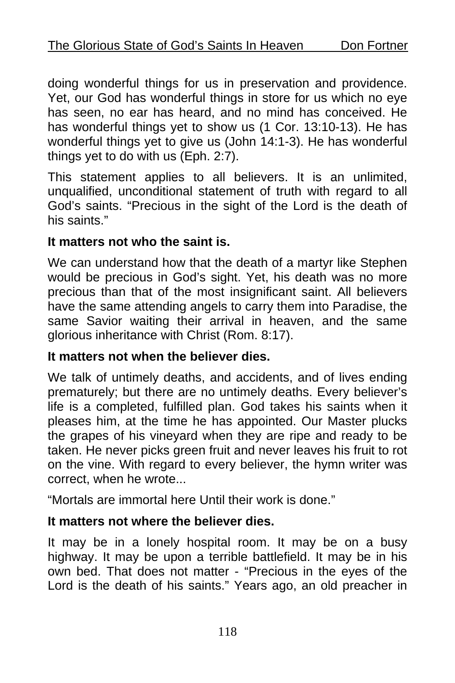doing wonderful things for us in preservation and providence. Yet, our God has wonderful things in store for us which no eye has seen, no ear has heard, and no mind has conceived. He has wonderful things yet to show us (1 Cor. 13:10-13). He has wonderful things yet to give us (John 14:1-3). He has wonderful things yet to do with us (Eph. 2:7).

This statement applies to all believers. It is an unlimited, unqualified, unconditional statement of truth with regard to all God's saints. "Precious in the sight of the Lord is the death of his saints."

#### **It matters not who the saint is.**

We can understand how that the death of a martyr like Stephen would be precious in God's sight. Yet, his death was no more precious than that of the most insignificant saint. All believers have the same attending angels to carry them into Paradise, the same Savior waiting their arrival in heaven, and the same glorious inheritance with Christ (Rom. 8:17).

#### **It matters not when the believer dies.**

We talk of untimely deaths, and accidents, and of lives ending prematurely; but there are no untimely deaths. Every believer's life is a completed, fulfilled plan. God takes his saints when it pleases him, at the time he has appointed. Our Master plucks the grapes of his vineyard when they are ripe and ready to be taken. He never picks green fruit and never leaves his fruit to rot on the vine. With regard to every believer, the hymn writer was correct, when he wrote...

"Mortals are immortal here Until their work is done."

### **It matters not where the believer dies.**

It may be in a lonely hospital room. It may be on a busy highway. It may be upon a terrible battlefield. It may be in his own bed. That does not matter - "Precious in the eyes of the Lord is the death of his saints." Years ago, an old preacher in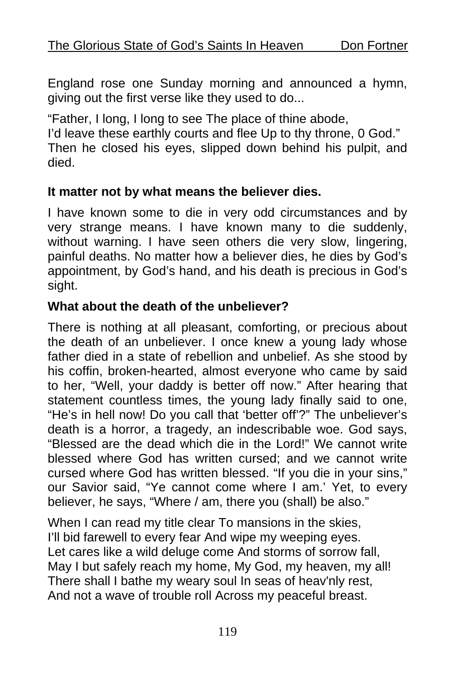England rose one Sunday morning and announced a hymn, giving out the first verse like they used to do...

"Father, I long, I long to see The place of thine abode, I'd leave these earthly courts and flee Up to thy throne, 0 God." Then he closed his eyes, slipped down behind his pulpit, and

died.

### **It matter not by what means the believer dies.**

I have known some to die in very odd circumstances and by very strange means. I have known many to die suddenly, without warning. I have seen others die very slow, lingering, painful deaths. No matter how a believer dies, he dies by God's appointment, by God's hand, and his death is precious in God's sight.

### **What about the death of the unbeliever?**

There is nothing at all pleasant, comforting, or precious about the death of an unbeliever. I once knew a young lady whose father died in a state of rebellion and unbelief. As she stood by his coffin, broken-hearted, almost everyone who came by said to her, "Well, your daddy is better off now." After hearing that statement countless times, the young lady finally said to one, "He's in hell now! Do you call that 'better off'?" The unbeliever's death is a horror, a tragedy, an indescribable woe. God says, "Blessed are the dead which die in the Lord!" We cannot write blessed where God has written cursed; and we cannot write cursed where God has written blessed. "If you die in your sins," our Savior said, "Ye cannot come where I am.' Yet, to every believer, he says, "Where / am, there you (shall) be also."

When I can read my title clear To mansions in the skies, I'll bid farewell to every fear And wipe my weeping eyes. Let cares like a wild deluge come And storms of sorrow fall, May I but safely reach my home, My God, my heaven, my all! There shall I bathe my weary soul In seas of heav'nly rest, And not a wave of trouble roll Across my peaceful breast.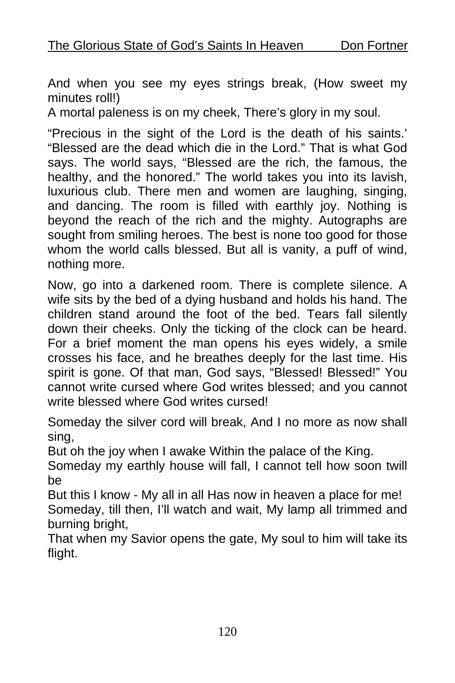And when you see my eyes strings break, (How sweet my minutes roll!)

A mortal paleness is on my cheek, There's glory in my soul.

"Precious in the sight of the Lord is the death of his saints.' "Blessed are the dead which die in the Lord." That is what God says. The world says, "Blessed are the rich, the famous, the healthy, and the honored." The world takes you into its lavish, luxurious club. There men and women are laughing, singing, and dancing. The room is filled with earthly joy. Nothing is beyond the reach of the rich and the mighty. Autographs are sought from smiling heroes. The best is none too good for those whom the world calls blessed. But all is vanity, a puff of wind, nothing more.

Now, go into a darkened room. There is complete silence. A wife sits by the bed of a dying husband and holds his hand. The children stand around the foot of the bed. Tears fall silently down their cheeks. Only the ticking of the clock can be heard. For a brief moment the man opens his eyes widely, a smile crosses his face, and he breathes deeply for the last time. His spirit is gone. Of that man, God says, "Blessed! Blessed!" You cannot write cursed where God writes blessed; and you cannot write blessed where God writes cursed!

Someday the silver cord will break, And I no more as now shall sing,

But oh the joy when I awake Within the palace of the King.

Someday my earthly house will fall, I cannot tell how soon twill be

But this I know - My all in all Has now in heaven a place for me! Someday, till then, I'll watch and wait, My lamp all trimmed and burning bright,

That when my Savior opens the gate, My soul to him will take its flight.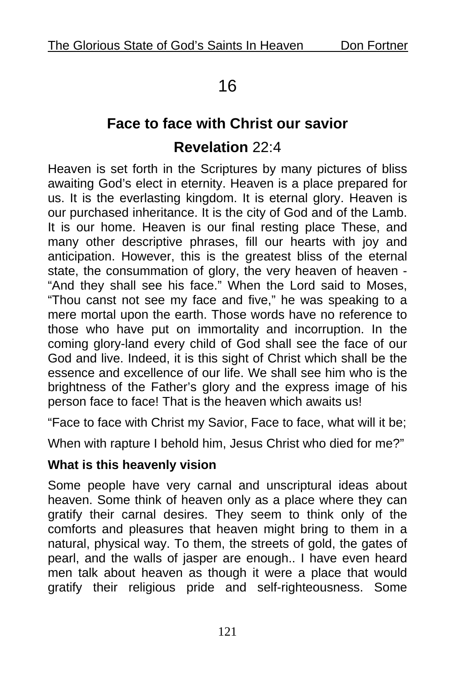# 16

# **Face to face with Christ our savior Revelation** 22:4

Heaven is set forth in the Scriptures by many pictures of bliss awaiting God's elect in eternity. Heaven is a place prepared for us. It is the everlasting kingdom. It is eternal glory. Heaven is our purchased inheritance. It is the city of God and of the Lamb. It is our home. Heaven is our final resting place These, and many other descriptive phrases, fill our hearts with joy and anticipation. However, this is the greatest bliss of the eternal state, the consummation of glory, the very heaven of heaven - "And they shall see his face." When the Lord said to Moses, "Thou canst not see my face and five," he was speaking to a mere mortal upon the earth. Those words have no reference to those who have put on immortality and incorruption. In the coming glory-land every child of God shall see the face of our God and live. Indeed, it is this sight of Christ which shall be the essence and excellence of our life. We shall see him who is the brightness of the Father's glory and the express image of his person face to face! That is the heaven which awaits us!

"Face to face with Christ my Savior, Face to face, what will it be;

When with rapture I behold him, Jesus Christ who died for me?"

### **What is this heavenly vision**

Some people have very carnal and unscriptural ideas about heaven. Some think of heaven only as a place where they can gratify their carnal desires. They seem to think only of the comforts and pleasures that heaven might bring to them in a natural, physical way. To them, the streets of gold, the gates of pearl, and the walls of jasper are enough.. I have even heard men talk about heaven as though it were a place that would gratify their religious pride and self-righteousness. Some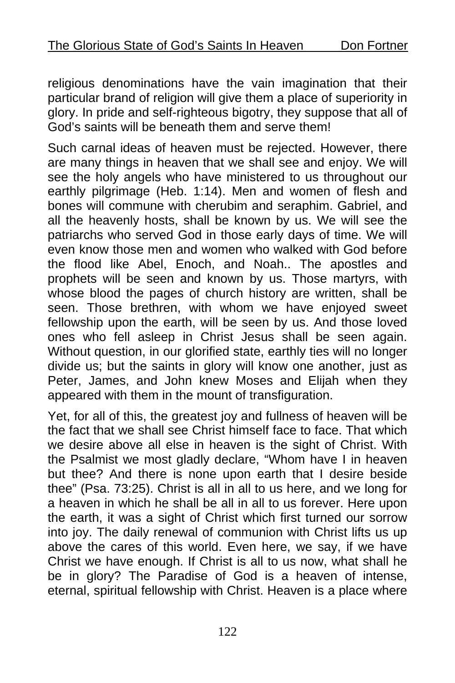religious denominations have the vain imagination that their particular brand of religion will give them a place of superiority in glory. In pride and self-righteous bigotry, they suppose that all of God's saints will be beneath them and serve them!

Such carnal ideas of heaven must be rejected. However, there are many things in heaven that we shall see and enjoy. We will see the holy angels who have ministered to us throughout our earthly pilgrimage (Heb. 1:14). Men and women of flesh and bones will commune with cherubim and seraphim. Gabriel, and all the heavenly hosts, shall be known by us. We will see the patriarchs who served God in those early days of time. We will even know those men and women who walked with God before the flood like Abel, Enoch, and Noah.. The apostles and prophets will be seen and known by us. Those martyrs, with whose blood the pages of church history are written, shall be seen. Those brethren, with whom we have enjoyed sweet fellowship upon the earth, will be seen by us. And those loved ones who fell asleep in Christ Jesus shall be seen again. Without question, in our glorified state, earthly ties will no longer divide us; but the saints in glory will know one another, just as Peter, James, and John knew Moses and Elijah when they appeared with them in the mount of transfiguration.

Yet, for all of this, the greatest joy and fullness of heaven will be the fact that we shall see Christ himself face to face. That which we desire above all else in heaven is the sight of Christ. With the Psalmist we most gladly declare, "Whom have I in heaven but thee? And there is none upon earth that I desire beside thee" (Psa. 73:25). Christ is all in all to us here, and we long for a heaven in which he shall be all in all to us forever. Here upon the earth, it was a sight of Christ which first turned our sorrow into joy. The daily renewal of communion with Christ lifts us up above the cares of this world. Even here, we say, if we have Christ we have enough. If Christ is all to us now, what shall he be in glory? The Paradise of God is a heaven of intense, eternal, spiritual fellowship with Christ. Heaven is a place where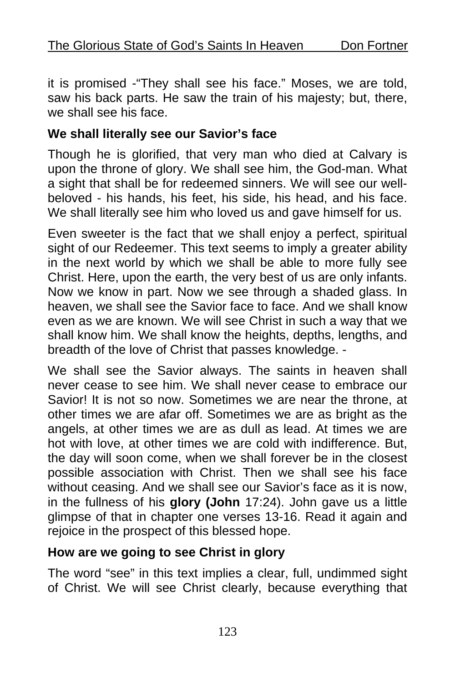it is promised -"They shall see his face." Moses, we are told, saw his back parts. He saw the train of his majesty; but, there, we shall see his face.

#### **We shall literally see our Savior's face**

Though he is glorified, that very man who died at Calvary is upon the throne of glory. We shall see him, the God-man. What a sight that shall be for redeemed sinners. We will see our wellbeloved - his hands, his feet, his side, his head, and his face. We shall literally see him who loved us and gave himself for us.

Even sweeter is the fact that we shall enjoy a perfect, spiritual sight of our Redeemer. This text seems to imply a greater ability in the next world by which we shall be able to more fully see Christ. Here, upon the earth, the very best of us are only infants. Now we know in part. Now we see through a shaded glass. In heaven, we shall see the Savior face to face. And we shall know even as we are known. We will see Christ in such a way that we shall know him. We shall know the heights, depths, lengths, and breadth of the love of Christ that passes knowledge. -

We shall see the Savior always. The saints in heaven shall never cease to see him. We shall never cease to embrace our Savior! It is not so now. Sometimes we are near the throne, at other times we are afar off. Sometimes we are as bright as the angels, at other times we are as dull as lead. At times we are hot with love, at other times we are cold with indifference. But, the day will soon come, when we shall forever be in the closest possible association with Christ. Then we shall see his face without ceasing. And we shall see our Savior's face as it is now, in the fullness of his **glory (John** 17:24). John gave us a little glimpse of that in chapter one verses 13-16. Read it again and rejoice in the prospect of this blessed hope.

### **How are we going to see Christ in glory**

The word "see" in this text implies a clear, full, undimmed sight of Christ. We will see Christ clearly, because everything that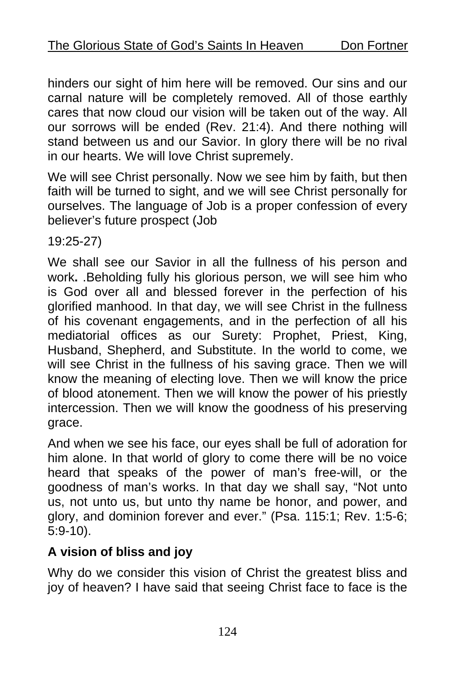hinders our sight of him here will be removed. Our sins and our carnal nature will be completely removed. All of those earthly cares that now cloud our vision will be taken out of the way. All our sorrows will be ended (Rev. 21:4). And there nothing will stand between us and our Savior. In glory there will be no rival in our hearts. We will love Christ supremely.

We will see Christ personally. Now we see him by faith, but then faith will be turned to sight, and we will see Christ personally for ourselves. The language of Job is a proper confession of every believer's future prospect (Job

19:25-27)

We shall see our Savior in all the fullness of his person and work**.** .Beholding fully his glorious person, we will see him who is God over all and blessed forever in the perfection of his glorified manhood. In that day, we will see Christ in the fullness of his covenant engagements, and in the perfection of all his mediatorial offices as our Surety: Prophet, Priest, King, Husband, Shepherd, and Substitute. In the world to come, we will see Christ in the fullness of his saving grace. Then we will know the meaning of electing love. Then we will know the price of blood atonement. Then we will know the power of his priestly intercession. Then we will know the goodness of his preserving grace.

And when we see his face, our eyes shall be full of adoration for him alone. In that world of glory to come there will be no voice heard that speaks of the power of man's free-will, or the goodness of man's works. In that day we shall say, "Not unto us, not unto us, but unto thy name be honor, and power, and glory, and dominion forever and ever." (Psa. 115:1; Rev. 1:5-6; 5:9-10).

## **A vision of bliss and joy**

Why do we consider this vision of Christ the greatest bliss and joy of heaven? I have said that seeing Christ face to face is the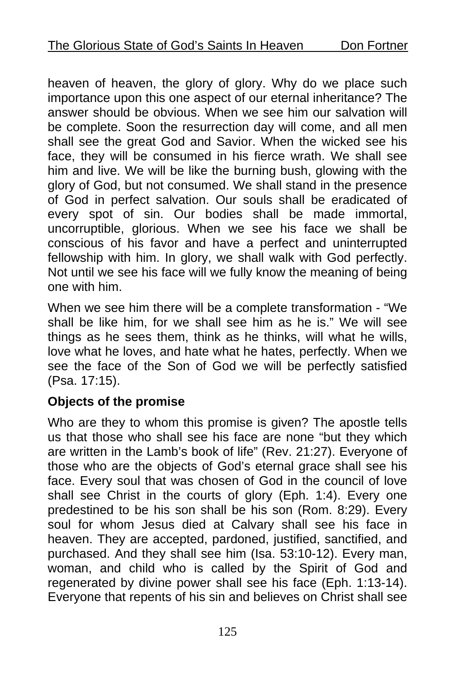heaven of heaven, the glory of glory. Why do we place such importance upon this one aspect of our eternal inheritance? The answer should be obvious. When we see him our salvation will be complete. Soon the resurrection day will come, and all men shall see the great God and Savior. When the wicked see his face, they will be consumed in his fierce wrath. We shall see him and live. We will be like the burning bush, glowing with the glory of God, but not consumed. We shall stand in the presence of God in perfect salvation. Our souls shall be eradicated of every spot of sin. Our bodies shall be made immortal, uncorruptible, glorious. When we see his face we shall be conscious of his favor and have a perfect and uninterrupted fellowship with him. In glory, we shall walk with God perfectly. Not until we see his face will we fully know the meaning of being one with him.

When we see him there will be a complete transformation - "We shall be like him, for we shall see him as he is." We will see things as he sees them, think as he thinks, will what he wills, love what he loves, and hate what he hates, perfectly. When we see the face of the Son of God we will be perfectly satisfied (Psa. 17:15).

## **Objects of the promise**

Who are they to whom this promise is given? The apostle tells us that those who shall see his face are none "but they which are written in the Lamb's book of life" (Rev. 21:27). Everyone of those who are the objects of God's eternal grace shall see his face. Every soul that was chosen of God in the council of love shall see Christ in the courts of glory (Eph. 1:4). Every one predestined to be his son shall be his son (Rom. 8:29). Every soul for whom Jesus died at Calvary shall see his face in heaven. They are accepted, pardoned, justified, sanctified, and purchased. And they shall see him (Isa. 53:10-12). Every man, woman, and child who is called by the Spirit of God and regenerated by divine power shall see his face (Eph. 1:13-14). Everyone that repents of his sin and believes on Christ shall see